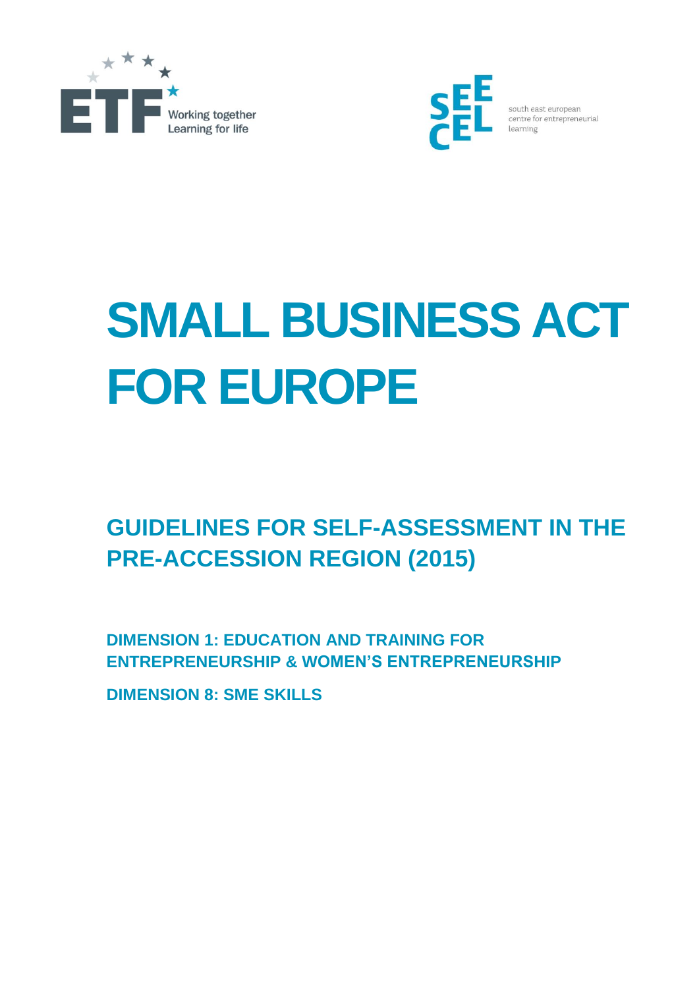



south east european centre for entrepreneurial

# **SMALL BUSINESS ACT FOR EUROPE**

# **GUIDELINES FOR SELF-ASSESSMENT IN THE PRE-ACCESSION REGION (2015)**

**DIMENSION 1: EDUCATION AND TRAINING FOR ENTREPRENEURSHIP & WOMEN'S ENTREPRENEURSHIP**

**DIMENSION 8: SME SKILLS**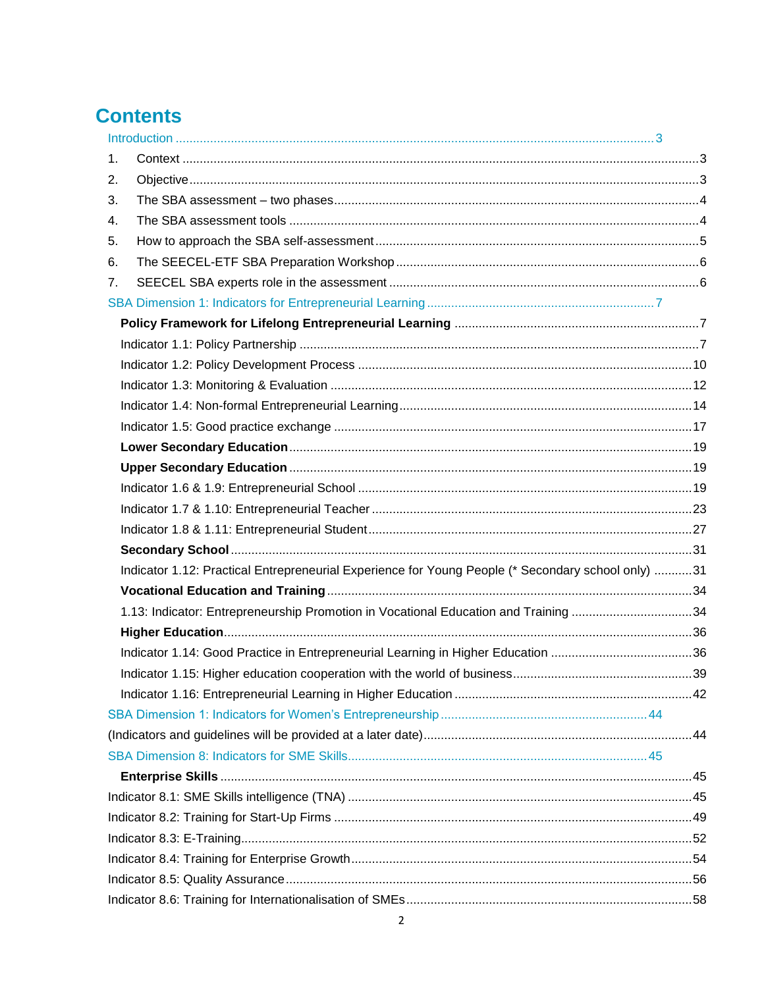# **Contents**

| 1 <sub>1</sub>                                                                                     |  |
|----------------------------------------------------------------------------------------------------|--|
| 2.                                                                                                 |  |
| 3.                                                                                                 |  |
| 4.                                                                                                 |  |
| 5.                                                                                                 |  |
| 6.                                                                                                 |  |
| 7.                                                                                                 |  |
|                                                                                                    |  |
|                                                                                                    |  |
|                                                                                                    |  |
|                                                                                                    |  |
|                                                                                                    |  |
|                                                                                                    |  |
|                                                                                                    |  |
|                                                                                                    |  |
|                                                                                                    |  |
|                                                                                                    |  |
|                                                                                                    |  |
|                                                                                                    |  |
|                                                                                                    |  |
| Indicator 1.12: Practical Entrepreneurial Experience for Young People (* Secondary school only) 31 |  |
|                                                                                                    |  |
| 1.13: Indicator: Entrepreneurship Promotion in Vocational Education and Training 34                |  |
|                                                                                                    |  |
|                                                                                                    |  |
|                                                                                                    |  |
|                                                                                                    |  |
|                                                                                                    |  |
|                                                                                                    |  |
|                                                                                                    |  |
|                                                                                                    |  |
|                                                                                                    |  |
|                                                                                                    |  |
|                                                                                                    |  |
|                                                                                                    |  |
|                                                                                                    |  |
|                                                                                                    |  |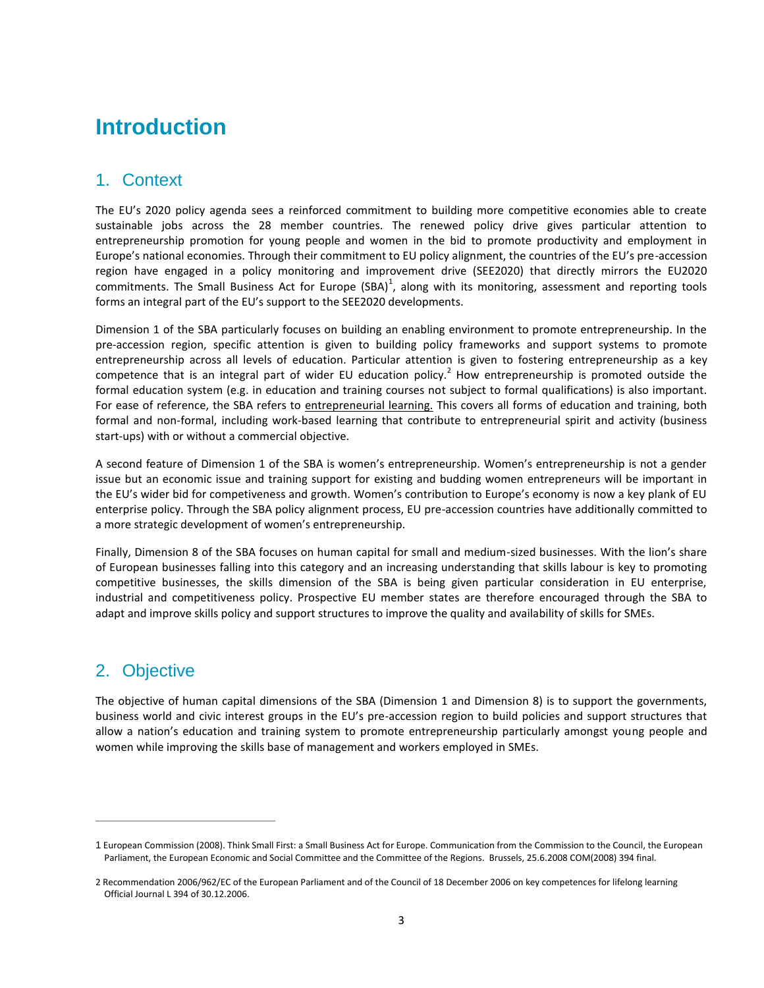# <span id="page-2-0"></span>**Introduction**

# <span id="page-2-1"></span>1. Context

The EU's 2020 policy agenda sees a reinforced commitment to building more competitive economies able to create sustainable jobs across the 28 member countries. The renewed policy drive gives particular attention to entrepreneurship promotion for young people and women in the bid to promote productivity and employment in Europe's national economies. Through their commitment to EU policy alignment, the countries of the EU's pre-accession region have engaged in a policy monitoring and improvement drive (SEE2020) that directly mirrors the EU2020 commitments. The Small Business Act for Europe (SBA)<sup>1</sup>, along with its monitoring, assessment and reporting tools forms an integral part of the EU's support to the SEE2020 developments.

Dimension 1 of the SBA particularly focuses on building an enabling environment to promote entrepreneurship. In the pre-accession region, specific attention is given to building policy frameworks and support systems to promote entrepreneurship across all levels of education. Particular attention is given to fostering entrepreneurship as a key competence that is an integral part of wider EU education policy.<sup>2</sup> How entrepreneurship is promoted outside the formal education system (e.g. in education and training courses not subject to formal qualifications) is also important. For ease of reference, the SBA refers to entrepreneurial learning. This covers all forms of education and training, both formal and non-formal, including work-based learning that contribute to entrepreneurial spirit and activity (business start-ups) with or without a commercial objective.

A second feature of Dimension 1 of the SBA is women's entrepreneurship. Women's entrepreneurship is not a gender issue but an economic issue and training support for existing and budding women entrepreneurs will be important in the EU's wider bid for competiveness and growth. Women's contribution to Europe's economy is now a key plank of EU enterprise policy. Through the SBA policy alignment process, EU pre-accession countries have additionally committed to a more strategic development of women's entrepreneurship.

Finally, Dimension 8 of the SBA focuses on human capital for small and medium-sized businesses. With the lion's share of European businesses falling into this category and an increasing understanding that skills labour is key to promoting competitive businesses, the skills dimension of the SBA is being given particular consideration in EU enterprise, industrial and competitiveness policy. Prospective EU member states are therefore encouraged through the SBA to adapt and improve skills policy and support structures to improve the quality and availability of skills for SMEs.

# <span id="page-2-2"></span>2. Objective

 $\overline{a}$ 

The objective of human capital dimensions of the SBA (Dimension 1 and Dimension 8) is to support the governments, business world and civic interest groups in the EU's pre-accession region to build policies and support structures that allow a nation's education and training system to promote entrepreneurship particularly amongst young people and women while improving the skills base of management and workers employed in SMEs.

<sup>1</sup> European Commission (2008). Think Small First: a Small Business Act for Europe. Communication from the Commission to the Council, the European Parliament, the European Economic and Social Committee and the Committee of the Regions. Brussels, 25.6.2008 COM(2008) 394 final.

<sup>2</sup> Recommendatio[n 2006/962/EC](http://eur-lex.europa.eu/LexUriServ/LexUriServ.do?uri=CELEX:32006H0962:EN:NOT) of the European Parliament and of the Council of 18 December 2006 on key competences for lifelong learning Official Journal L 394 of 30.12.2006.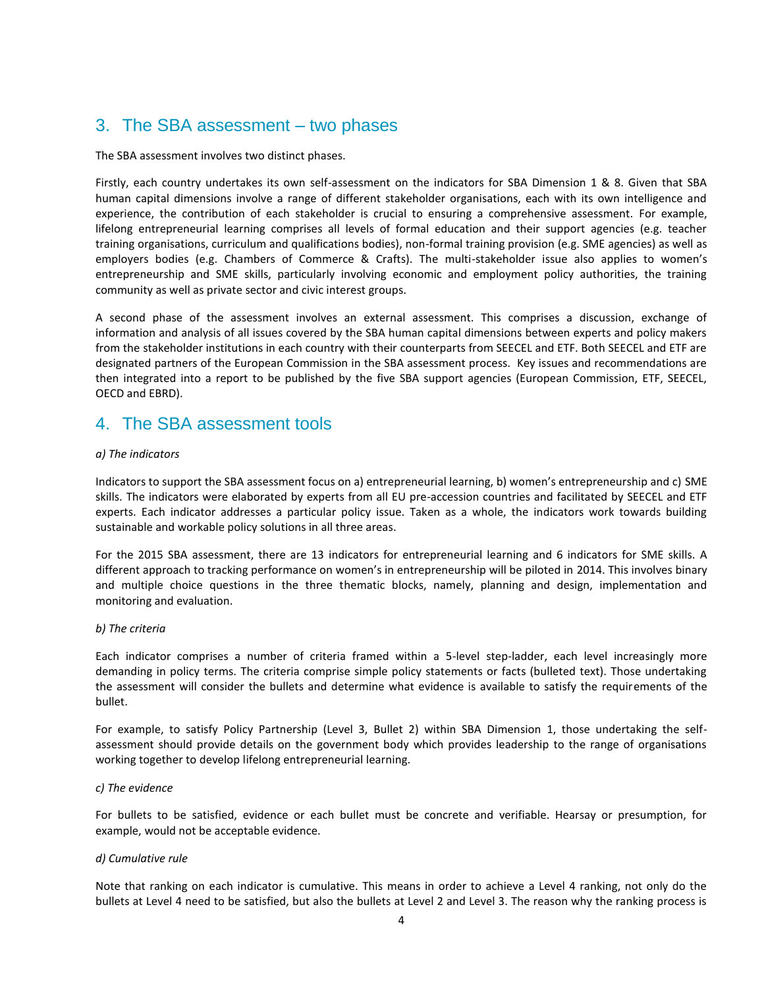# <span id="page-3-0"></span>3. The SBA assessment – two phases

The SBA assessment involves two distinct phases.

Firstly, each country undertakes its own self-assessment on the indicators for SBA Dimension 1 & 8. Given that SBA human capital dimensions involve a range of different stakeholder organisations, each with its own intelligence and experience, the contribution of each stakeholder is crucial to ensuring a comprehensive assessment. For example, lifelong entrepreneurial learning comprises all levels of formal education and their support agencies (e.g. teacher training organisations, curriculum and qualifications bodies), non-formal training provision (e.g. SME agencies) as well as employers bodies (e.g. Chambers of Commerce & Crafts). The multi-stakeholder issue also applies to women's entrepreneurship and SME skills, particularly involving economic and employment policy authorities, the training community as well as private sector and civic interest groups.

A second phase of the assessment involves an external assessment. This comprises a discussion, exchange of information and analysis of all issues covered by the SBA human capital dimensions between experts and policy makers from the stakeholder institutions in each country with their counterparts from SEECEL and ETF. Both SEECEL and ETF are designated partners of the European Commission in the SBA assessment process. Key issues and recommendations are then integrated into a report to be published by the five SBA support agencies (European Commission, ETF, SEECEL, OECD and EBRD).

# <span id="page-3-1"></span>4. The SBA assessment tools

#### *a) The indicators*

Indicators to support the SBA assessment focus on a) entrepreneurial learning, b) women's entrepreneurship and c) SME skills. The indicators were elaborated by experts from all EU pre-accession countries and facilitated by SEECEL and ETF experts. Each indicator addresses a particular policy issue. Taken as a whole, the indicators work towards building sustainable and workable policy solutions in all three areas.

For the 2015 SBA assessment, there are 13 indicators for entrepreneurial learning and 6 indicators for SME skills. A different approach to tracking performance on women's in entrepreneurship will be piloted in 2014. This involves binary and multiple choice questions in the three thematic blocks, namely, planning and design, implementation and monitoring and evaluation.

#### *b) The criteria*

Each indicator comprises a number of criteria framed within a 5-level step-ladder, each level increasingly more demanding in policy terms. The criteria comprise simple policy statements or facts (bulleted text). Those undertaking the assessment will consider the bullets and determine what evidence is available to satisfy the requirements of the bullet.

For example, to satisfy Policy Partnership (Level 3, Bullet 2) within SBA Dimension 1, those undertaking the selfassessment should provide details on the government body which provides leadership to the range of organisations working together to develop lifelong entrepreneurial learning.

#### *c) The evidence*

For bullets to be satisfied, evidence or each bullet must be concrete and verifiable. Hearsay or presumption, for example, would not be acceptable evidence.

#### *d) Cumulative rule*

Note that ranking on each indicator is cumulative. This means in order to achieve a Level 4 ranking, not only do the bullets at Level 4 need to be satisfied, but also the bullets at Level 2 and Level 3. The reason why the ranking process is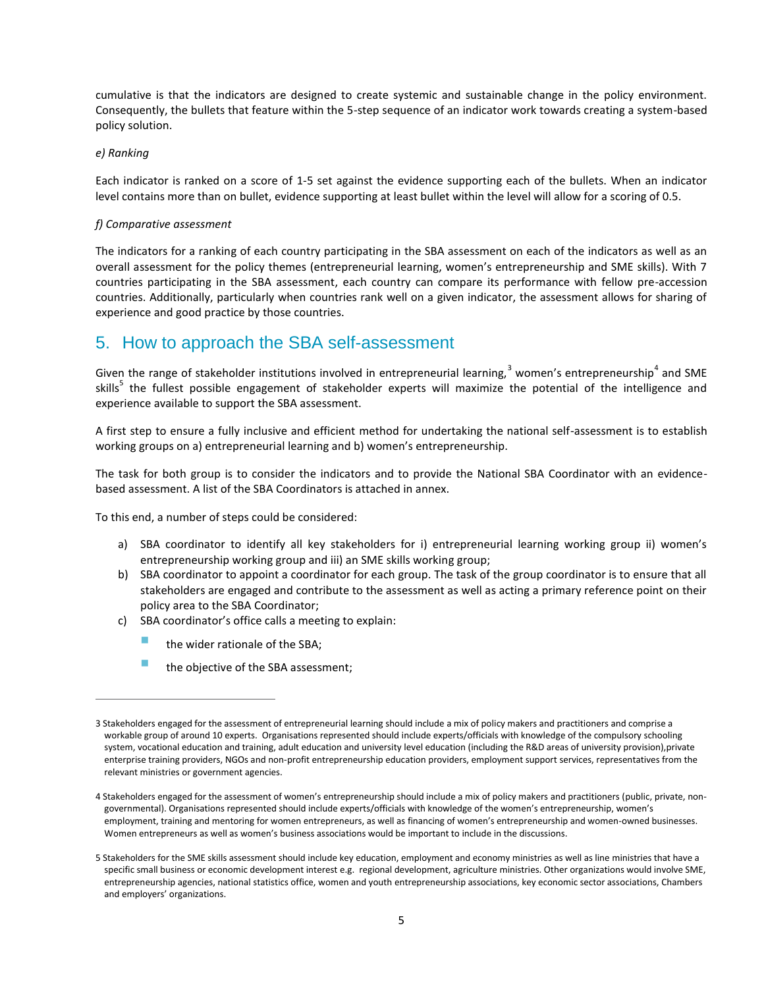cumulative is that the indicators are designed to create systemic and sustainable change in the policy environment. Consequently, the bullets that feature within the 5-step sequence of an indicator work towards creating a system-based policy solution.

#### *e) Ranking*

 $\overline{a}$ 

Each indicator is ranked on a score of 1-5 set against the evidence supporting each of the bullets. When an indicator level contains more than on bullet, evidence supporting at least bullet within the level will allow for a scoring of 0.5.

#### *f) Comparative assessment*

The indicators for a ranking of each country participating in the SBA assessment on each of the indicators as well as an overall assessment for the policy themes (entrepreneurial learning, women's entrepreneurship and SME skills). With 7 countries participating in the SBA assessment, each country can compare its performance with fellow pre-accession countries. Additionally, particularly when countries rank well on a given indicator, the assessment allows for sharing of experience and good practice by those countries.

# <span id="page-4-0"></span>5. How to approach the SBA self-assessment

Given the range of stakeholder institutions involved in entrepreneurial learning,<sup>3</sup> women's entrepreneurship<sup>4</sup> and SME skills<sup>5</sup> the fullest possible engagement of stakeholder experts will maximize the potential of the intelligence and experience available to support the SBA assessment.

A first step to ensure a fully inclusive and efficient method for undertaking the national self-assessment is to establish working groups on a) entrepreneurial learning and b) women's entrepreneurship.

The task for both group is to consider the indicators and to provide the National SBA Coordinator with an evidencebased assessment. A list of the SBA Coordinators is attached in annex.

To this end, a number of steps could be considered:

- a) SBA coordinator to identify all key stakeholders for i) entrepreneurial learning working group ii) women's entrepreneurship working group and iii) an SME skills working group;
- b) SBA coordinator to appoint a coordinator for each group. The task of the group coordinator is to ensure that all stakeholders are engaged and contribute to the assessment as well as acting a primary reference point on their policy area to the SBA Coordinator;
- c) SBA coordinator's office calls a meeting to explain:
	- the wider rationale of the SBA;
	- the objective of the SBA assessment;

<sup>3</sup> Stakeholders engaged for the assessment of entrepreneurial learning should include a mix of policy makers and practitioners and comprise a workable group of around 10 experts. Organisations represented should include experts/officials with knowledge of the compulsory schooling system, vocational education and training, adult education and university level education (including the R&D areas of university provision),private enterprise training providers, NGOs and non-profit entrepreneurship education providers, employment support services, representatives from the relevant ministries or government agencies.

<sup>4</sup> Stakeholders engaged for the assessment of women's entrepreneurship should include a mix of policy makers and practitioners (public, private, nongovernmental). Organisations represented should include experts/officials with knowledge of the women's entrepreneurship, women's employment, training and mentoring for women entrepreneurs, as well as financing of women's entrepreneurship and women-owned businesses. Women entrepreneurs as well as women's business associations would be important to include in the discussions.

<sup>5</sup> Stakeholders for the SME skills assessment should include key education, employment and economy ministries as well as line ministries that have a specific small business or economic development interest e.g. regional development, agriculture ministries. Other organizations would involve SME, entrepreneurship agencies, national statistics office, women and youth entrepreneurship associations, key economic sector associations, Chambers and employers' organizations.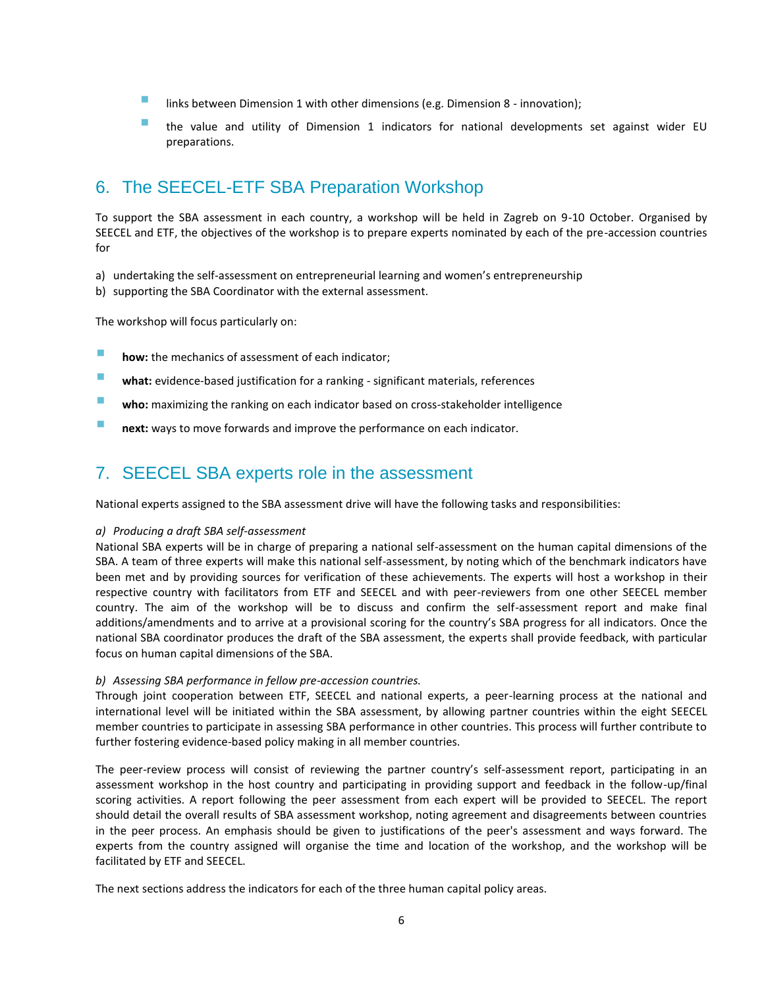- links between Dimension 1 with other dimensions (e.g. Dimension 8 innovation);
- the value and utility of Dimension 1 indicators for national developments set against wider EU preparations.

# <span id="page-5-0"></span>6. The SEECEL-ETF SBA Preparation Workshop

To support the SBA assessment in each country, a workshop will be held in Zagreb on 9-10 October. Organised by SEECEL and ETF, the objectives of the workshop is to prepare experts nominated by each of the pre-accession countries for

- a) undertaking the self-assessment on entrepreneurial learning and women's entrepreneurship
- b) supporting the SBA Coordinator with the external assessment.

The workshop will focus particularly on:

- **how:** the mechanics of assessment of each indicator;
- **what:** evidence-based justification for a ranking significant materials, references
- **who:** maximizing the ranking on each indicator based on cross-stakeholder intelligence
- **next:** ways to move forwards and improve the performance on each indicator.

# <span id="page-5-1"></span>7. SEECEL SBA experts role in the assessment

National experts assigned to the SBA assessment drive will have the following tasks and responsibilities:

#### *a) Producing a draft SBA self-assessment*

National SBA experts will be in charge of preparing a national self-assessment on the human capital dimensions of the SBA. A team of three experts will make this national self-assessment, by noting which of the benchmark indicators have been met and by providing sources for verification of these achievements. The experts will host a workshop in their respective country with facilitators from ETF and SEECEL and with peer-reviewers from one other SEECEL member country. The aim of the workshop will be to discuss and confirm the self-assessment report and make final additions/amendments and to arrive at a provisional scoring for the country's SBA progress for all indicators. Once the national SBA coordinator produces the draft of the SBA assessment, the experts shall provide feedback, with particular focus on human capital dimensions of the SBA.

#### *b) Assessing SBA performance in fellow pre-accession countries.*

Through joint cooperation between ETF, SEECEL and national experts, a peer-learning process at the national and international level will be initiated within the SBA assessment, by allowing partner countries within the eight SEECEL member countries to participate in assessing SBA performance in other countries. This process will further contribute to further fostering evidence-based policy making in all member countries.

The peer-review process will consist of reviewing the partner country's self-assessment report, participating in an assessment workshop in the host country and participating in providing support and feedback in the follow-up/final scoring activities. A report following the peer assessment from each expert will be provided to SEECEL. The report should detail the overall results of SBA assessment workshop, noting agreement and disagreements between countries in the peer process. An emphasis should be given to justifications of the peer's assessment and ways forward. The experts from the country assigned will organise the time and location of the workshop, and the workshop will be facilitated by ETF and SEECEL.

The next sections address the indicators for each of the three human capital policy areas.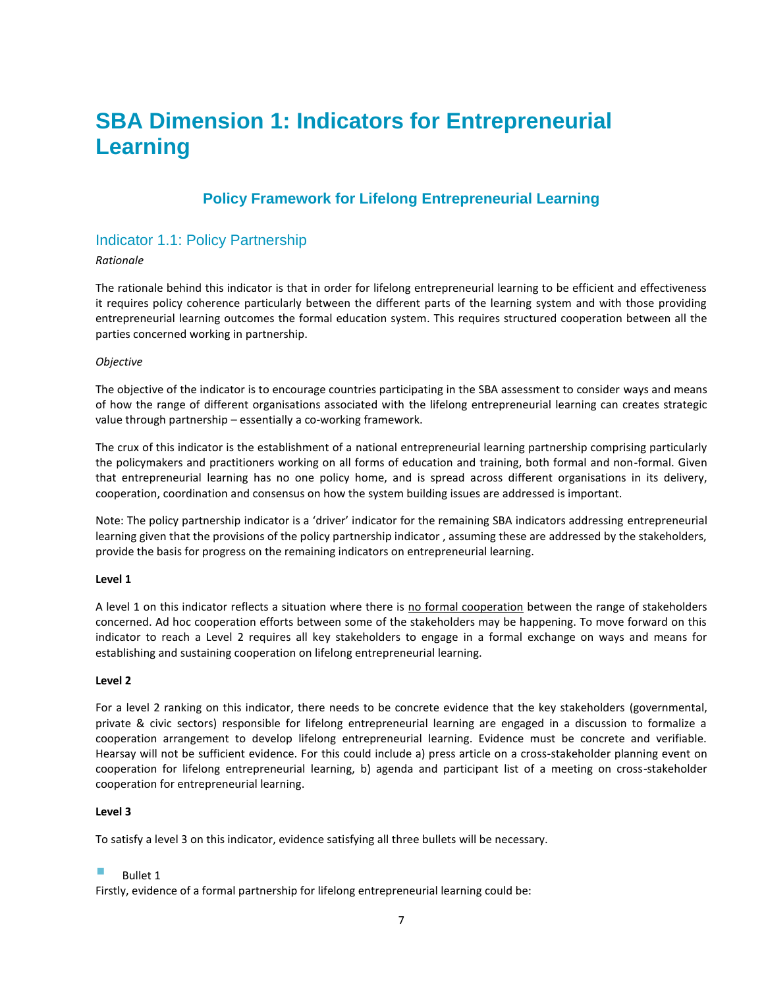# <span id="page-6-0"></span>**SBA Dimension 1: Indicators for Entrepreneurial Learning**

# **Policy Framework for Lifelong Entrepreneurial Learning**

# <span id="page-6-2"></span><span id="page-6-1"></span>Indicator 1.1: Policy Partnership

#### *Rationale*

The rationale behind this indicator is that in order for lifelong entrepreneurial learning to be efficient and effectiveness it requires policy coherence particularly between the different parts of the learning system and with those providing entrepreneurial learning outcomes the formal education system. This requires structured cooperation between all the parties concerned working in partnership.

#### *Objective*

The objective of the indicator is to encourage countries participating in the SBA assessment to consider ways and means of how the range of different organisations associated with the lifelong entrepreneurial learning can creates strategic value through partnership – essentially a co-working framework.

The crux of this indicator is the establishment of a national entrepreneurial learning partnership comprising particularly the policymakers and practitioners working on all forms of education and training, both formal and non-formal. Given that entrepreneurial learning has no one policy home, and is spread across different organisations in its delivery, cooperation, coordination and consensus on how the system building issues are addressed is important.

Note: The policy partnership indicator is a 'driver' indicator for the remaining SBA indicators addressing entrepreneurial learning given that the provisions of the policy partnership indicator , assuming these are addressed by the stakeholders, provide the basis for progress on the remaining indicators on entrepreneurial learning.

#### **Level 1**

A level 1 on this indicator reflects a situation where there is no formal cooperation between the range of stakeholders concerned. Ad hoc cooperation efforts between some of the stakeholders may be happening. To move forward on this indicator to reach a Level 2 requires all key stakeholders to engage in a formal exchange on ways and means for establishing and sustaining cooperation on lifelong entrepreneurial learning.

#### **Level 2**

For a level 2 ranking on this indicator, there needs to be concrete evidence that the key stakeholders (governmental, private & civic sectors) responsible for lifelong entrepreneurial learning are engaged in a discussion to formalize a cooperation arrangement to develop lifelong entrepreneurial learning. Evidence must be concrete and verifiable. Hearsay will not be sufficient evidence. For this could include a) press article on a cross-stakeholder planning event on cooperation for lifelong entrepreneurial learning, b) agenda and participant list of a meeting on cross-stakeholder cooperation for entrepreneurial learning.

#### **Level 3**

To satisfy a level 3 on this indicator, evidence satisfying all three bullets will be necessary.

#### Bullet 1

Firstly, evidence of a formal partnership for lifelong entrepreneurial learning could be: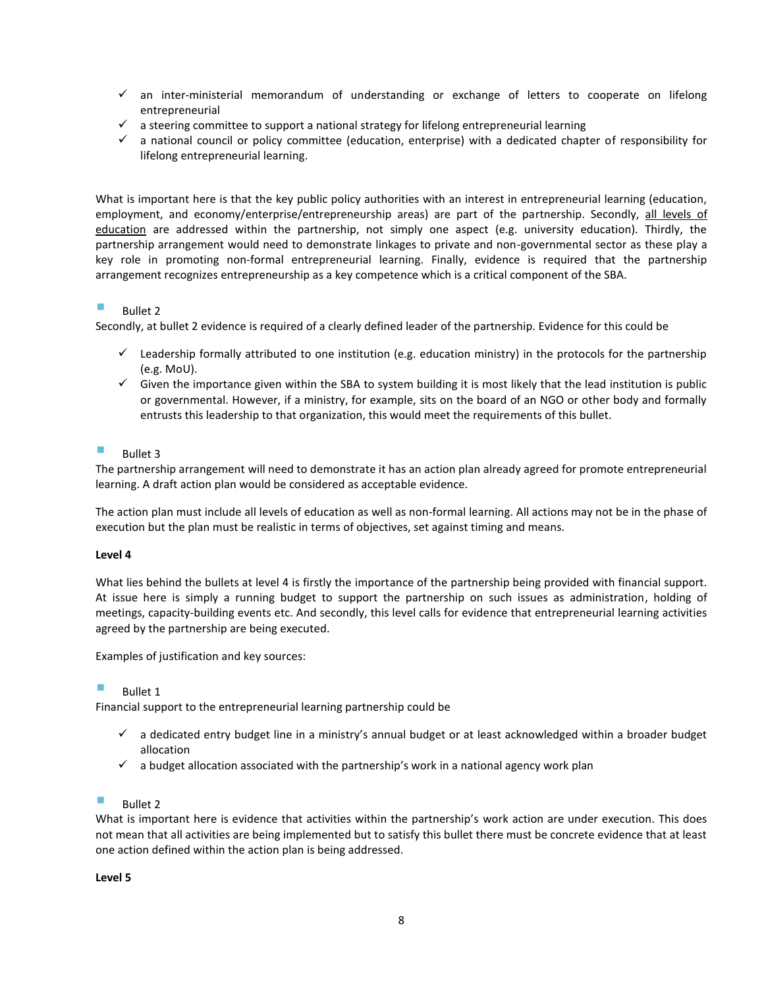- $\checkmark$  an inter-ministerial memorandum of understanding or exchange of letters to cooperate on lifelong entrepreneurial
- $\checkmark$  a steering committee to support a national strategy for lifelong entrepreneurial learning
- $\checkmark$  a national council or policy committee (education, enterprise) with a dedicated chapter of responsibility for lifelong entrepreneurial learning.

What is important here is that the key public policy authorities with an interest in entrepreneurial learning (education, employment, and economy/enterprise/entrepreneurship areas) are part of the partnership. Secondly, all levels of education are addressed within the partnership, not simply one aspect (e.g. university education). Thirdly, the partnership arrangement would need to demonstrate linkages to private and non-governmental sector as these play a key role in promoting non-formal entrepreneurial learning. Finally, evidence is required that the partnership arrangement recognizes entrepreneurship as a key competence which is a critical component of the SBA.

#### Bullet 2

Secondly, at bullet 2 evidence is required of a clearly defined leader of the partnership. Evidence for this could be

- $\checkmark$  Leadership formally attributed to one institution (e.g. education ministry) in the protocols for the partnership (e.g. MoU).
- $\checkmark$  Given the importance given within the SBA to system building it is most likely that the lead institution is public or governmental. However, if a ministry, for example, sits on the board of an NGO or other body and formally entrusts this leadership to that organization, this would meet the requirements of this bullet.

#### Bullet 3

The partnership arrangement will need to demonstrate it has an action plan already agreed for promote entrepreneurial learning. A draft action plan would be considered as acceptable evidence.

The action plan must include all levels of education as well as non-formal learning. All actions may not be in the phase of execution but the plan must be realistic in terms of objectives, set against timing and means.

#### **Level 4**

What lies behind the bullets at level 4 is firstly the importance of the partnership being provided with financial support. At issue here is simply a running budget to support the partnership on such issues as administration, holding of meetings, capacity-building events etc. And secondly, this level calls for evidence that entrepreneurial learning activities agreed by the partnership are being executed.

Examples of justification and key sources:

Bullet 1

Financial support to the entrepreneurial learning partnership could be

- $\checkmark$  a dedicated entry budget line in a ministry's annual budget or at least acknowledged within a broader budget allocation
- $\checkmark$  a budget allocation associated with the partnership's work in a national agency work plan

Bullet 2

What is important here is evidence that activities within the partnership's work action are under execution. This does not mean that all activities are being implemented but to satisfy this bullet there must be concrete evidence that at least one action defined within the action plan is being addressed.

**Level 5**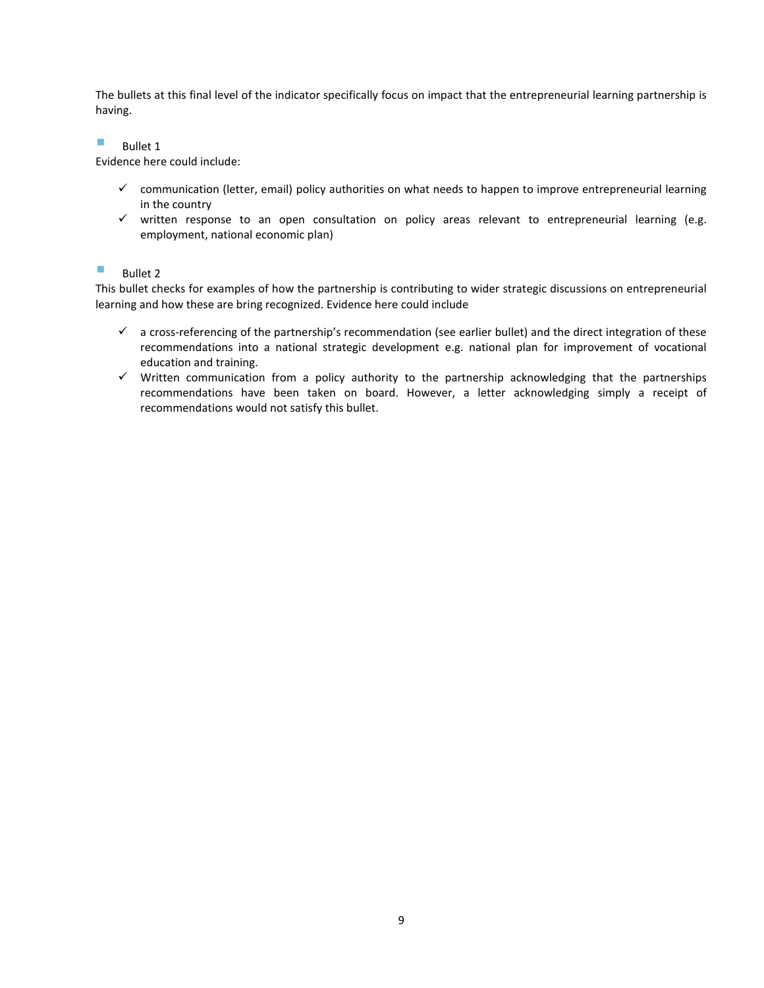The bullets at this final level of the indicator specifically focus on impact that the entrepreneurial learning partnership is having.

 $B$ ullet 1

Evidence here could include:

- $\checkmark$  communication (letter, email) policy authorities on what needs to happen to improve entrepreneurial learning in the country
- $\checkmark$  written response to an open consultation on policy areas relevant to entrepreneurial learning (e.g. employment, national economic plan)

#### $B$ ullet 2

This bullet checks for examples of how the partnership is contributing to wider strategic discussions on entrepreneurial learning and how these are bring recognized. Evidence here could include

- $\checkmark$  a cross-referencing of the partnership's recommendation (see earlier bullet) and the direct integration of these recommendations into a national strategic development e.g. national plan for improvement of vocational education and training.
- $\checkmark$  Written communication from a policy authority to the partnership acknowledging that the partnerships recommendations have been taken on board. However, a letter acknowledging simply a receipt of recommendations would not satisfy this bullet.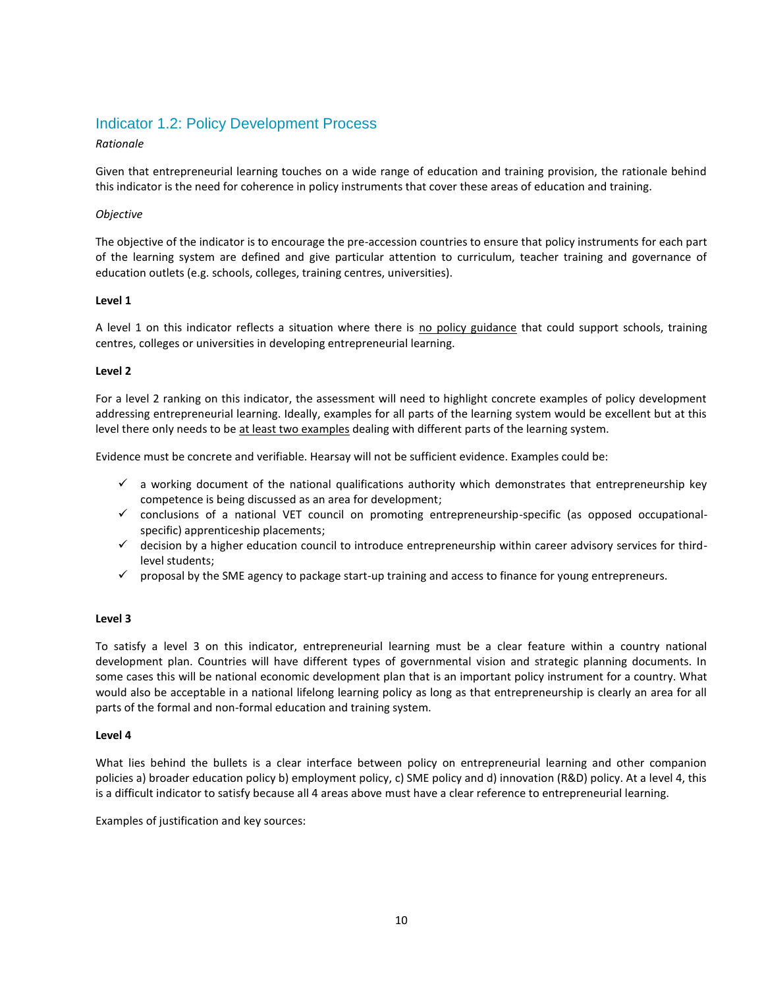## <span id="page-9-0"></span>Indicator 1.2: Policy Development Process

#### *Rationale*

Given that entrepreneurial learning touches on a wide range of education and training provision, the rationale behind this indicator is the need for coherence in policy instruments that cover these areas of education and training.

#### *Objective*

The objective of the indicator is to encourage the pre-accession countries to ensure that policy instruments for each part of the learning system are defined and give particular attention to curriculum, teacher training and governance of education outlets (e.g. schools, colleges, training centres, universities).

#### **Level 1**

A level 1 on this indicator reflects a situation where there is no policy guidance that could support schools, training centres, colleges or universities in developing entrepreneurial learning.

#### **Level 2**

For a level 2 ranking on this indicator, the assessment will need to highlight concrete examples of policy development addressing entrepreneurial learning. Ideally, examples for all parts of the learning system would be excellent but at this level there only needs to be at least two examples dealing with different parts of the learning system.

Evidence must be concrete and verifiable. Hearsay will not be sufficient evidence. Examples could be:

- $\checkmark$  a working document of the national qualifications authority which demonstrates that entrepreneurship key competence is being discussed as an area for development;
- $\checkmark$  conclusions of a national VET council on promoting entrepreneurship-specific (as opposed occupationalspecific) apprenticeship placements;
- $\checkmark$  decision by a higher education council to introduce entrepreneurship within career advisory services for thirdlevel students;
- $\checkmark$  proposal by the SME agency to package start-up training and access to finance for young entrepreneurs.

#### **Level 3**

To satisfy a level 3 on this indicator, entrepreneurial learning must be a clear feature within a country national development plan. Countries will have different types of governmental vision and strategic planning documents. In some cases this will be national economic development plan that is an important policy instrument for a country. What would also be acceptable in a national lifelong learning policy as long as that entrepreneurship is clearly an area for all parts of the formal and non-formal education and training system.

#### **Level 4**

What lies behind the bullets is a clear interface between policy on entrepreneurial learning and other companion policies a) broader education policy b) employment policy, c) SME policy and d) innovation (R&D) policy. At a level 4, this is a difficult indicator to satisfy because all 4 areas above must have a clear reference to entrepreneurial learning.

Examples of justification and key sources: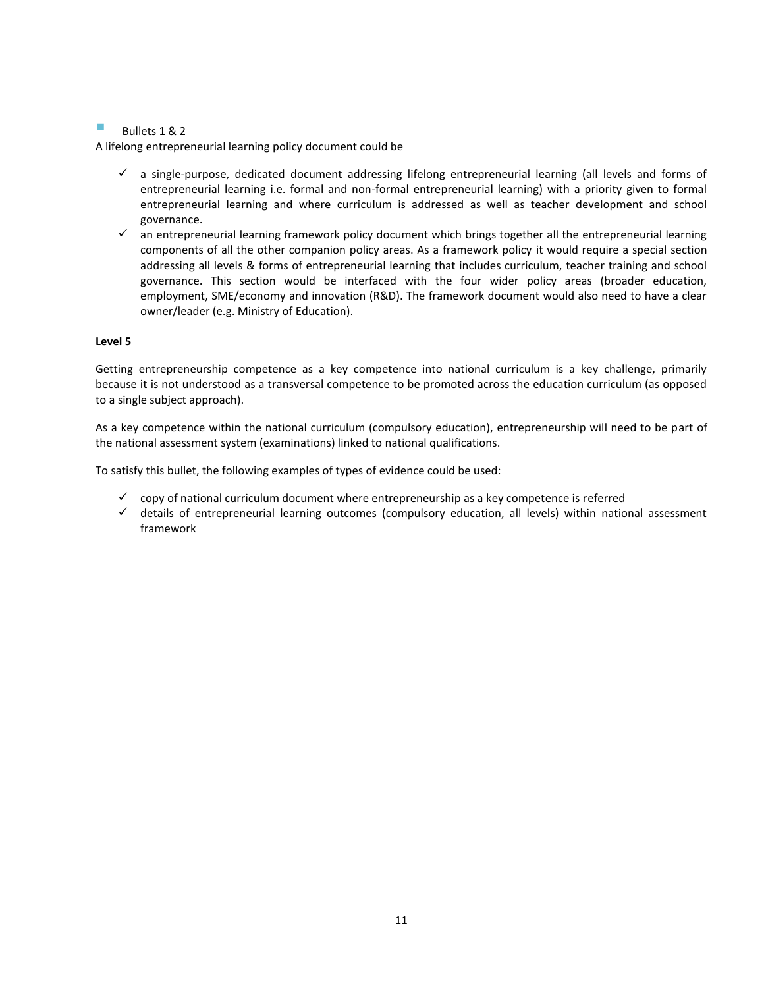#### Bullets 1 & 2

A lifelong entrepreneurial learning policy document could be

- $\checkmark$  a single-purpose, dedicated document addressing lifelong entrepreneurial learning (all levels and forms of entrepreneurial learning i.e. formal and non-formal entrepreneurial learning) with a priority given to formal entrepreneurial learning and where curriculum is addressed as well as teacher development and school governance.
- $\checkmark$  an entrepreneurial learning framework policy document which brings together all the entrepreneurial learning components of all the other companion policy areas. As a framework policy it would require a special section addressing all levels & forms of entrepreneurial learning that includes curriculum, teacher training and school governance. This section would be interfaced with the four wider policy areas (broader education, employment, SME/economy and innovation (R&D). The framework document would also need to have a clear owner/leader (e.g. Ministry of Education).

#### **Level 5**

Getting entrepreneurship competence as a key competence into national curriculum is a key challenge, primarily because it is not understood as a transversal competence to be promoted across the education curriculum (as opposed to a single subject approach).

As a key competence within the national curriculum (compulsory education), entrepreneurship will need to be part of the national assessment system (examinations) linked to national qualifications.

To satisfy this bullet, the following examples of types of evidence could be used:

- $\checkmark$  copy of national curriculum document where entrepreneurship as a key competence is referred
- $\checkmark$  details of entrepreneurial learning outcomes (compulsory education, all levels) within national assessment framework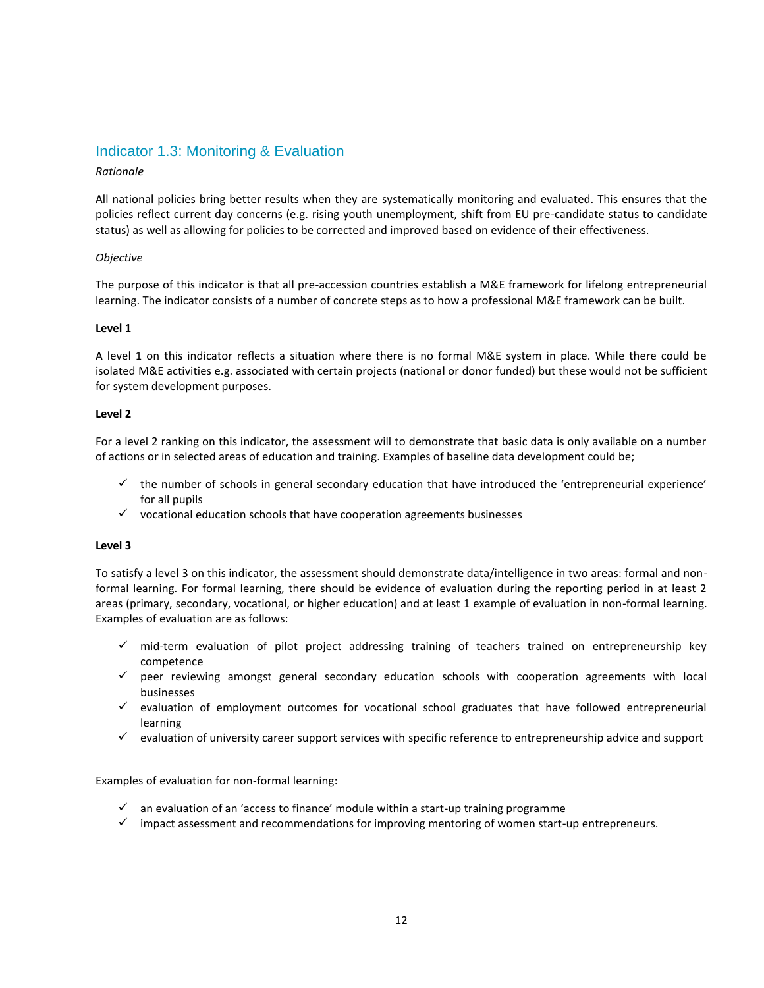## <span id="page-11-0"></span>Indicator 1.3: Monitoring & Evaluation

#### *Rationale*

All national policies bring better results when they are systematically monitoring and evaluated. This ensures that the policies reflect current day concerns (e.g. rising youth unemployment, shift from EU pre-candidate status to candidate status) as well as allowing for policies to be corrected and improved based on evidence of their effectiveness.

#### *Objective*

The purpose of this indicator is that all pre-accession countries establish a M&E framework for lifelong entrepreneurial learning. The indicator consists of a number of concrete steps as to how a professional M&E framework can be built.

#### **Level 1**

A level 1 on this indicator reflects a situation where there is no formal M&E system in place. While there could be isolated M&E activities e.g. associated with certain projects (national or donor funded) but these would not be sufficient for system development purposes.

#### **Level 2**

For a level 2 ranking on this indicator, the assessment will to demonstrate that basic data is only available on a number of actions or in selected areas of education and training. Examples of baseline data development could be;

- $\checkmark$  the number of schools in general secondary education that have introduced the 'entrepreneurial experience' for all pupils
- $\checkmark$  vocational education schools that have cooperation agreements businesses

#### **Level 3**

To satisfy a level 3 on this indicator, the assessment should demonstrate data/intelligence in two areas: formal and nonformal learning. For formal learning, there should be evidence of evaluation during the reporting period in at least 2 areas (primary, secondary, vocational, or higher education) and at least 1 example of evaluation in non-formal learning. Examples of evaluation are as follows:

- $\checkmark$  mid-term evaluation of pilot project addressing training of teachers trained on entrepreneurship key competence
- peer reviewing amongst general secondary education schools with cooperation agreements with local businesses
- $\checkmark$  evaluation of employment outcomes for vocational school graduates that have followed entrepreneurial learning
- $\checkmark$  evaluation of university career support services with specific reference to entrepreneurship advice and support

Examples of evaluation for non-formal learning:

- $\checkmark$  an evaluation of an 'access to finance' module within a start-up training programme
- $\checkmark$  impact assessment and recommendations for improving mentoring of women start-up entrepreneurs.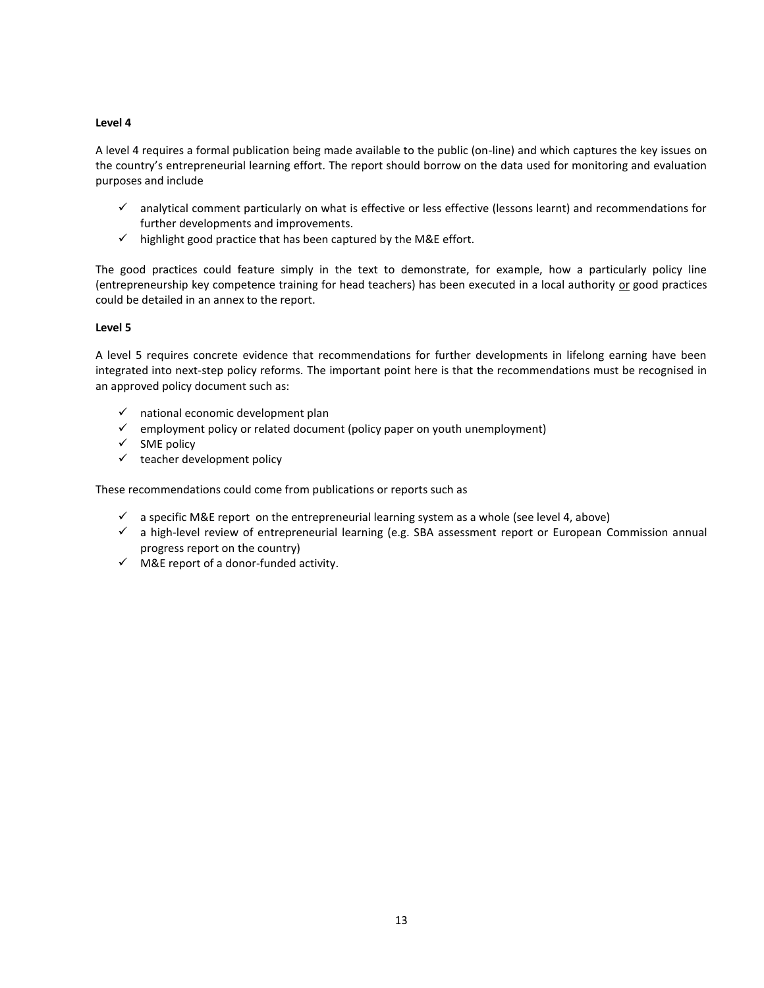A level 4 requires a formal publication being made available to the public (on-line) and which captures the key issues on the country's entrepreneurial learning effort. The report should borrow on the data used for monitoring and evaluation purposes and include

- $\checkmark$  analytical comment particularly on what is effective or less effective (lessons learnt) and recommendations for further developments and improvements.
- $\checkmark$  highlight good practice that has been captured by the M&E effort.

The good practices could feature simply in the text to demonstrate, for example, how a particularly policy line (entrepreneurship key competence training for head teachers) has been executed in a local authority or good practices could be detailed in an annex to the report.

#### **Level 5**

A level 5 requires concrete evidence that recommendations for further developments in lifelong earning have been integrated into next-step policy reforms. The important point here is that the recommendations must be recognised in an approved policy document such as:

- $\checkmark$  national economic development plan
- $\checkmark$  employment policy or related document (policy paper on youth unemployment)
- $\checkmark$  SME policy
- $\checkmark$  teacher development policy

These recommendations could come from publications or reports such as

- $\checkmark$  a specific M&E report on the entrepreneurial learning system as a whole (see level 4, above)
- $\checkmark$  a high-level review of entrepreneurial learning (e.g. SBA assessment report or European Commission annual progress report on the country)
- $\checkmark$  M&E report of a donor-funded activity.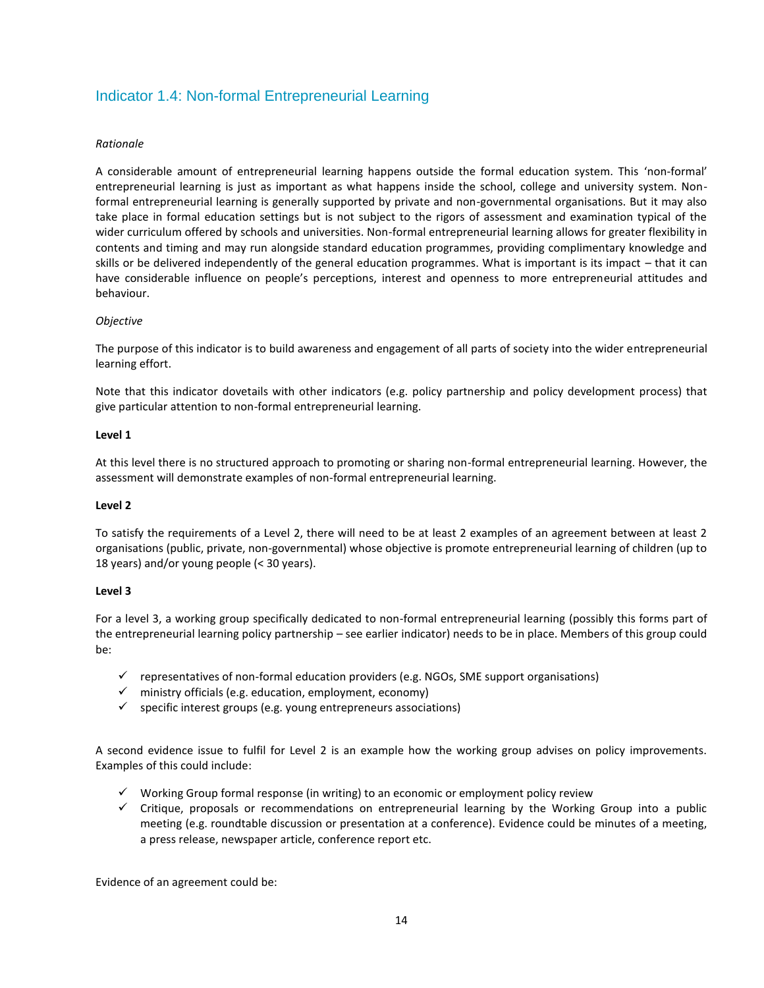# <span id="page-13-0"></span>Indicator 1.4: Non-formal Entrepreneurial Learning

#### *Rationale*

A considerable amount of entrepreneurial learning happens outside the formal education system. This 'non-formal' entrepreneurial learning is just as important as what happens inside the school, college and university system. Nonformal entrepreneurial learning is generally supported by private and non-governmental organisations. But it may also take place in formal education settings but is not subject to the rigors of assessment and examination typical of the wider curriculum offered by schools and universities. Non-formal entrepreneurial learning allows for greater flexibility in contents and timing and may run alongside standard education programmes, providing complimentary knowledge and skills or be delivered independently of the general education programmes. What is important is its impact – that it can have considerable influence on people's perceptions, interest and openness to more entrepreneurial attitudes and behaviour.

#### *Objective*

The purpose of this indicator is to build awareness and engagement of all parts of society into the wider entrepreneurial learning effort.

Note that this indicator dovetails with other indicators (e.g. policy partnership and policy development process) that give particular attention to non-formal entrepreneurial learning.

#### **Level 1**

At this level there is no structured approach to promoting or sharing non-formal entrepreneurial learning. However, the assessment will demonstrate examples of non-formal entrepreneurial learning.

#### **Level 2**

To satisfy the requirements of a Level 2, there will need to be at least 2 examples of an agreement between at least 2 organisations (public, private, non-governmental) whose objective is promote entrepreneurial learning of children (up to 18 years) and/or young people (< 30 years).

#### **Level 3**

For a level 3, a working group specifically dedicated to non-formal entrepreneurial learning (possibly this forms part of the entrepreneurial learning policy partnership – see earlier indicator) needs to be in place. Members of this group could be:

- $\checkmark$  representatives of non-formal education providers (e.g. NGOs, SME support organisations)
- $\checkmark$  ministry officials (e.g. education, employment, economy)
- $\checkmark$  specific interest groups (e.g. young entrepreneurs associations)

A second evidence issue to fulfil for Level 2 is an example how the working group advises on policy improvements. Examples of this could include:

- $\checkmark$  Working Group formal response (in writing) to an economic or employment policy review
- $\checkmark$  Critique, proposals or recommendations on entrepreneurial learning by the Working Group into a public meeting (e.g. roundtable discussion or presentation at a conference). Evidence could be minutes of a meeting, a press release, newspaper article, conference report etc.

Evidence of an agreement could be: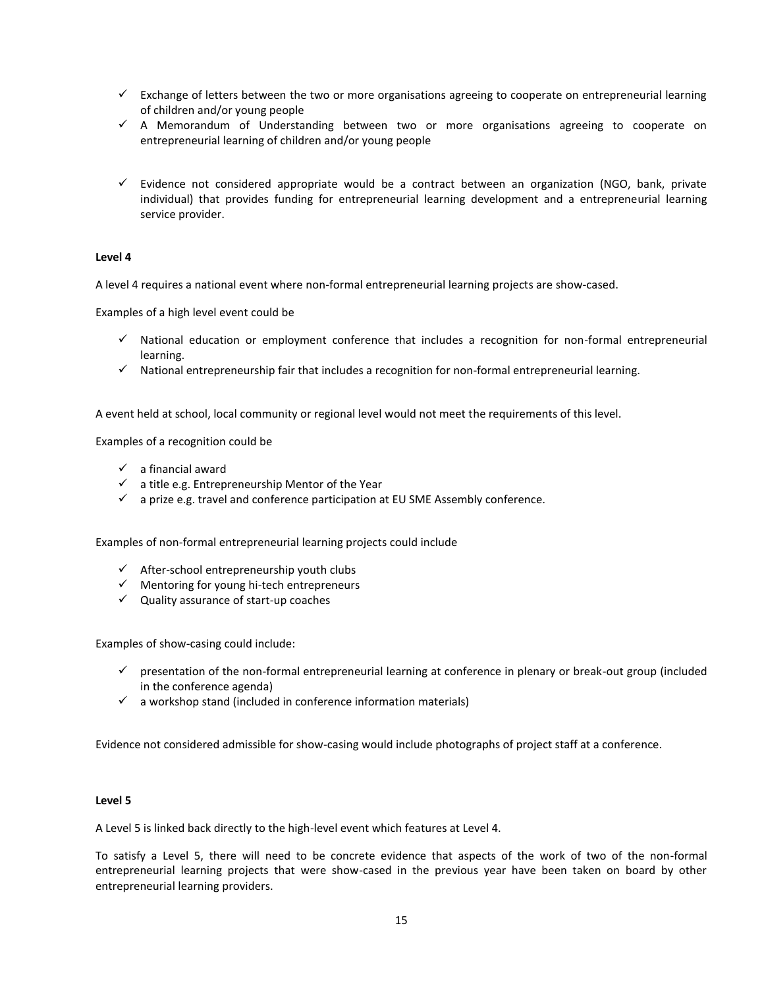- $\checkmark$  Exchange of letters between the two or more organisations agreeing to cooperate on entrepreneurial learning of children and/or young people
- $\checkmark$  A Memorandum of Understanding between two or more organisations agreeing to cooperate on entrepreneurial learning of children and/or young people
- $\checkmark$  Evidence not considered appropriate would be a contract between an organization (NGO, bank, private individual) that provides funding for entrepreneurial learning development and a entrepreneurial learning service provider.

A level 4 requires a national event where non-formal entrepreneurial learning projects are show-cased.

Examples of a high level event could be

- $\checkmark$  National education or employment conference that includes a recognition for non-formal entrepreneurial learning.
- $\checkmark$  National entrepreneurship fair that includes a recognition for non-formal entrepreneurial learning.

A event held at school, local community or regional level would not meet the requirements of this level.

Examples of a recognition could be

- $\checkmark$  a financial award
- $\checkmark$  a title e.g. Entrepreneurship Mentor of the Year
- $\checkmark$  a prize e.g. travel and conference participation at EU SME Assembly conference.

Examples of non-formal entrepreneurial learning projects could include

- $\checkmark$  After-school entrepreneurship youth clubs
- $\checkmark$  Mentoring for young hi-tech entrepreneurs
- $\checkmark$  Quality assurance of start-up coaches

Examples of show-casing could include:

- $\checkmark$  presentation of the non-formal entrepreneurial learning at conference in plenary or break-out group (included in the conference agenda)
- $\checkmark$  a workshop stand (included in conference information materials)

Evidence not considered admissible for show-casing would include photographs of project staff at a conference.

#### **Level 5**

A Level 5 is linked back directly to the high-level event which features at Level 4.

To satisfy a Level 5, there will need to be concrete evidence that aspects of the work of two of the non-formal entrepreneurial learning projects that were show-cased in the previous year have been taken on board by other entrepreneurial learning providers.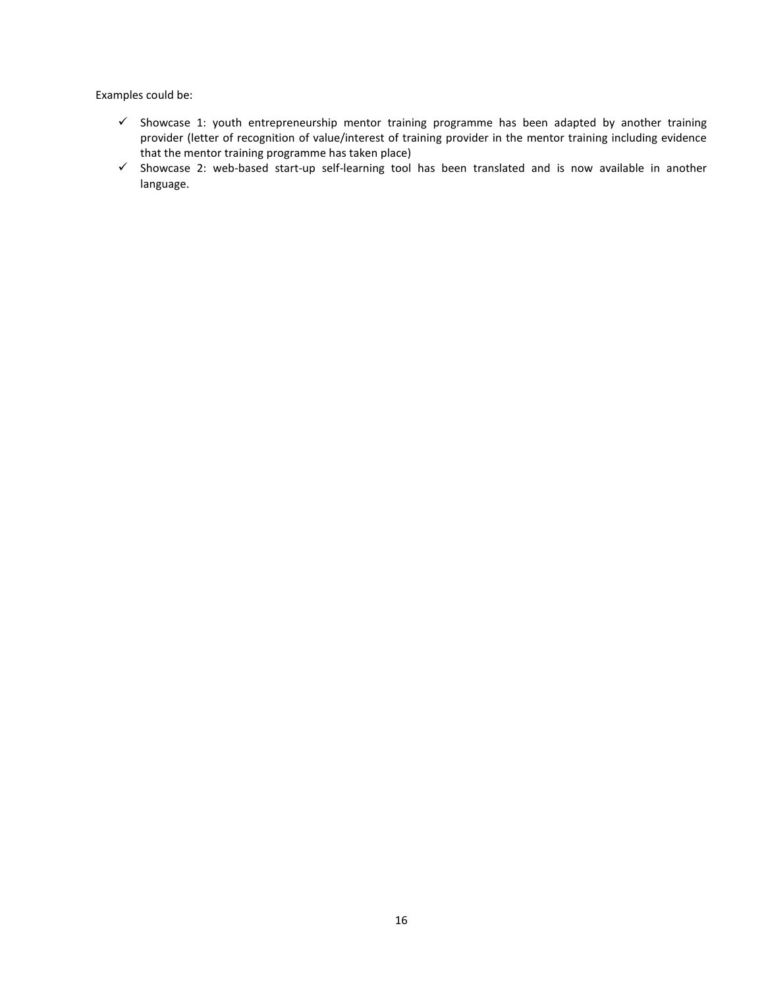Examples could be:

- $\checkmark$  Showcase 1: youth entrepreneurship mentor training programme has been adapted by another training provider (letter of recognition of value/interest of training provider in the mentor training including evidence that the mentor training programme has taken place)
- $\checkmark$  Showcase 2: web-based start-up self-learning tool has been translated and is now available in another language.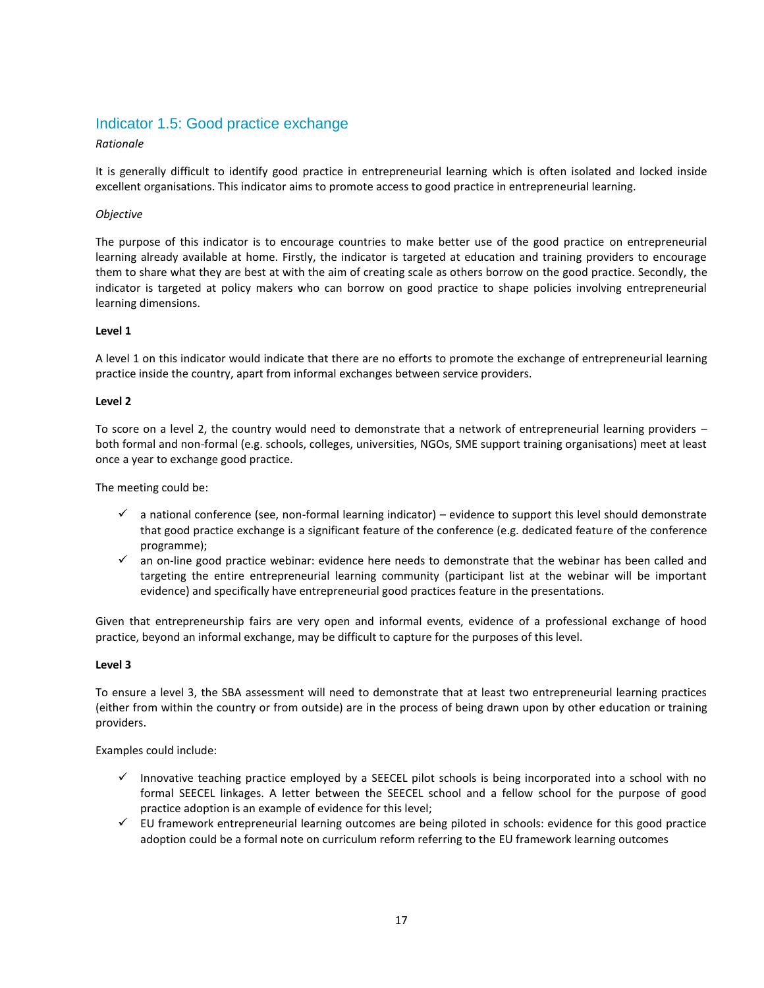## <span id="page-16-0"></span>Indicator 1.5: Good practice exchange

#### *Rationale*

It is generally difficult to identify good practice in entrepreneurial learning which is often isolated and locked inside excellent organisations. This indicator aims to promote access to good practice in entrepreneurial learning.

#### *Objective*

The purpose of this indicator is to encourage countries to make better use of the good practice on entrepreneurial learning already available at home. Firstly, the indicator is targeted at education and training providers to encourage them to share what they are best at with the aim of creating scale as others borrow on the good practice. Secondly, the indicator is targeted at policy makers who can borrow on good practice to shape policies involving entrepreneurial learning dimensions.

#### **Level 1**

A level 1 on this indicator would indicate that there are no efforts to promote the exchange of entrepreneurial learning practice inside the country, apart from informal exchanges between service providers.

#### **Level 2**

To score on a level 2, the country would need to demonstrate that a network of entrepreneurial learning providers – both formal and non-formal (e.g. schools, colleges, universities, NGOs, SME support training organisations) meet at least once a year to exchange good practice.

The meeting could be:

- $\checkmark$  a national conference (see, non-formal learning indicator) evidence to support this level should demonstrate that good practice exchange is a significant feature of the conference (e.g. dedicated feature of the conference programme);
- $\checkmark$  an on-line good practice webinar: evidence here needs to demonstrate that the webinar has been called and targeting the entire entrepreneurial learning community (participant list at the webinar will be important evidence) and specifically have entrepreneurial good practices feature in the presentations.

Given that entrepreneurship fairs are very open and informal events, evidence of a professional exchange of hood practice, beyond an informal exchange, may be difficult to capture for the purposes of this level.

#### **Level 3**

To ensure a level 3, the SBA assessment will need to demonstrate that at least two entrepreneurial learning practices (either from within the country or from outside) are in the process of being drawn upon by other education or training providers.

Examples could include:

- $\checkmark$  Innovative teaching practice employed by a SEECEL pilot schools is being incorporated into a school with no formal SEECEL linkages. A letter between the SEECEL school and a fellow school for the purpose of good practice adoption is an example of evidence for this level;
- $\checkmark$  EU framework entrepreneurial learning outcomes are being piloted in schools: evidence for this good practice adoption could be a formal note on curriculum reform referring to the EU framework learning outcomes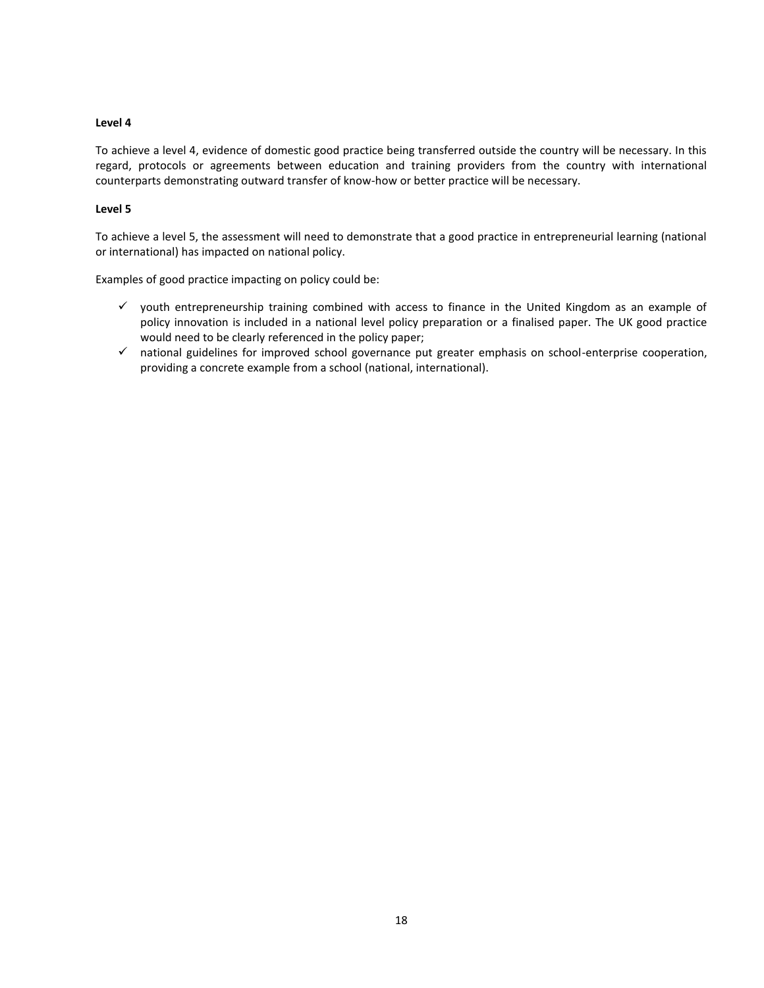To achieve a level 4, evidence of domestic good practice being transferred outside the country will be necessary. In this regard, protocols or agreements between education and training providers from the country with international counterparts demonstrating outward transfer of know-how or better practice will be necessary.

#### **Level 5**

To achieve a level 5, the assessment will need to demonstrate that a good practice in entrepreneurial learning (national or international) has impacted on national policy.

Examples of good practice impacting on policy could be:

- $\checkmark$  youth entrepreneurship training combined with access to finance in the United Kingdom as an example of policy innovation is included in a national level policy preparation or a finalised paper. The UK good practice would need to be clearly referenced in the policy paper;
- $\checkmark$  national guidelines for improved school governance put greater emphasis on school-enterprise cooperation, providing a concrete example from a school (national, international).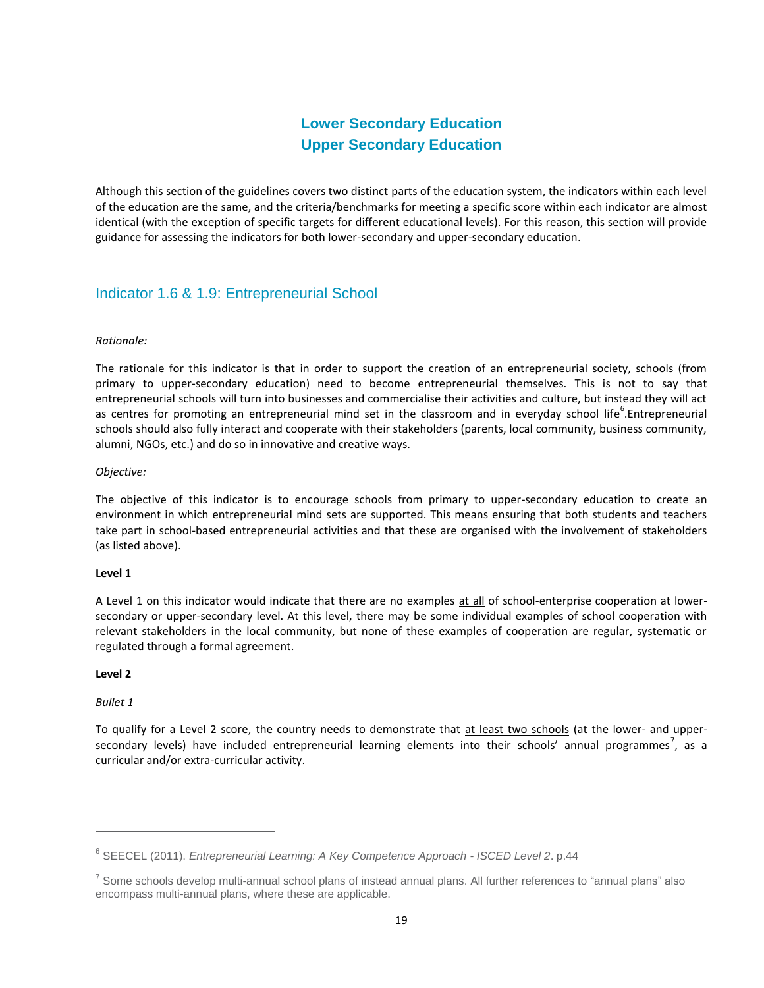# **Lower Secondary Education Upper Secondary Education**

<span id="page-18-1"></span><span id="page-18-0"></span>Although this section of the guidelines covers two distinct parts of the education system, the indicators within each level of the education are the same, and the criteria/benchmarks for meeting a specific score within each indicator are almost identical (with the exception of specific targets for different educational levels). For this reason, this section will provide guidance for assessing the indicators for both lower-secondary and upper-secondary education.

# <span id="page-18-2"></span>Indicator 1.6 & 1.9: Entrepreneurial School

#### *Rationale:*

The rationale for this indicator is that in order to support the creation of an entrepreneurial society, schools (from primary to upper-secondary education) need to become entrepreneurial themselves. This is not to say that entrepreneurial schools will turn into businesses and commercialise their activities and culture, but instead they will act as centres for promoting an entrepreneurial mind set in the classroom and in everyday school life<sup>6</sup>.Entrepreneurial schools should also fully interact and cooperate with their stakeholders (parents, local community, business community, alumni, NGOs, etc.) and do so in innovative and creative ways.

#### *Objective:*

The objective of this indicator is to encourage schools from primary to upper-secondary education to create an environment in which entrepreneurial mind sets are supported. This means ensuring that both students and teachers take part in school-based entrepreneurial activities and that these are organised with the involvement of stakeholders (as listed above).

#### **Level 1**

A Level 1 on this indicator would indicate that there are no examples at all of school-enterprise cooperation at lowersecondary or upper-secondary level. At this level, there may be some individual examples of school cooperation with relevant stakeholders in the local community, but none of these examples of cooperation are regular, systematic or regulated through a formal agreement.

#### **Level 2**

#### *Bullet 1*

 $\overline{a}$ 

To qualify for a Level 2 score, the country needs to demonstrate that at least two schools (at the lower- and uppersecondary levels) have included entrepreneurial learning elements into their schools' annual programmes<sup>7</sup>, as a curricular and/or extra-curricular activity.

<sup>6</sup> SEECEL (2011). *Entrepreneurial Learning: A Key Competence Approach - ISCED Level 2*. p.44

<sup>&</sup>lt;sup>7</sup> Some schools develop multi-annual school plans of instead annual plans. All further references to "annual plans" also encompass multi-annual plans, where these are applicable.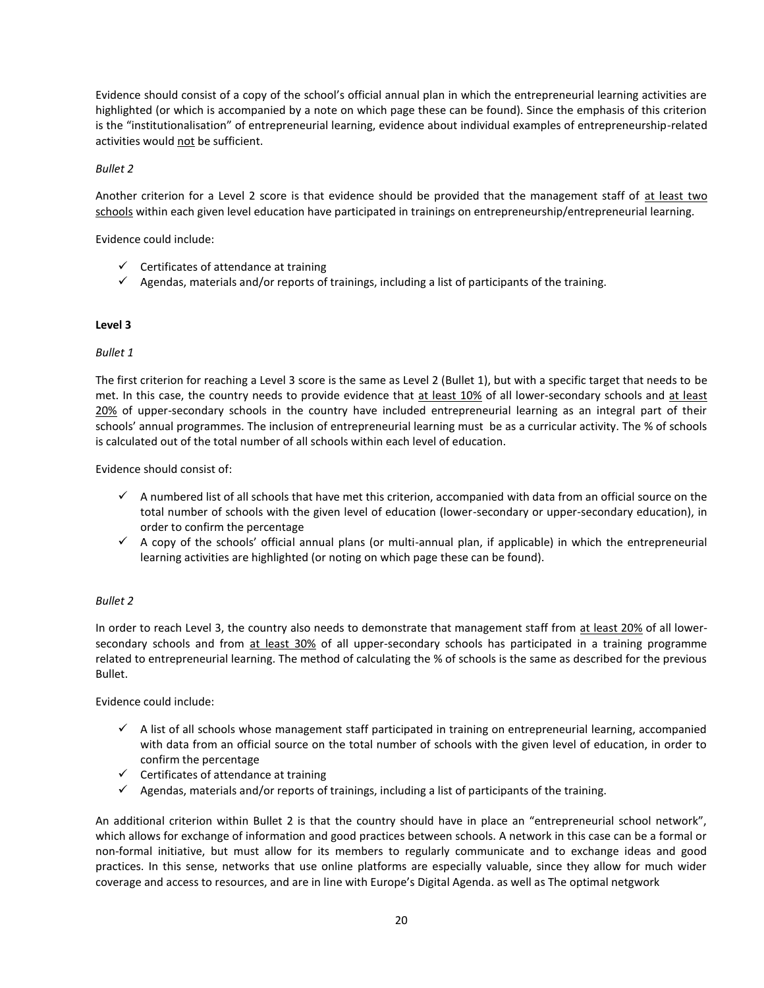Evidence should consist of a copy of the school's official annual plan in which the entrepreneurial learning activities are highlighted (or which is accompanied by a note on which page these can be found). Since the emphasis of this criterion is the "institutionalisation" of entrepreneurial learning, evidence about individual examples of entrepreneurship-related activities would not be sufficient.

#### *Bullet 2*

Another criterion for a Level 2 score is that evidence should be provided that the management staff of at least two schools within each given level education have participated in trainings on entrepreneurship/entrepreneurial learning.

Evidence could include:

- $\checkmark$  Certificates of attendance at training
- $\checkmark$  Agendas, materials and/or reports of trainings, including a list of participants of the training.

#### **Level 3**

#### *Bullet 1*

The first criterion for reaching a Level 3 score is the same as Level 2 (Bullet 1), but with a specific target that needs to be met. In this case, the country needs to provide evidence that at least 10% of all lower-secondary schools and at least 20% of upper-secondary schools in the country have included entrepreneurial learning as an integral part of their schools' annual programmes. The inclusion of entrepreneurial learning must be as a curricular activity. The % of schools is calculated out of the total number of all schools within each level of education.

Evidence should consist of:

- $\checkmark$  A numbered list of all schools that have met this criterion, accompanied with data from an official source on the total number of schools with the given level of education (lower-secondary or upper-secondary education), in order to confirm the percentage
- $\checkmark$  A copy of the schools' official annual plans (or multi-annual plan, if applicable) in which the entrepreneurial learning activities are highlighted (or noting on which page these can be found).

#### *Bullet 2*

In order to reach Level 3, the country also needs to demonstrate that management staff from at least 20% of all lowersecondary schools and from at least 30% of all upper-secondary schools has participated in a training programme related to entrepreneurial learning. The method of calculating the % of schools is the same as described for the previous Bullet.

Evidence could include:

- $\checkmark$  A list of all schools whose management staff participated in training on entrepreneurial learning, accompanied with data from an official source on the total number of schools with the given level of education, in order to confirm the percentage
- $\checkmark$  Certificates of attendance at training
- $\checkmark$  Agendas, materials and/or reports of trainings, including a list of participants of the training.

An additional criterion within Bullet 2 is that the country should have in place an "entrepreneurial school network", which allows for exchange of information and good practices between schools. A network in this case can be a formal or non-formal initiative, but must allow for its members to regularly communicate and to exchange ideas and good practices. In this sense, networks that use online platforms are especially valuable, since they allow for much wider coverage and access to resources, and are in line with Europe's Digital Agenda. as well as The optimal netgwork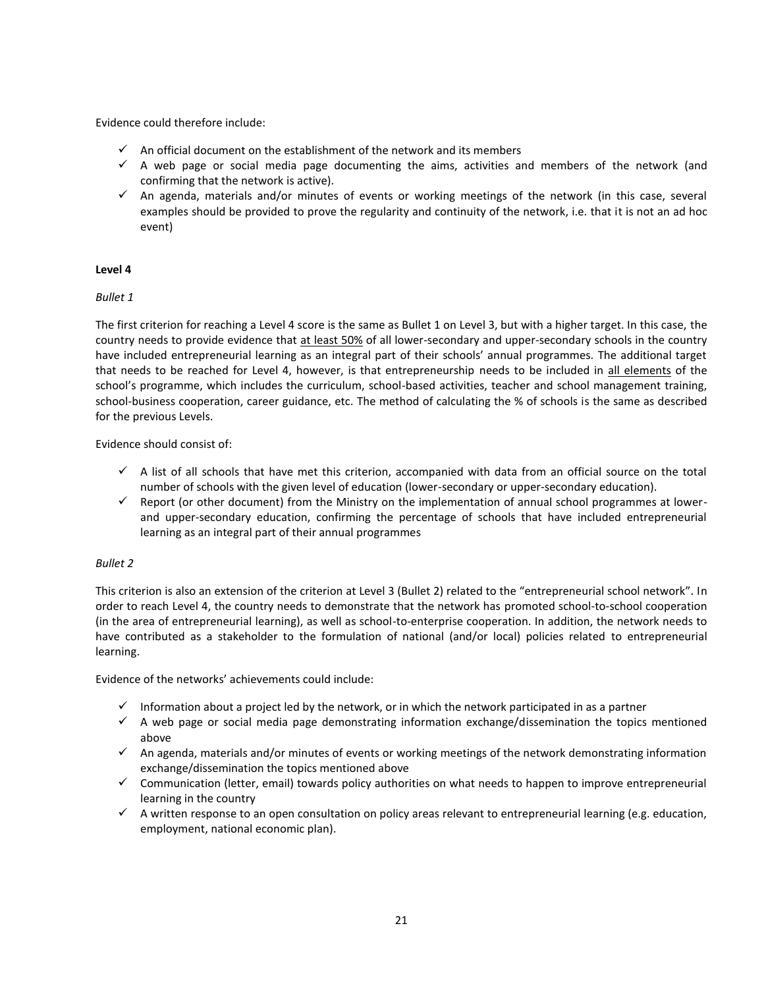Evidence could therefore include:

- $\checkmark$  An official document on the establishment of the network and its members
- $\checkmark$  A web page or social media page documenting the aims, activities and members of the network (and confirming that the network is active).
- $\checkmark$  An agenda, materials and/or minutes of events or working meetings of the network (in this case, several examples should be provided to prove the regularity and continuity of the network, i.e. that it is not an ad hoc event)

#### **Level 4**

*Bullet 1*

The first criterion for reaching a Level 4 score is the same as Bullet 1 on Level 3, but with a higher target. In this case, the country needs to provide evidence that at least 50% of all lower-secondary and upper-secondary schools in the country have included entrepreneurial learning as an integral part of their schools' annual programmes. The additional target that needs to be reached for Level 4, however, is that entrepreneurship needs to be included in all elements of the school's programme, which includes the curriculum, school-based activities, teacher and school management training, school-business cooperation, career guidance, etc. The method of calculating the % of schools is the same as described for the previous Levels.

Evidence should consist of:

- $\checkmark$  A list of all schools that have met this criterion, accompanied with data from an official source on the total number of schools with the given level of education (lower-secondary or upper-secondary education).
- $\checkmark$  Report (or other document) from the Ministry on the implementation of annual school programmes at lowerand upper-secondary education, confirming the percentage of schools that have included entrepreneurial learning as an integral part of their annual programmes

#### *Bullet 2*

This criterion is also an extension of the criterion at Level 3 (Bullet 2) related to the "entrepreneurial school network". In order to reach Level 4, the country needs to demonstrate that the network has promoted school-to-school cooperation (in the area of entrepreneurial learning), as well as school-to-enterprise cooperation. In addition, the network needs to have contributed as a stakeholder to the formulation of national (and/or local) policies related to entrepreneurial learning.

Evidence of the networks' achievements could include:

- $\checkmark$  Information about a project led by the network, or in which the network participated in as a partner
- $\checkmark$  A web page or social media page demonstrating information exchange/dissemination the topics mentioned above
- $\checkmark$  An agenda, materials and/or minutes of events or working meetings of the network demonstrating information exchange/dissemination the topics mentioned above
- $\checkmark$  Communication (letter, email) towards policy authorities on what needs to happen to improve entrepreneurial learning in the country
- $\checkmark$  A written response to an open consultation on policy areas relevant to entrepreneurial learning (e.g. education, employment, national economic plan).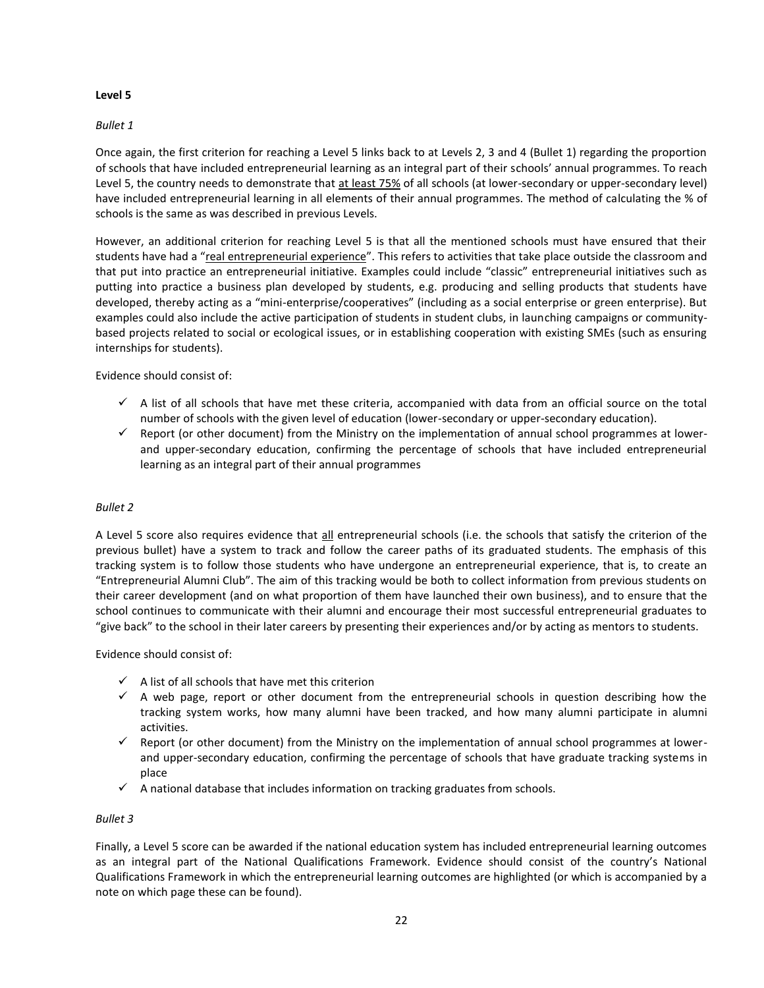#### *Bullet 1*

Once again, the first criterion for reaching a Level 5 links back to at Levels 2, 3 and 4 (Bullet 1) regarding the proportion of schools that have included entrepreneurial learning as an integral part of their schools' annual programmes. To reach Level 5, the country needs to demonstrate that at least 75% of all schools (at lower-secondary or upper-secondary level) have included entrepreneurial learning in all elements of their annual programmes. The method of calculating the % of schools is the same as was described in previous Levels.

However, an additional criterion for reaching Level 5 is that all the mentioned schools must have ensured that their students have had a "real entrepreneurial experience". This refers to activities that take place outside the classroom and that put into practice an entrepreneurial initiative. Examples could include "classic" entrepreneurial initiatives such as putting into practice a business plan developed by students, e.g. producing and selling products that students have developed, thereby acting as a "mini-enterprise/cooperatives" (including as a social enterprise or green enterprise). But examples could also include the active participation of students in student clubs, in launching campaigns or communitybased projects related to social or ecological issues, or in establishing cooperation with existing SMEs (such as ensuring internships for students).

Evidence should consist of:

- $\checkmark$  A list of all schools that have met these criteria, accompanied with data from an official source on the total number of schools with the given level of education (lower-secondary or upper-secondary education).
- $\checkmark$  Report (or other document) from the Ministry on the implementation of annual school programmes at lowerand upper-secondary education, confirming the percentage of schools that have included entrepreneurial learning as an integral part of their annual programmes

#### *Bullet 2*

A Level 5 score also requires evidence that all entrepreneurial schools (i.e. the schools that satisfy the criterion of the previous bullet) have a system to track and follow the career paths of its graduated students. The emphasis of this tracking system is to follow those students who have undergone an entrepreneurial experience, that is, to create an "Entrepreneurial Alumni Club". The aim of this tracking would be both to collect information from previous students on their career development (and on what proportion of them have launched their own business), and to ensure that the school continues to communicate with their alumni and encourage their most successful entrepreneurial graduates to "give back" to the school in their later careers by presenting their experiences and/or by acting as mentors to students.

Evidence should consist of:

- $\checkmark$  A list of all schools that have met this criterion
- $\checkmark$  A web page, report or other document from the entrepreneurial schools in question describing how the tracking system works, how many alumni have been tracked, and how many alumni participate in alumni activities.
- $\checkmark$  Report (or other document) from the Ministry on the implementation of annual school programmes at lowerand upper-secondary education, confirming the percentage of schools that have graduate tracking systems in place
- $\checkmark$  A national database that includes information on tracking graduates from schools.

#### *Bullet 3*

Finally, a Level 5 score can be awarded if the national education system has included entrepreneurial learning outcomes as an integral part of the National Qualifications Framework. Evidence should consist of the country's National Qualifications Framework in which the entrepreneurial learning outcomes are highlighted (or which is accompanied by a note on which page these can be found).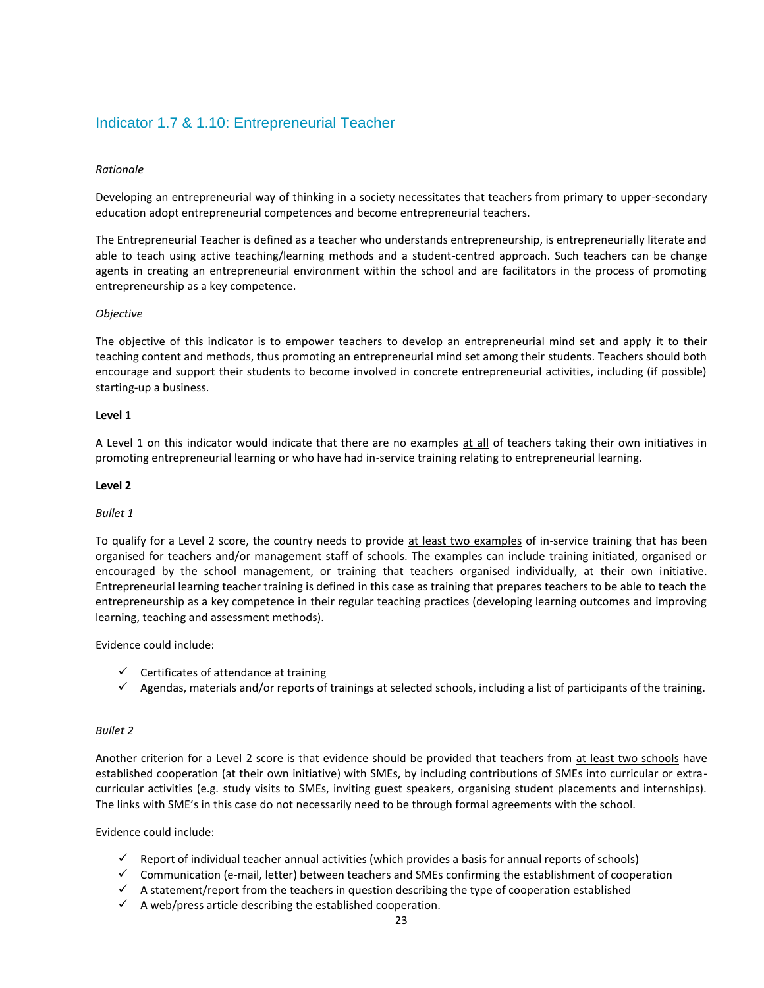# <span id="page-22-0"></span>Indicator 1.7 & 1.10: Entrepreneurial Teacher

#### *Rationale*

Developing an entrepreneurial way of thinking in a society necessitates that teachers from primary to upper-secondary education adopt entrepreneurial competences and become entrepreneurial teachers.

The Entrepreneurial Teacher is defined as a teacher who understands entrepreneurship, is entrepreneurially literate and able to teach using active teaching/learning methods and a student-centred approach. Such teachers can be change agents in creating an entrepreneurial environment within the school and are facilitators in the process of promoting entrepreneurship as a key competence.

#### *Objective*

The objective of this indicator is to empower teachers to develop an entrepreneurial mind set and apply it to their teaching content and methods, thus promoting an entrepreneurial mind set among their students. Teachers should both encourage and support their students to become involved in concrete entrepreneurial activities, including (if possible) starting-up a business.

#### **Level 1**

A Level 1 on this indicator would indicate that there are no examples at all of teachers taking their own initiatives in promoting entrepreneurial learning or who have had in-service training relating to entrepreneurial learning.

#### **Level 2**

#### *Bullet 1*

To qualify for a Level 2 score, the country needs to provide at least two examples of in-service training that has been organised for teachers and/or management staff of schools. The examples can include training initiated, organised or encouraged by the school management, or training that teachers organised individually, at their own initiative. Entrepreneurial learning teacher training is defined in this case as training that prepares teachers to be able to teach the entrepreneurship as a key competence in their regular teaching practices (developing learning outcomes and improving learning, teaching and assessment methods).

Evidence could include:

- $\checkmark$  Certificates of attendance at training
- $\checkmark$  Agendas, materials and/or reports of trainings at selected schools, including a list of participants of the training.

#### *Bullet 2*

Another criterion for a Level 2 score is that evidence should be provided that teachers from at least two schools have established cooperation (at their own initiative) with SMEs, by including contributions of SMEs into curricular or extracurricular activities (e.g. study visits to SMEs, inviting guest speakers, organising student placements and internships). The links with SME's in this case do not necessarily need to be through formal agreements with the school.

#### Evidence could include:

- $\checkmark$  Report of individual teacher annual activities (which provides a basis for annual reports of schools)
- $\checkmark$  Communication (e-mail, letter) between teachers and SMEs confirming the establishment of cooperation
- $\checkmark$  A statement/report from the teachers in question describing the type of cooperation established
- $\checkmark$  A web/press article describing the established cooperation.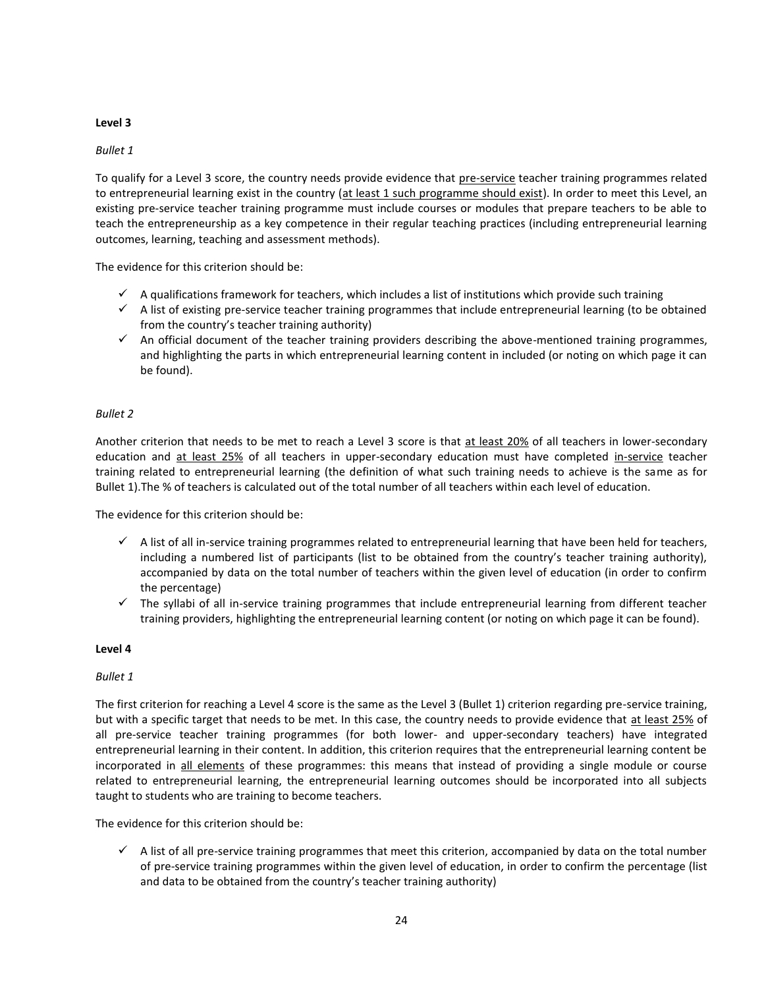#### *Bullet 1*

To qualify for a Level 3 score, the country needs provide evidence that pre-service teacher training programmes related to entrepreneurial learning exist in the country (at least 1 such programme should exist). In order to meet this Level, an existing pre-service teacher training programme must include courses or modules that prepare teachers to be able to teach the entrepreneurship as a key competence in their regular teaching practices (including entrepreneurial learning outcomes, learning, teaching and assessment methods).

The evidence for this criterion should be:

- $\checkmark$  A qualifications framework for teachers, which includes a list of institutions which provide such training
- $\checkmark$  A list of existing pre-service teacher training programmes that include entrepreneurial learning (to be obtained from the country's teacher training authority)
- $\checkmark$  An official document of the teacher training providers describing the above-mentioned training programmes, and highlighting the parts in which entrepreneurial learning content in included (or noting on which page it can be found).

#### *Bullet 2*

Another criterion that needs to be met to reach a Level 3 score is that at least 20% of all teachers in lower-secondary education and at least 25% of all teachers in upper-secondary education must have completed in-service teacher training related to entrepreneurial learning (the definition of what such training needs to achieve is the same as for Bullet 1).The % of teachers is calculated out of the total number of all teachers within each level of education.

The evidence for this criterion should be:

- $\checkmark$  A list of all in-service training programmes related to entrepreneurial learning that have been held for teachers, including a numbered list of participants (list to be obtained from the country's teacher training authority), accompanied by data on the total number of teachers within the given level of education (in order to confirm the percentage)
- $\checkmark$  The syllabi of all in-service training programmes that include entrepreneurial learning from different teacher training providers, highlighting the entrepreneurial learning content (or noting on which page it can be found).

#### **Level 4**

#### *Bullet 1*

The first criterion for reaching a Level 4 score is the same as the Level 3 (Bullet 1) criterion regarding pre-service training, but with a specific target that needs to be met. In this case, the country needs to provide evidence that at least 25% of all pre-service teacher training programmes (for both lower- and upper-secondary teachers) have integrated entrepreneurial learning in their content. In addition, this criterion requires that the entrepreneurial learning content be incorporated in all elements of these programmes: this means that instead of providing a single module or course related to entrepreneurial learning, the entrepreneurial learning outcomes should be incorporated into all subjects taught to students who are training to become teachers.

The evidence for this criterion should be:

 $\checkmark$  A list of all pre-service training programmes that meet this criterion, accompanied by data on the total number of pre-service training programmes within the given level of education, in order to confirm the percentage (list and data to be obtained from the country's teacher training authority)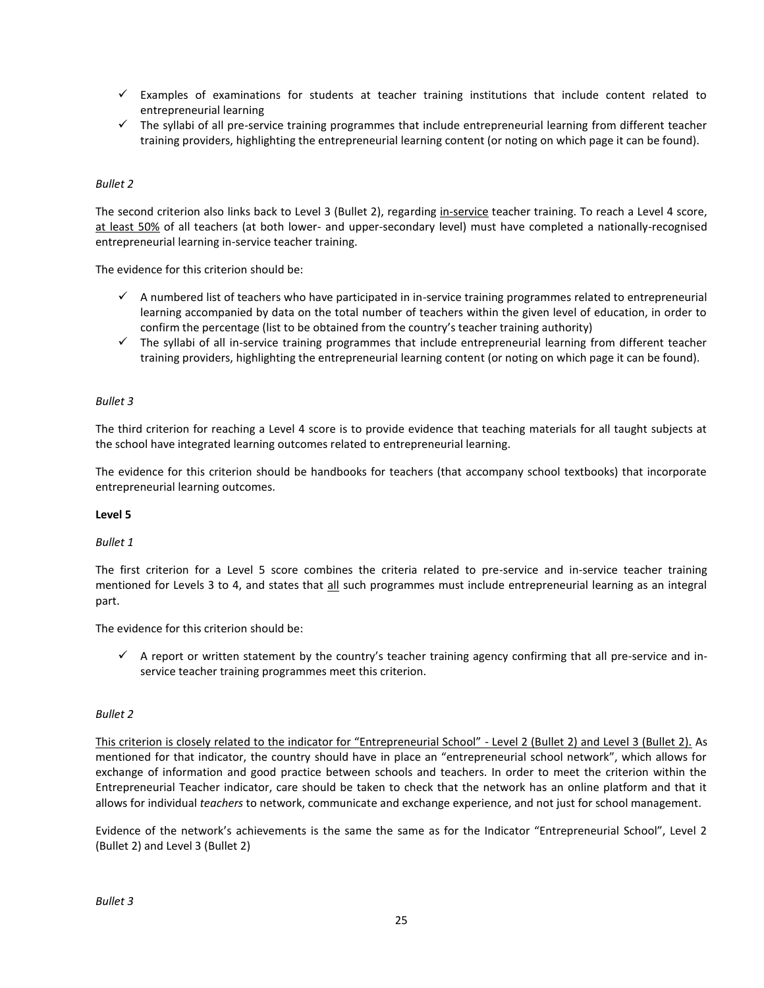- $\checkmark$  Examples of examinations for students at teacher training institutions that include content related to entrepreneurial learning
- $\checkmark$  The syllabi of all pre-service training programmes that include entrepreneurial learning from different teacher training providers, highlighting the entrepreneurial learning content (or noting on which page it can be found).

#### *Bullet 2*

The second criterion also links back to Level 3 (Bullet 2), regarding in-service teacher training. To reach a Level 4 score, at least 50% of all teachers (at both lower- and upper-secondary level) must have completed a nationally-recognised entrepreneurial learning in-service teacher training.

The evidence for this criterion should be:

- $\checkmark$  A numbered list of teachers who have participated in in-service training programmes related to entrepreneurial learning accompanied by data on the total number of teachers within the given level of education, in order to confirm the percentage (list to be obtained from the country's teacher training authority)
- $\checkmark$  The syllabi of all in-service training programmes that include entrepreneurial learning from different teacher training providers, highlighting the entrepreneurial learning content (or noting on which page it can be found).

#### *Bullet 3*

The third criterion for reaching a Level 4 score is to provide evidence that teaching materials for all taught subjects at the school have integrated learning outcomes related to entrepreneurial learning.

The evidence for this criterion should be handbooks for teachers (that accompany school textbooks) that incorporate entrepreneurial learning outcomes.

#### **Level 5**

#### *Bullet 1*

The first criterion for a Level 5 score combines the criteria related to pre-service and in-service teacher training mentioned for Levels 3 to 4, and states that all such programmes must include entrepreneurial learning as an integral part.

The evidence for this criterion should be:

 $\checkmark$  A report or written statement by the country's teacher training agency confirming that all pre-service and inservice teacher training programmes meet this criterion.

#### *Bullet 2*

This criterion is closely related to the indicator for "Entrepreneurial School" - Level 2 (Bullet 2) and Level 3 (Bullet 2). As mentioned for that indicator, the country should have in place an "entrepreneurial school network", which allows for exchange of information and good practice between schools and teachers. In order to meet the criterion within the Entrepreneurial Teacher indicator, care should be taken to check that the network has an online platform and that it allows for individual *teachers* to network, communicate and exchange experience, and not just for school management.

Evidence of the network's achievements is the same the same as for the Indicator "Entrepreneurial School", Level 2 (Bullet 2) and Level 3 (Bullet 2)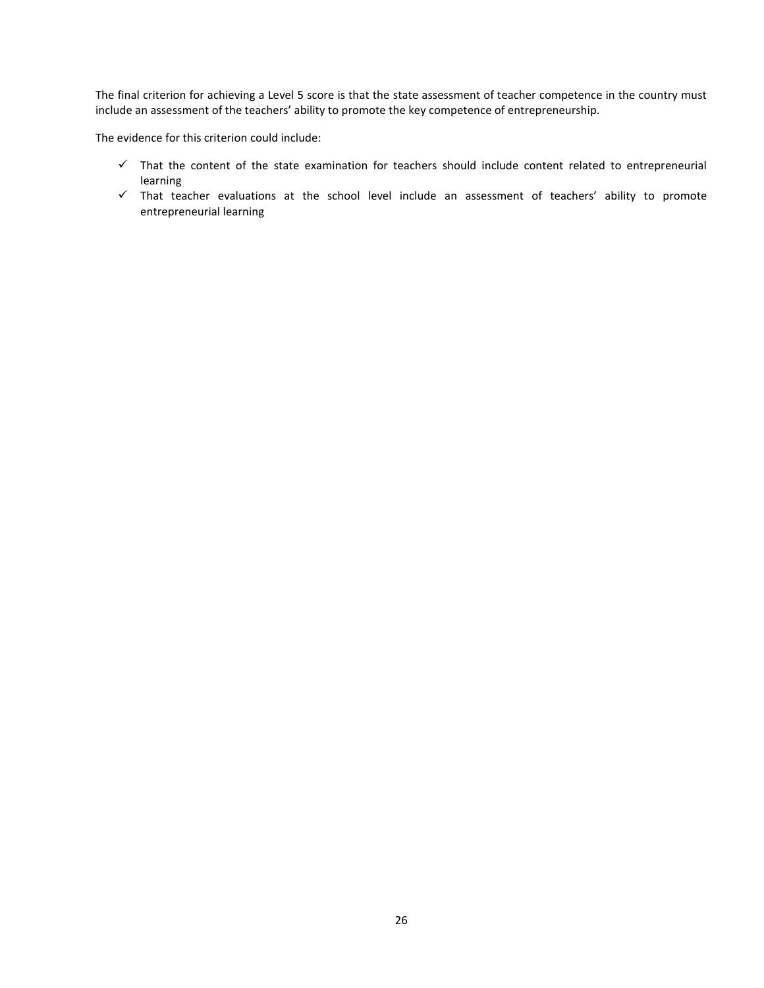The final criterion for achieving a Level 5 score is that the state assessment of teacher competence in the country must include an assessment of the teachers' ability to promote the key competence of entrepreneurship.

The evidence for this criterion could include:

- $\checkmark$  That the content of the state examination for teachers should include content related to entrepreneurial learning
- $\checkmark$  That teacher evaluations at the school level include an assessment of teachers' ability to promote entrepreneurial learning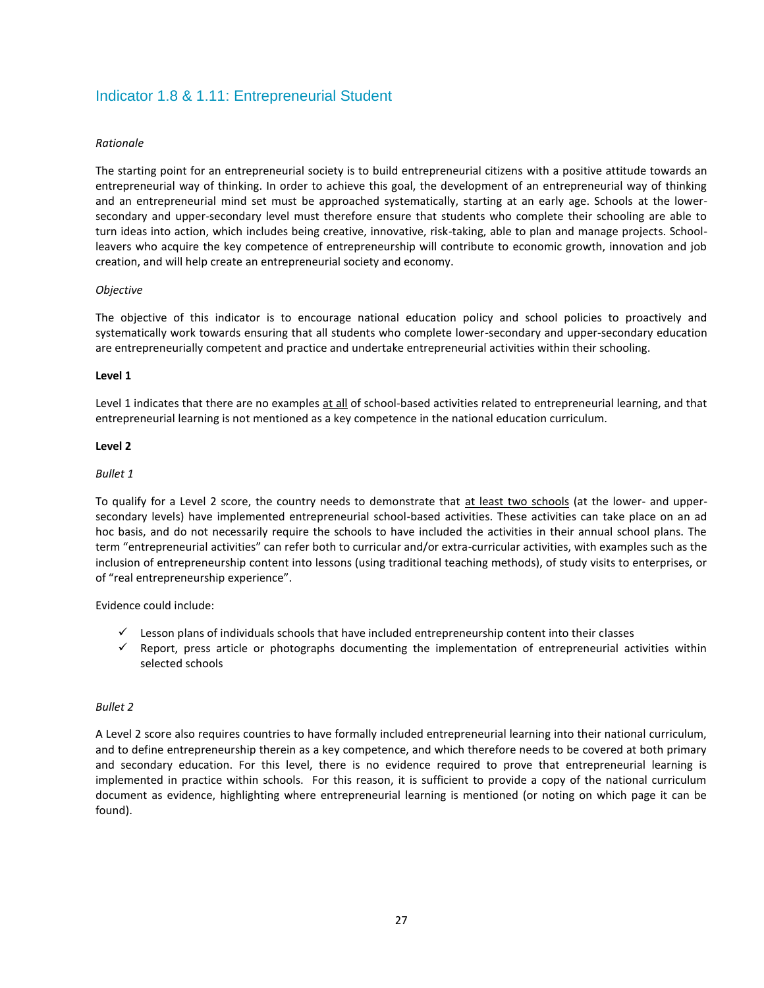# <span id="page-26-0"></span>Indicator 1.8 & 1.11: Entrepreneurial Student

#### *Rationale*

The starting point for an entrepreneurial society is to build entrepreneurial citizens with a positive attitude towards an entrepreneurial way of thinking. In order to achieve this goal, the development of an entrepreneurial way of thinking and an entrepreneurial mind set must be approached systematically, starting at an early age. Schools at the lowersecondary and upper-secondary level must therefore ensure that students who complete their schooling are able to turn ideas into action, which includes being creative, innovative, risk-taking, able to plan and manage projects. Schoolleavers who acquire the key competence of entrepreneurship will contribute to economic growth, innovation and job creation, and will help create an entrepreneurial society and economy.

#### *Objective*

The objective of this indicator is to encourage national education policy and school policies to proactively and systematically work towards ensuring that all students who complete lower-secondary and upper-secondary education are entrepreneurially competent and practice and undertake entrepreneurial activities within their schooling.

#### **Level 1**

Level 1 indicates that there are no examples at all of school-based activities related to entrepreneurial learning, and that entrepreneurial learning is not mentioned as a key competence in the national education curriculum.

#### **Level 2**

#### *Bullet 1*

To qualify for a Level 2 score, the country needs to demonstrate that at least two schools (at the lower- and uppersecondary levels) have implemented entrepreneurial school-based activities. These activities can take place on an ad hoc basis, and do not necessarily require the schools to have included the activities in their annual school plans. The term "entrepreneurial activities" can refer both to curricular and/or extra-curricular activities, with examples such as the inclusion of entrepreneurship content into lessons (using traditional teaching methods), of study visits to enterprises, or of "real entrepreneurship experience".

Evidence could include:

- $\checkmark$  Lesson plans of individuals schools that have included entrepreneurship content into their classes
- $\checkmark$  Report, press article or photographs documenting the implementation of entrepreneurial activities within selected schools

#### *Bullet 2*

A Level 2 score also requires countries to have formally included entrepreneurial learning into their national curriculum, and to define entrepreneurship therein as a key competence, and which therefore needs to be covered at both primary and secondary education. For this level, there is no evidence required to prove that entrepreneurial learning is implemented in practice within schools. For this reason, it is sufficient to provide a copy of the national curriculum document as evidence, highlighting where entrepreneurial learning is mentioned (or noting on which page it can be found).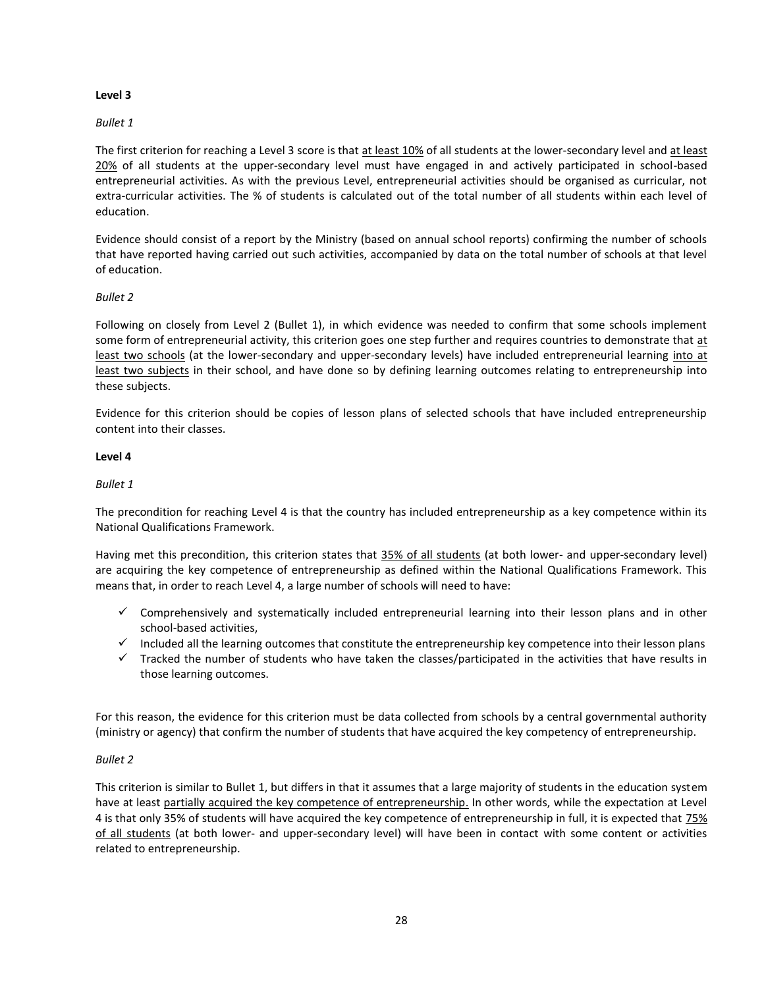#### *Bullet 1*

The first criterion for reaching a Level 3 score is that at least 10% of all students at the lower-secondary level and at least 20% of all students at the upper-secondary level must have engaged in and actively participated in school-based entrepreneurial activities. As with the previous Level, entrepreneurial activities should be organised as curricular, not extra-curricular activities. The % of students is calculated out of the total number of all students within each level of education.

Evidence should consist of a report by the Ministry (based on annual school reports) confirming the number of schools that have reported having carried out such activities, accompanied by data on the total number of schools at that level of education.

#### *Bullet 2*

Following on closely from Level 2 (Bullet 1), in which evidence was needed to confirm that some schools implement some form of entrepreneurial activity, this criterion goes one step further and requires countries to demonstrate that at least two schools (at the lower-secondary and upper-secondary levels) have included entrepreneurial learning into at least two subjects in their school, and have done so by defining learning outcomes relating to entrepreneurship into these subjects.

Evidence for this criterion should be copies of lesson plans of selected schools that have included entrepreneurship content into their classes.

#### **Level 4**

#### *Bullet 1*

The precondition for reaching Level 4 is that the country has included entrepreneurship as a key competence within its National Qualifications Framework.

Having met this precondition, this criterion states that 35% of all students (at both lower- and upper-secondary level) are acquiring the key competence of entrepreneurship as defined within the National Qualifications Framework. This means that, in order to reach Level 4, a large number of schools will need to have:

- $\checkmark$  Comprehensively and systematically included entrepreneurial learning into their lesson plans and in other school-based activities,
- $\checkmark$  Included all the learning outcomes that constitute the entrepreneurship key competence into their lesson plans
- $\checkmark$  Tracked the number of students who have taken the classes/participated in the activities that have results in those learning outcomes.

For this reason, the evidence for this criterion must be data collected from schools by a central governmental authority (ministry or agency) that confirm the number of students that have acquired the key competency of entrepreneurship.

#### *Bullet 2*

This criterion is similar to Bullet 1, but differs in that it assumes that a large majority of students in the education system have at least partially acquired the key competence of entrepreneurship. In other words, while the expectation at Level 4 is that only 35% of students will have acquired the key competence of entrepreneurship in full, it is expected that 75% of all students (at both lower- and upper-secondary level) will have been in contact with some content or activities related to entrepreneurship.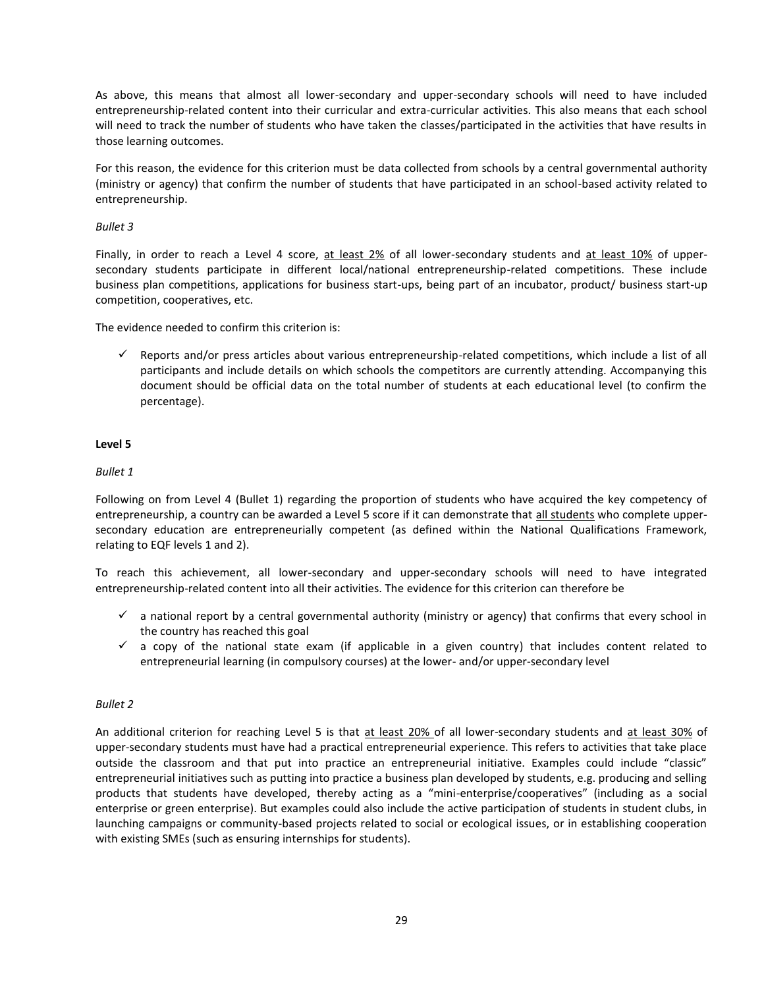As above, this means that almost all lower-secondary and upper-secondary schools will need to have included entrepreneurship-related content into their curricular and extra-curricular activities. This also means that each school will need to track the number of students who have taken the classes/participated in the activities that have results in those learning outcomes.

For this reason, the evidence for this criterion must be data collected from schools by a central governmental authority (ministry or agency) that confirm the number of students that have participated in an school-based activity related to entrepreneurship.

#### *Bullet 3*

Finally, in order to reach a Level 4 score, at least 2% of all lower-secondary students and at least 10% of uppersecondary students participate in different local/national entrepreneurship-related competitions. These include business plan competitions, applications for business start-ups, being part of an incubator, product/ business start-up competition, cooperatives, etc.

The evidence needed to confirm this criterion is:

 Reports and/or press articles about various entrepreneurship-related competitions, which include a list of all participants and include details on which schools the competitors are currently attending. Accompanying this document should be official data on the total number of students at each educational level (to confirm the percentage).

#### **Level 5**

#### *Bullet 1*

Following on from Level 4 (Bullet 1) regarding the proportion of students who have acquired the key competency of entrepreneurship, a country can be awarded a Level 5 score if it can demonstrate that all students who complete uppersecondary education are entrepreneurially competent (as defined within the National Qualifications Framework, relating to EQF levels 1 and 2).

To reach this achievement, all lower-secondary and upper-secondary schools will need to have integrated entrepreneurship-related content into all their activities. The evidence for this criterion can therefore be

- $\checkmark$  a national report by a central governmental authority (ministry or agency) that confirms that every school in the country has reached this goal
- $\checkmark$  a copy of the national state exam (if applicable in a given country) that includes content related to entrepreneurial learning (in compulsory courses) at the lower- and/or upper-secondary level

#### *Bullet 2*

An additional criterion for reaching Level 5 is that at least 20% of all lower-secondary students and at least 30% of upper-secondary students must have had a practical entrepreneurial experience. This refers to activities that take place outside the classroom and that put into practice an entrepreneurial initiative. Examples could include "classic" entrepreneurial initiatives such as putting into practice a business plan developed by students, e.g. producing and selling products that students have developed, thereby acting as a "mini-enterprise/cooperatives" (including as a social enterprise or green enterprise). But examples could also include the active participation of students in student clubs, in launching campaigns or community-based projects related to social or ecological issues, or in establishing cooperation with existing SMEs (such as ensuring internships for students).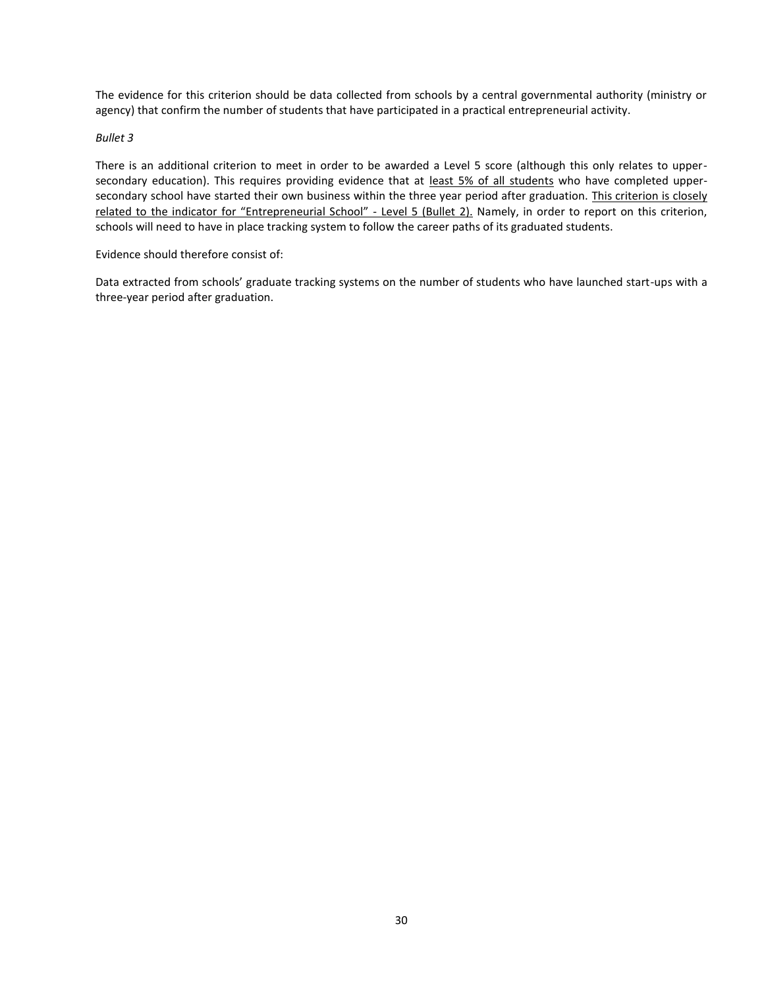The evidence for this criterion should be data collected from schools by a central governmental authority (ministry or agency) that confirm the number of students that have participated in a practical entrepreneurial activity.

#### *Bullet 3*

There is an additional criterion to meet in order to be awarded a Level 5 score (although this only relates to uppersecondary education). This requires providing evidence that at least 5% of all students who have completed uppersecondary school have started their own business within the three year period after graduation. This criterion is closely related to the indicator for "Entrepreneurial School" - Level 5 (Bullet 2). Namely, in order to report on this criterion, schools will need to have in place tracking system to follow the career paths of its graduated students.

Evidence should therefore consist of:

Data extracted from schools' graduate tracking systems on the number of students who have launched start-ups with a three-year period after graduation.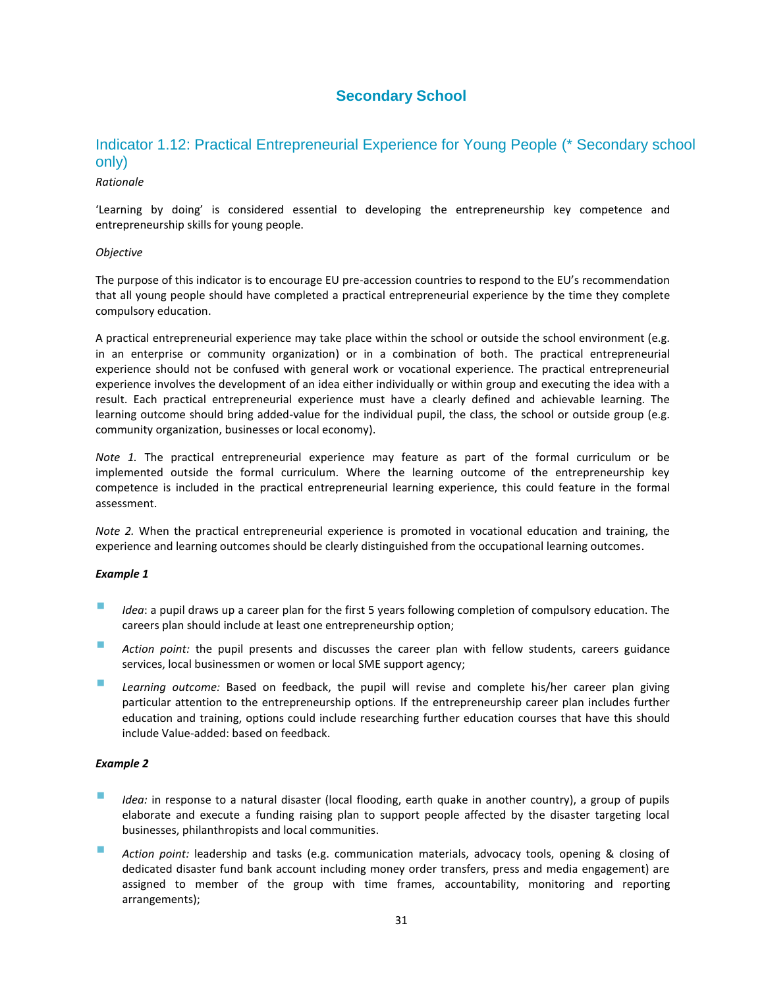# **Secondary School**

# <span id="page-30-1"></span><span id="page-30-0"></span>Indicator 1.12: Practical Entrepreneurial Experience for Young People (\* Secondary school only)

#### *Rationale*

'Learning by doing' is considered essential to developing the entrepreneurship key competence and entrepreneurship skills for young people.

#### *Objective*

The purpose of this indicator is to encourage EU pre-accession countries to respond to the EU's recommendation that all young people should have completed a practical entrepreneurial experience by the time they complete compulsory education.

A practical entrepreneurial experience may take place within the school or outside the school environment (e.g. in an enterprise or community organization) or in a combination of both. The practical entrepreneurial experience should not be confused with general work or vocational experience. The practical entrepreneurial experience involves the development of an idea either individually or within group and executing the idea with a result. Each practical entrepreneurial experience must have a clearly defined and achievable learning. The learning outcome should bring added-value for the individual pupil, the class, the school or outside group (e.g. community organization, businesses or local economy).

*Note 1.* The practical entrepreneurial experience may feature as part of the formal curriculum or be implemented outside the formal curriculum. Where the learning outcome of the entrepreneurship key competence is included in the practical entrepreneurial learning experience, this could feature in the formal assessment.

*Note 2.* When the practical entrepreneurial experience is promoted in vocational education and training, the experience and learning outcomes should be clearly distinguished from the occupational learning outcomes.

#### *Example 1*

- *Idea*: a pupil draws up a career plan for the first 5 years following completion of compulsory education. The careers plan should include at least one entrepreneurship option;
- *Action point:* the pupil presents and discusses the career plan with fellow students, careers guidance services, local businessmen or women or local SME support agency;
- *Learning outcome:* Based on feedback, the pupil will revise and complete his/her career plan giving particular attention to the entrepreneurship options. If the entrepreneurship career plan includes further education and training, options could include researching further education courses that have this should include Value-added: based on feedback.

#### *Example 2*

- *Idea:* in response to a natural disaster (local flooding, earth quake in another country), a group of pupils elaborate and execute a funding raising plan to support people affected by the disaster targeting local businesses, philanthropists and local communities.
- *Action point:* leadership and tasks (e.g. communication materials, advocacy tools, opening & closing of dedicated disaster fund bank account including money order transfers, press and media engagement) are assigned to member of the group with time frames, accountability, monitoring and reporting arrangements);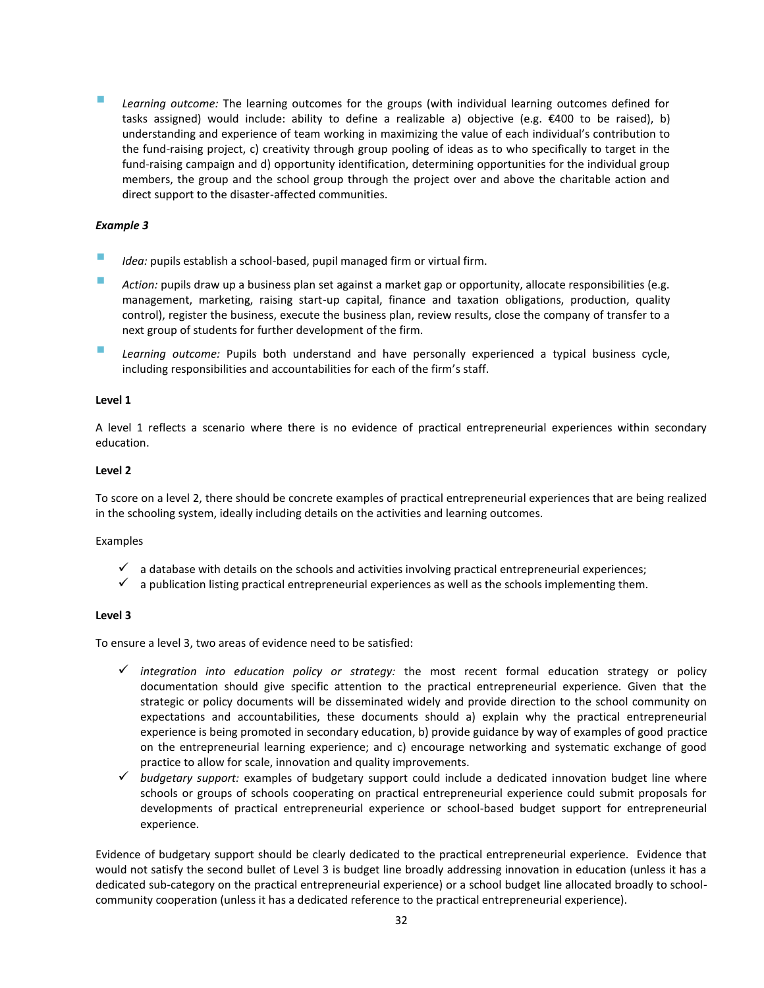*Learning outcome:* The learning outcomes for the groups (with individual learning outcomes defined for tasks assigned) would include: ability to define a realizable a) objective (e.g. €400 to be raised), b) understanding and experience of team working in maximizing the value of each individual's contribution to the fund-raising project, c) creativity through group pooling of ideas as to who specifically to target in the fund-raising campaign and d) opportunity identification, determining opportunities for the individual group members, the group and the school group through the project over and above the charitable action and direct support to the disaster-affected communities.

#### *Example 3*

- *Idea:* pupils establish a school-based, pupil managed firm or virtual firm.
- **Action:** pupils draw up a business plan set against a market gap or opportunity, allocate responsibilities (e.g. management, marketing, raising start-up capital, finance and taxation obligations, production, quality control), register the business, execute the business plan, review results, close the company of transfer to a next group of students for further development of the firm.
- *Learning outcome:* Pupils both understand and have personally experienced a typical business cycle, including responsibilities and accountabilities for each of the firm's staff.

#### **Level 1**

A level 1 reflects a scenario where there is no evidence of practical entrepreneurial experiences within secondary education.

#### **Level 2**

To score on a level 2, there should be concrete examples of practical entrepreneurial experiences that are being realized in the schooling system, ideally including details on the activities and learning outcomes.

#### Examples

- $\checkmark$  a database with details on the schools and activities involving practical entrepreneurial experiences;
- $\checkmark$  a publication listing practical entrepreneurial experiences as well as the schools implementing them.

#### **Level 3**

To ensure a level 3, two areas of evidence need to be satisfied:

- *integration into education policy or strategy:* the most recent formal education strategy or policy documentation should give specific attention to the practical entrepreneurial experience. Given that the strategic or policy documents will be disseminated widely and provide direction to the school community on expectations and accountabilities, these documents should a) explain why the practical entrepreneurial experience is being promoted in secondary education, b) provide guidance by way of examples of good practice on the entrepreneurial learning experience; and c) encourage networking and systematic exchange of good practice to allow for scale, innovation and quality improvements.
- *budgetary support:* examples of budgetary support could include a dedicated innovation budget line where schools or groups of schools cooperating on practical entrepreneurial experience could submit proposals for developments of practical entrepreneurial experience or school-based budget support for entrepreneurial experience.

Evidence of budgetary support should be clearly dedicated to the practical entrepreneurial experience. Evidence that would not satisfy the second bullet of Level 3 is budget line broadly addressing innovation in education (unless it has a dedicated sub-category on the practical entrepreneurial experience) or a school budget line allocated broadly to schoolcommunity cooperation (unless it has a dedicated reference to the practical entrepreneurial experience).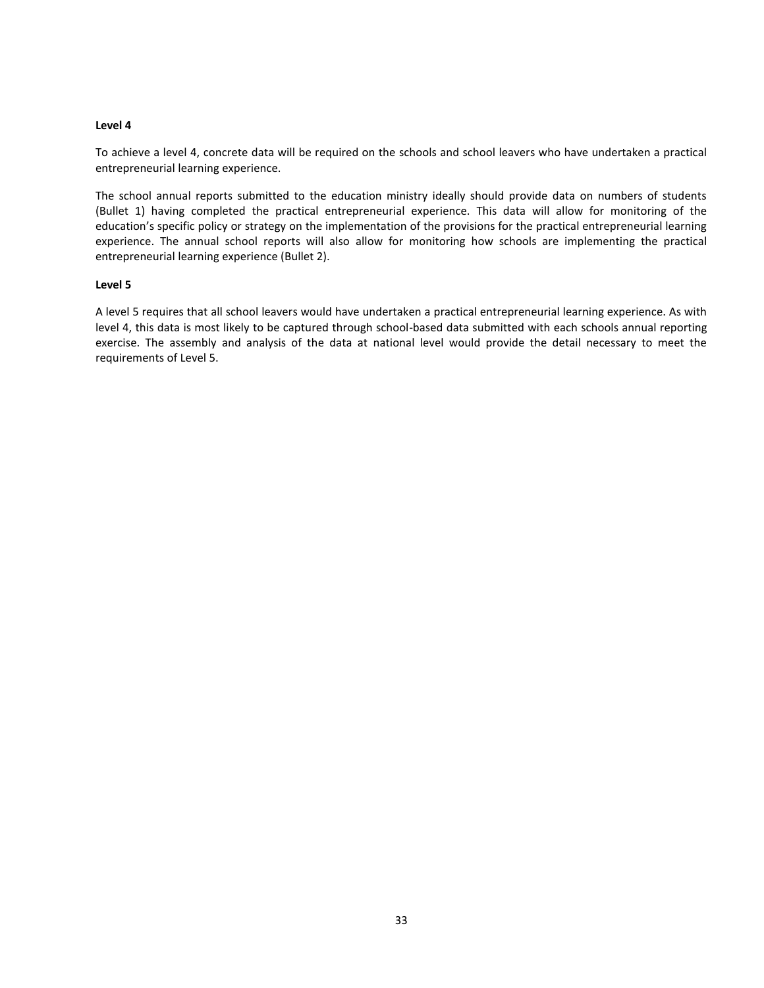To achieve a level 4, concrete data will be required on the schools and school leavers who have undertaken a practical entrepreneurial learning experience.

The school annual reports submitted to the education ministry ideally should provide data on numbers of students (Bullet 1) having completed the practical entrepreneurial experience. This data will allow for monitoring of the education's specific policy or strategy on the implementation of the provisions for the practical entrepreneurial learning experience. The annual school reports will also allow for monitoring how schools are implementing the practical entrepreneurial learning experience (Bullet 2).

#### **Level 5**

A level 5 requires that all school leavers would have undertaken a practical entrepreneurial learning experience. As with level 4, this data is most likely to be captured through school-based data submitted with each schools annual reporting exercise. The assembly and analysis of the data at national level would provide the detail necessary to meet the requirements of Level 5.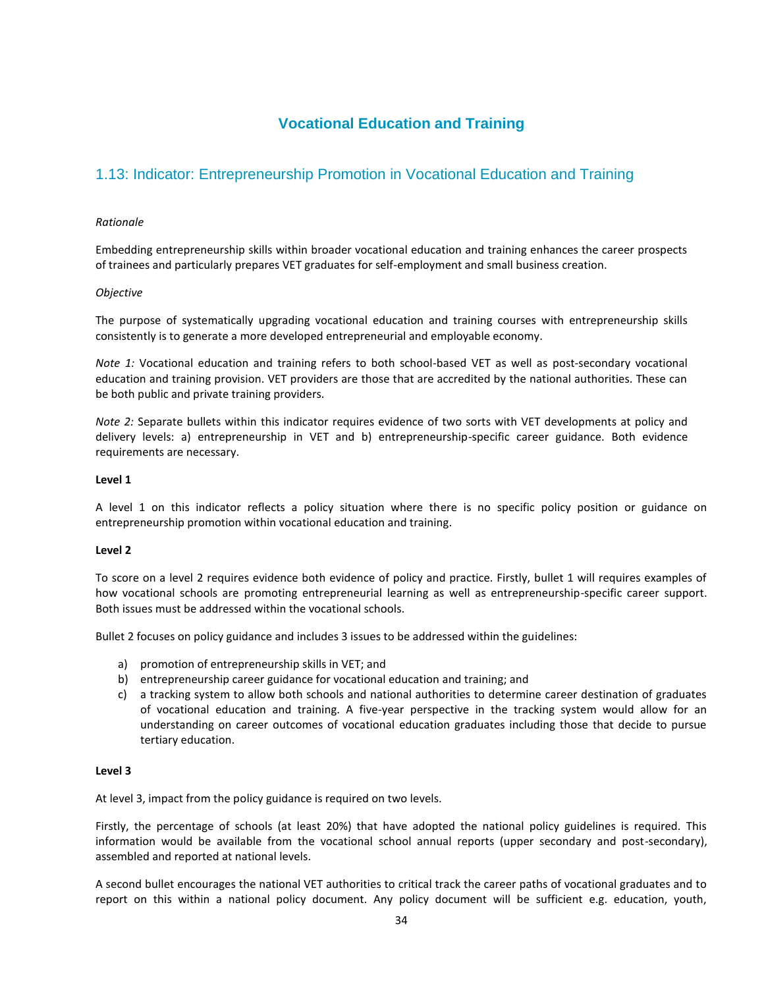# **Vocational Education and Training**

# <span id="page-33-1"></span><span id="page-33-0"></span>1.13: Indicator: Entrepreneurship Promotion in Vocational Education and Training

#### *Rationale*

Embedding entrepreneurship skills within broader vocational education and training enhances the career prospects of trainees and particularly prepares VET graduates for self-employment and small business creation.

#### *Objective*

The purpose of systematically upgrading vocational education and training courses with entrepreneurship skills consistently is to generate a more developed entrepreneurial and employable economy.

*Note 1:* Vocational education and training refers to both school-based VET as well as post-secondary vocational education and training provision. VET providers are those that are accredited by the national authorities. These can be both public and private training providers.

*Note 2:* Separate bullets within this indicator requires evidence of two sorts with VET developments at policy and delivery levels: a) entrepreneurship in VET and b) entrepreneurship-specific career guidance. Both evidence requirements are necessary.

#### **Level 1**

A level 1 on this indicator reflects a policy situation where there is no specific policy position or guidance on entrepreneurship promotion within vocational education and training.

#### **Level 2**

To score on a level 2 requires evidence both evidence of policy and practice. Firstly, bullet 1 will requires examples of how vocational schools are promoting entrepreneurial learning as well as entrepreneurship-specific career support. Both issues must be addressed within the vocational schools.

Bullet 2 focuses on policy guidance and includes 3 issues to be addressed within the guidelines:

- a) promotion of entrepreneurship skills in VET; and
- b) entrepreneurship career guidance for vocational education and training; and
- c) a tracking system to allow both schools and national authorities to determine career destination of graduates of vocational education and training. A five-year perspective in the tracking system would allow for an understanding on career outcomes of vocational education graduates including those that decide to pursue tertiary education.

#### **Level 3**

At level 3, impact from the policy guidance is required on two levels.

Firstly, the percentage of schools (at least 20%) that have adopted the national policy guidelines is required. This information would be available from the vocational school annual reports (upper secondary and post-secondary), assembled and reported at national levels.

A second bullet encourages the national VET authorities to critical track the career paths of vocational graduates and to report on this within a national policy document. Any policy document will be sufficient e.g. education, youth,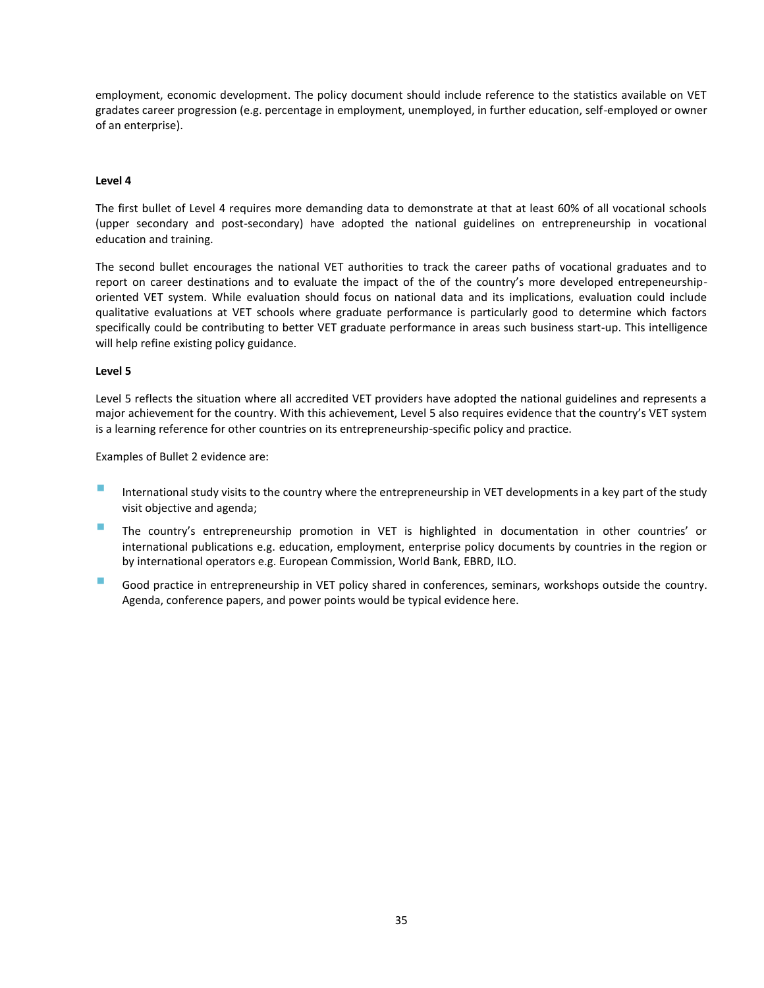employment, economic development. The policy document should include reference to the statistics available on VET gradates career progression (e.g. percentage in employment, unemployed, in further education, self-employed or owner of an enterprise).

#### **Level 4**

The first bullet of Level 4 requires more demanding data to demonstrate at that at least 60% of all vocational schools (upper secondary and post-secondary) have adopted the national guidelines on entrepreneurship in vocational education and training.

The second bullet encourages the national VET authorities to track the career paths of vocational graduates and to report on career destinations and to evaluate the impact of the of the country's more developed entrepeneurshiporiented VET system. While evaluation should focus on national data and its implications, evaluation could include qualitative evaluations at VET schools where graduate performance is particularly good to determine which factors specifically could be contributing to better VET graduate performance in areas such business start-up. This intelligence will help refine existing policy guidance.

#### **Level 5**

Level 5 reflects the situation where all accredited VET providers have adopted the national guidelines and represents a major achievement for the country. With this achievement, Level 5 also requires evidence that the country's VET system is a learning reference for other countries on its entrepreneurship-specific policy and practice.

Examples of Bullet 2 evidence are:

- International study visits to the country where the entrepreneurship in VET developments in a key part of the study visit objective and agenda;
- The country's entrepreneurship promotion in VET is highlighted in documentation in other countries' or international publications e.g. education, employment, enterprise policy documents by countries in the region or by international operators e.g. European Commission, World Bank, EBRD, ILO.
- Good practice in entrepreneurship in VET policy shared in conferences, seminars, workshops outside the country. Agenda, conference papers, and power points would be typical evidence here.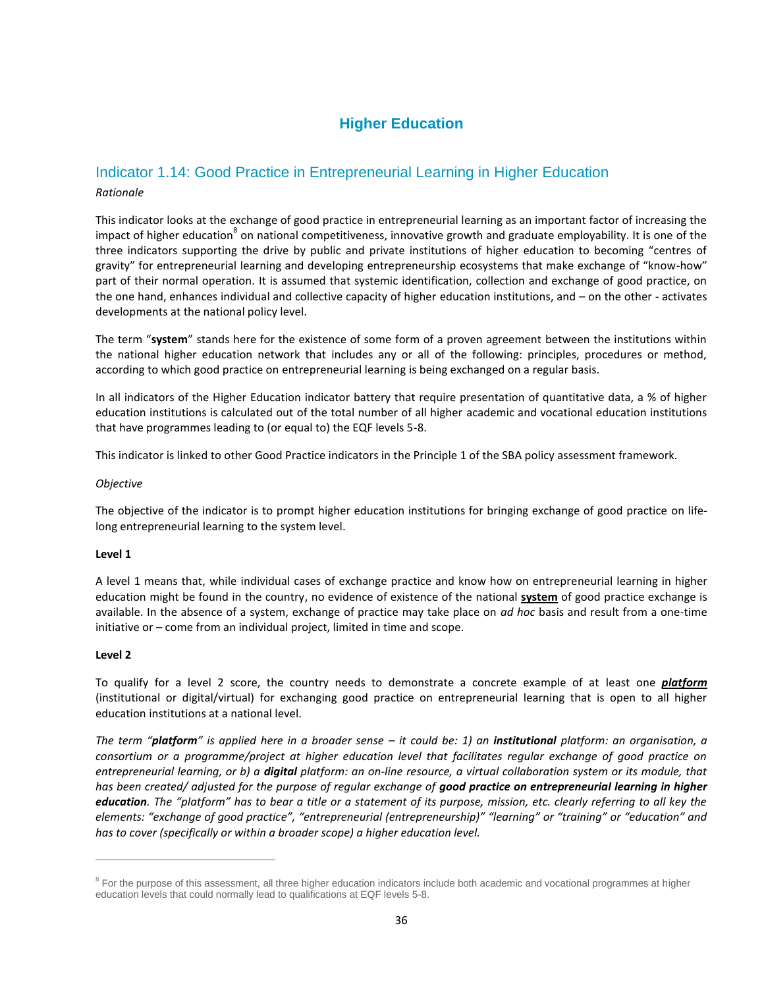# **Higher Education**

# <span id="page-35-1"></span><span id="page-35-0"></span>Indicator 1.14: Good Practice in Entrepreneurial Learning in Higher Education

#### *Rationale*

This indicator looks at the exchange of good practice in entrepreneurial learning as an important factor of increasing the impact of higher education<sup>8</sup> on national competitiveness, innovative growth and graduate employability. It is one of the three indicators supporting the drive by public and private institutions of higher education to becoming "centres of gravity" for entrepreneurial learning and developing entrepreneurship ecosystems that make exchange of "know-how" part of their normal operation. It is assumed that systemic identification, collection and exchange of good practice, on the one hand, enhances individual and collective capacity of higher education institutions, and – on the other - activates developments at the national policy level.

The term "**system**" stands here for the existence of some form of a proven agreement between the institutions within the national higher education network that includes any or all of the following: principles, procedures or method, according to which good practice on entrepreneurial learning is being exchanged on a regular basis.

In all indicators of the Higher Education indicator battery that require presentation of quantitative data, a % of higher education institutions is calculated out of the total number of all higher academic and vocational education institutions that have programmes leading to (or equal to) the EQF levels 5-8.

This indicator is linked to other Good Practice indicators in the Principle 1 of the SBA policy assessment framework.

#### *Objective*

The objective of the indicator is to prompt higher education institutions for bringing exchange of good practice on lifelong entrepreneurial learning to the system level.

#### **Level 1**

A level 1 means that, while individual cases of exchange practice and know how on entrepreneurial learning in higher education might be found in the country, no evidence of existence of the national **system** of good practice exchange is available. In the absence of a system, exchange of practice may take place on *ad hoc* basis and result from a one-time initiative or – come from an individual project, limited in time and scope.

#### **Level 2**

 $\overline{a}$ 

To qualify for a level 2 score, the country needs to demonstrate a concrete example of at least one *platform* (institutional or digital/virtual) for exchanging good practice on entrepreneurial learning that is open to all higher education institutions at a national level.

*The term "platform" is applied here in a broader sense – it could be: 1) an institutional platform: an organisation, a consortium or a programme/project at higher education level that facilitates regular exchange of good practice on entrepreneurial learning, or b) a digital platform: an on-line resource, a virtual collaboration system or its module, that has been created/ adjusted for the purpose of regular exchange of good practice on entrepreneurial learning in higher education. The "platform" has to bear a title or a statement of its purpose, mission, etc. clearly referring to all key the elements: "exchange of good practice", "entrepreneurial (entrepreneurship)" "learning" or "training" or "education" and has to cover (specifically or within a broader scope) a higher education level.*

<sup>&</sup>lt;sup>8</sup> For the purpose of this assessment, all three higher education indicators include both academic and vocational programmes at higher education levels that could normally lead to qualifications at EQF levels 5-8.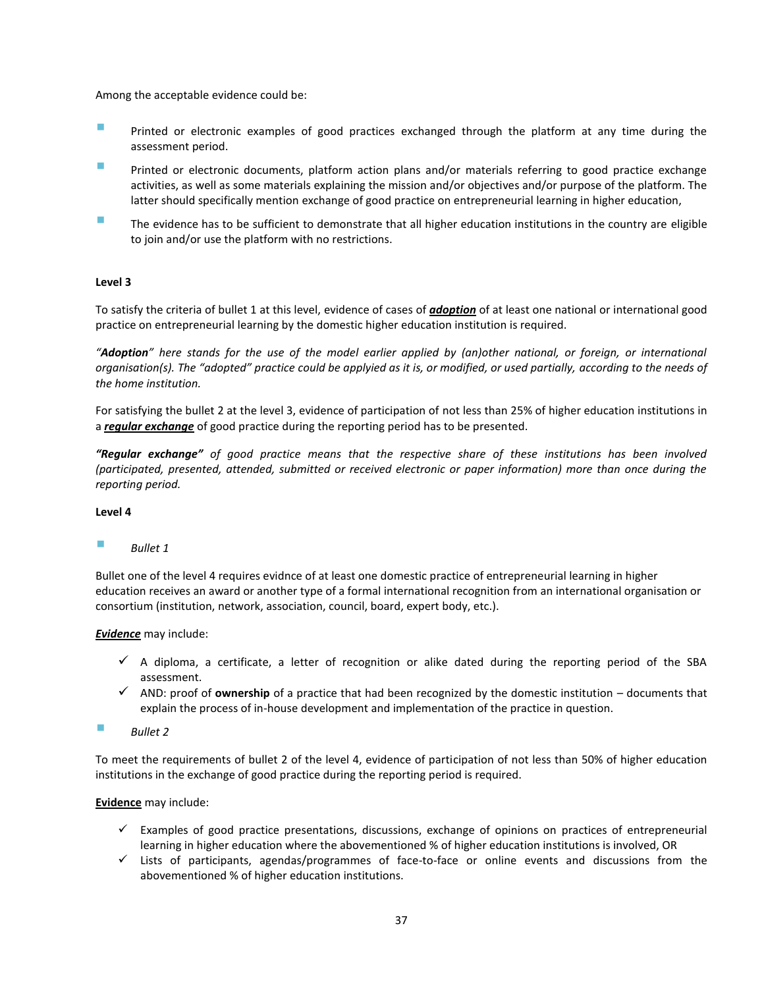Among the acceptable evidence could be:

- **Printed or electronic examples of good practices exchanged through the platform at any time during the** assessment period.
- Printed or electronic documents, platform action plans and/or materials referring to good practice exchange activities, as well as some materials explaining the mission and/or objectives and/or purpose of the platform. The latter should specifically mention exchange of good practice on entrepreneurial learning in higher education,
- The evidence has to be sufficient to demonstrate that all higher education institutions in the country are eligible to join and/or use the platform with no restrictions.

#### **Level 3**

To satisfy the criteria of bullet 1 at this level, evidence of cases of *adoption* of at least one national or international good practice on entrepreneurial learning by the domestic higher education institution is required.

*"Adoption" here stands for the use of the model earlier applied by (an)other national, or foreign, or international organisation(s). The "adopted" practice could be applyied as it is, or modified, or used partially, according to the needs of the home institution.*

For satisfying the bullet 2 at the level 3, evidence of participation of not less than 25% of higher education institutions in a *regular exchange* of good practice during the reporting period has to be presented.

*"Regular exchange" of good practice means that the respective share of these institutions has been involved (participated, presented, attended, submitted or received electronic or paper information) more than once during the reporting period.*

#### **Level 4**

#### *Bullet 1*

Bullet one of the level 4 requires evidnce of at least one domestic practice of entrepreneurial learning in higher education receives an award or another type of a formal international recognition from an international organisation or consortium (institution, network, association, council, board, expert body, etc.).

#### *Evidence* may include:

- $\checkmark$  A diploma, a certificate, a letter of recognition or alike dated during the reporting period of the SBA assessment.
- $\checkmark$  AND: proof of **ownership** of a practice that had been recognized by the domestic institution documents that explain the process of in-house development and implementation of the practice in question.
- *Bullet 2*

To meet the requirements of bullet 2 of the level 4, evidence of participation of not less than 50% of higher education institutions in the exchange of good practice during the reporting period is required.

- $\checkmark$  Examples of good practice presentations, discussions, exchange of opinions on practices of entrepreneurial learning in higher education where the abovementioned % of higher education institutions is involved, OR
- Lists of participants, agendas/programmes of face-to-face or online events and discussions from the abovementioned % of higher education institutions.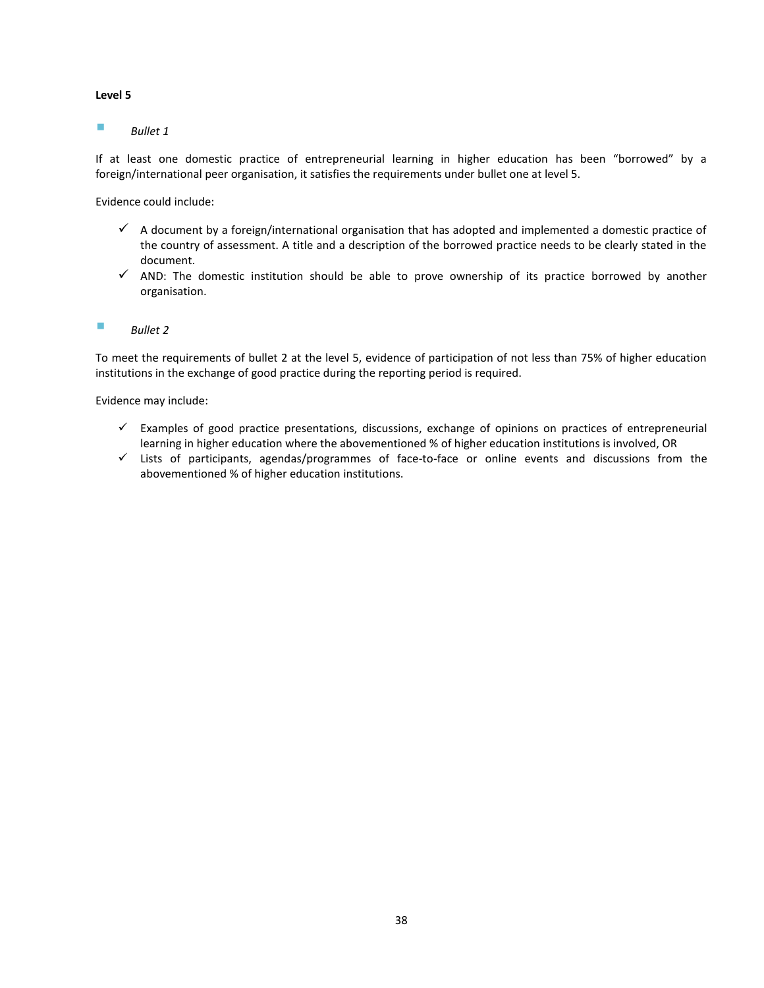#### *Bullet 1*

If at least one domestic practice of entrepreneurial learning in higher education has been "borrowed" by a foreign/international peer organisation, it satisfies the requirements under bullet one at level 5.

Evidence could include:

- $\checkmark$  A document by a foreign/international organisation that has adopted and implemented a domestic practice of the country of assessment. A title and a description of the borrowed practice needs to be clearly stated in the document.
- $\checkmark$  AND: The domestic institution should be able to prove ownership of its practice borrowed by another organisation.
- *Bullet 2*

To meet the requirements of bullet 2 at the level 5, evidence of participation of not less than 75% of higher education institutions in the exchange of good practice during the reporting period is required.

- $\checkmark$  Examples of good practice presentations, discussions, exchange of opinions on practices of entrepreneurial learning in higher education where the abovementioned % of higher education institutions is involved, OR
- $\checkmark$  Lists of participants, agendas/programmes of face-to-face or online events and discussions from the abovementioned % of higher education institutions.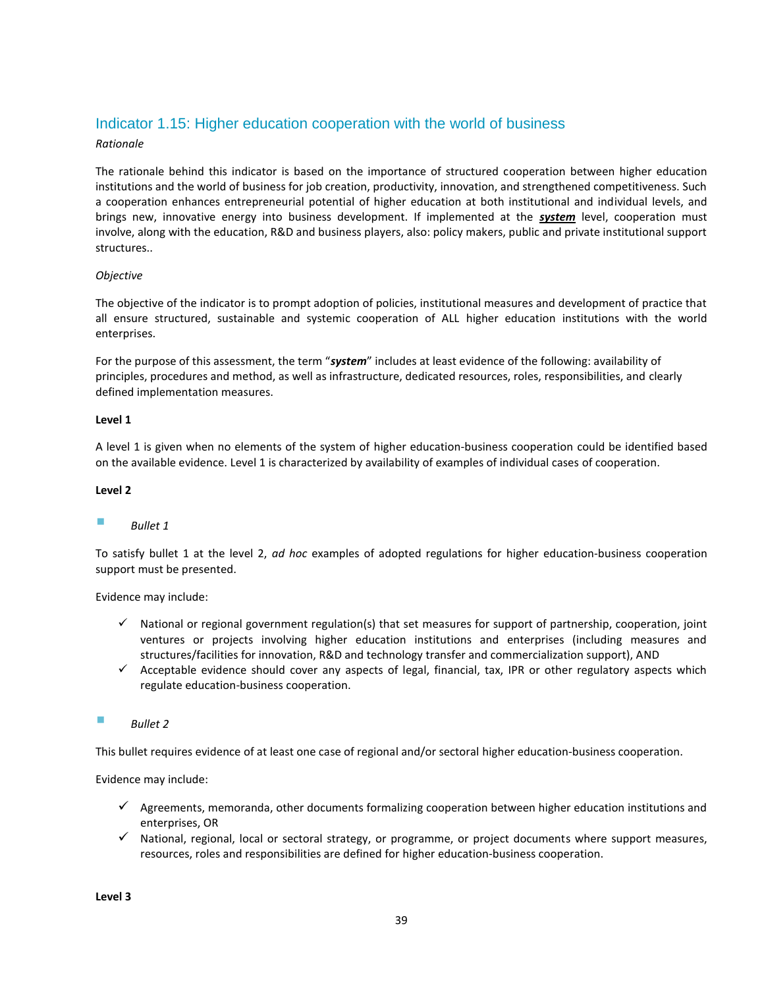## <span id="page-38-0"></span>Indicator 1.15: Higher education cooperation with the world of business

#### *Rationale*

The rationale behind this indicator is based on the importance of structured cooperation between higher education institutions and the world of business for job creation, productivity, innovation, and strengthened competitiveness. Such a cooperation enhances entrepreneurial potential of higher education at both institutional and individual levels, and brings new, innovative energy into business development. If implemented at the *system* level, cooperation must involve, along with the education, R&D and business players, also: policy makers, public and private institutional support structures..

#### *Objective*

The objective of the indicator is to prompt adoption of policies, institutional measures and development of practice that all ensure structured, sustainable and systemic cooperation of ALL higher education institutions with the world enterprises.

For the purpose of this assessment, the term "*system*" includes at least evidence of the following: availability of principles, procedures and method, as well as infrastructure, dedicated resources, roles, responsibilities, and clearly defined implementation measures.

#### **Level 1**

A level 1 is given when no elements of the system of higher education-business cooperation could be identified based on the available evidence. Level 1 is characterized by availability of examples of individual cases of cooperation.

#### **Level 2**

#### *Bullet 1*

To satisfy bullet 1 at the level 2, *ad hoc* examples of adopted regulations for higher education-business cooperation support must be presented.

#### Evidence may include:

- $\checkmark$  National or regional government regulation(s) that set measures for support of partnership, cooperation, joint ventures or projects involving higher education institutions and enterprises (including measures and structures/facilities for innovation, R&D and technology transfer and commercialization support), AND
- $\checkmark$  Acceptable evidence should cover any aspects of legal, financial, tax, IPR or other regulatory aspects which regulate education-business cooperation.

#### *Bullet 2*

This bullet requires evidence of at least one case of regional and/or sectoral higher education-business cooperation.

- $\checkmark$  Agreements, memoranda, other documents formalizing cooperation between higher education institutions and enterprises, OR
- $\checkmark$  National, regional, local or sectoral strategy, or programme, or project documents where support measures, resources, roles and responsibilities are defined for higher education-business cooperation.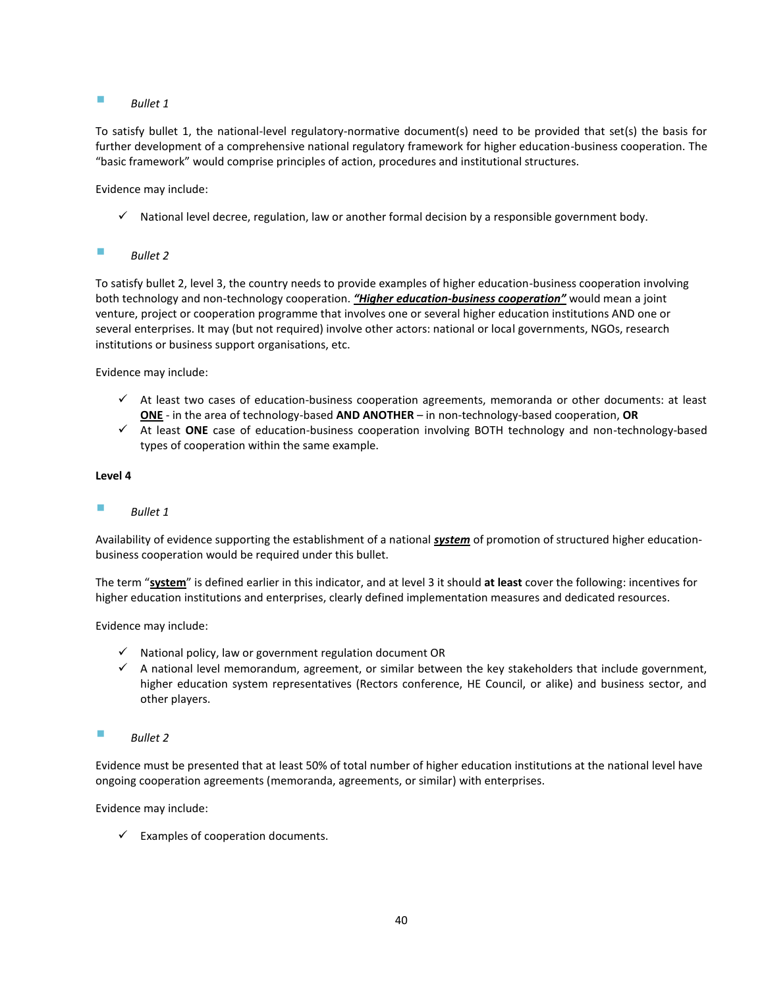#### *Bullet 1*

To satisfy bullet 1, the national-level regulatory-normative document(s) need to be provided that set(s) the basis for further development of a comprehensive national regulatory framework for higher education-business cooperation. The "basic framework" would comprise principles of action, procedures and institutional structures.

Evidence may include:

 $\checkmark$  National level decree, regulation, law or another formal decision by a responsible government body.

#### *Bullet 2*

To satisfy bullet 2, level 3, the country needs to provide examples of higher education-business cooperation involving both technology and non-technology cooperation. *"Higher education-business cooperation"* would mean a joint venture, project or cooperation programme that involves one or several higher education institutions AND one or several enterprises. It may (but not required) involve other actors: national or local governments, NGOs, research institutions or business support organisations, etc.

Evidence may include:

- $\checkmark$  At least two cases of education-business cooperation agreements, memoranda or other documents: at least **ONE** - in the area of technology-based **AND ANOTHER** – in non-technology-based cooperation, **OR**
- At least **ONE** case of education-business cooperation involving BOTH technology and non-technology-based types of cooperation within the same example.

#### **Level 4**

#### *Bullet 1*

Availability of evidence supporting the establishment of a national *system* of promotion of structured higher educationbusiness cooperation would be required under this bullet.

The term "**system**" is defined earlier in this indicator, and at level 3 it should **at least** cover the following: incentives for higher education institutions and enterprises, clearly defined implementation measures and dedicated resources.

Evidence may include:

- $\checkmark$  National policy, law or government regulation document OR
- $\checkmark$  A national level memorandum, agreement, or similar between the key stakeholders that include government, higher education system representatives (Rectors conference, HE Council, or alike) and business sector, and other players.
- *Bullet 2*

Evidence must be presented that at least 50% of total number of higher education institutions at the national level have ongoing cooperation agreements (memoranda, agreements, or similar) with enterprises.

Evidence may include:

 $\checkmark$  Examples of cooperation documents.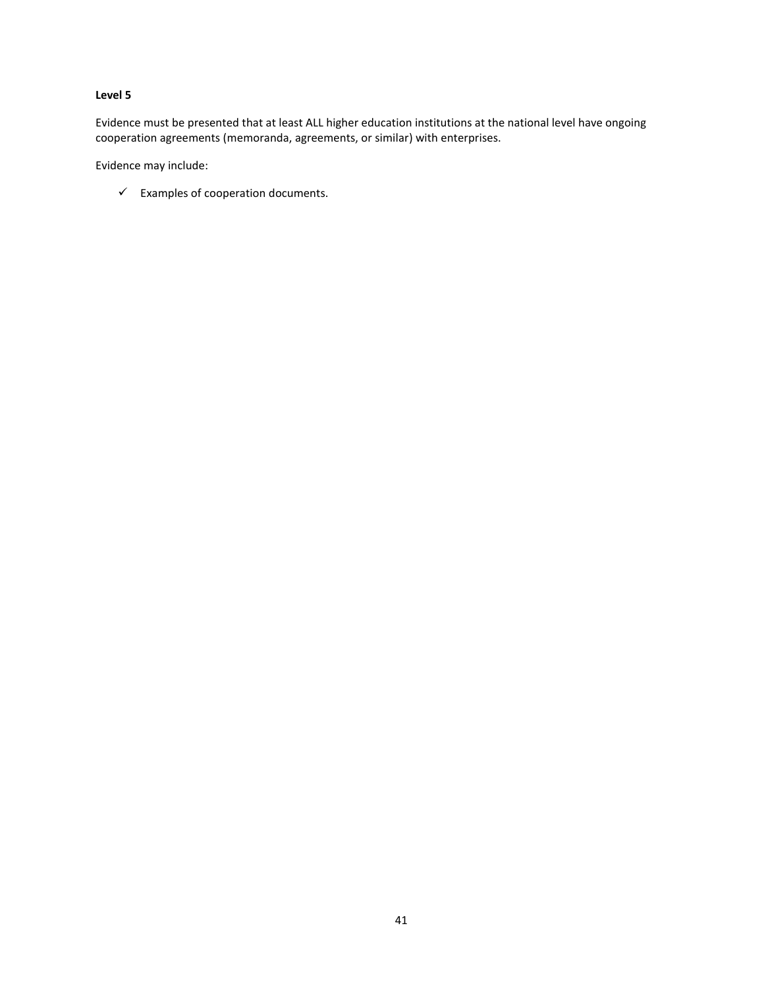Evidence must be presented that at least ALL higher education institutions at the national level have ongoing cooperation agreements (memoranda, agreements, or similar) with enterprises.

Evidence may include:

 $\checkmark$  Examples of cooperation documents.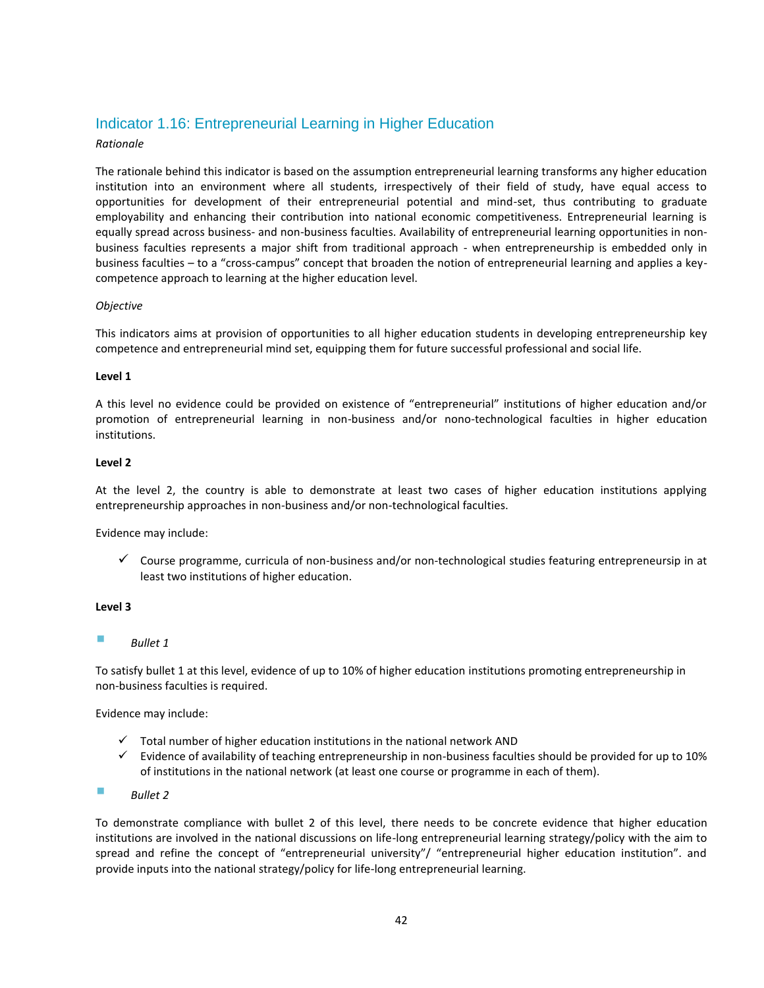## <span id="page-41-0"></span>Indicator 1.16: Entrepreneurial Learning in Higher Education

#### *Rationale*

The rationale behind this indicator is based on the assumption entrepreneurial learning transforms any higher education institution into an environment where all students, irrespectively of their field of study, have equal access to opportunities for development of their entrepreneurial potential and mind-set, thus contributing to graduate employability and enhancing their contribution into national economic competitiveness. Entrepreneurial learning is equally spread across business- and non-business faculties. Availability of entrepreneurial learning opportunities in nonbusiness faculties represents a major shift from traditional approach - when entrepreneurship is embedded only in business faculties – to a "cross-campus" concept that broaden the notion of entrepreneurial learning and applies a keycompetence approach to learning at the higher education level.

#### *Objective*

This indicators aims at provision of opportunities to all higher education students in developing entrepreneurship key competence and entrepreneurial mind set, equipping them for future successful professional and social life.

#### **Level 1**

A this level no evidence could be provided on existence of "entrepreneurial" institutions of higher education and/or promotion of entrepreneurial learning in non-business and/or nono-technological faculties in higher education institutions.

#### **Level 2**

At the level 2, the country is able to demonstrate at least two cases of higher education institutions applying entrepreneurship approaches in non-business and/or non-technological faculties.

Evidence may include:

 $\checkmark$  Course programme, curricula of non-business and/or non-technological studies featuring entrepreneursip in at least two institutions of higher education.

#### **Level 3**

*Bullet 1*

To satisfy bullet 1 at this level, evidence of up to 10% of higher education institutions promoting entrepreneurship in non-business faculties is required.

Evidence may include:

- $\checkmark$  Total number of higher education institutions in the national network AND
- $\checkmark$  Evidence of availability of teaching entrepreneurship in non-business faculties should be provided for up to 10% of institutions in the national network (at least one course or programme in each of them).
- *Bullet 2*

To demonstrate compliance with bullet 2 of this level, there needs to be concrete evidence that higher education institutions are involved in the national discussions on life-long entrepreneurial learning strategy/policy with the aim to spread and refine the concept of "entrepreneurial university"/ "entrepreneurial higher education institution". and provide inputs into the national strategy/policy for life-long entrepreneurial learning.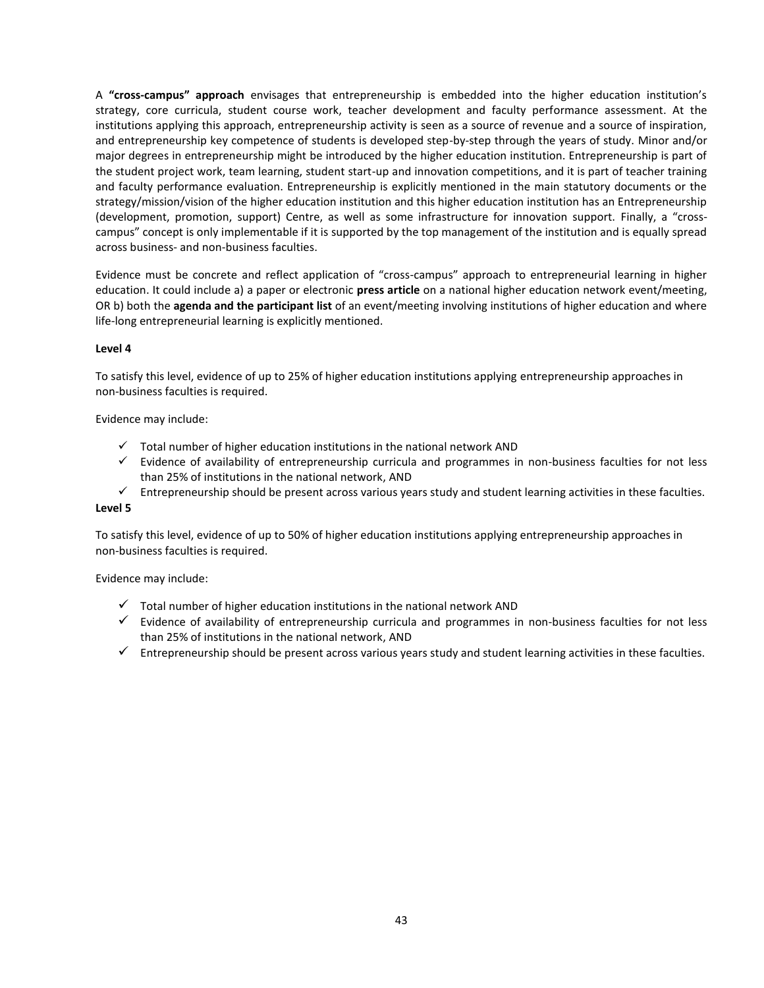A **"cross-campus" approach** envisages that entrepreneurship is embedded into the higher education institution's strategy, core curricula, student course work, teacher development and faculty performance assessment. At the institutions applying this approach, entrepreneurship activity is seen as a source of revenue and a source of inspiration, and entrepreneurship key competence of students is developed step-by-step through the years of study. Minor and/or major degrees in entrepreneurship might be introduced by the higher education institution. Entrepreneurship is part of the student project work, team learning, student start-up and innovation competitions, and it is part of teacher training and faculty performance evaluation. Entrepreneurship is explicitly mentioned in the main statutory documents or the strategy/mission/vision of the higher education institution and this higher education institution has an Entrepreneurship (development, promotion, support) Centre, as well as some infrastructure for innovation support. Finally, a "crosscampus" concept is only implementable if it is supported by the top management of the institution and is equally spread across business- and non-business faculties.

Evidence must be concrete and reflect application of "cross-campus" approach to entrepreneurial learning in higher education. It could include a) a paper or electronic **press article** on a national higher education network event/meeting, OR b) both the **agenda and the participant list** of an event/meeting involving institutions of higher education and where life-long entrepreneurial learning is explicitly mentioned.

#### **Level 4**

To satisfy this level, evidence of up to 25% of higher education institutions applying entrepreneurship approaches in non-business faculties is required.

Evidence may include:

- $\checkmark$  Total number of higher education institutions in the national network AND
- $\checkmark$  Evidence of availability of entrepreneurship curricula and programmes in non-business faculties for not less than 25% of institutions in the national network, AND
- $\checkmark$  Entrepreneurship should be present across various years study and student learning activities in these faculties.

#### **Level 5**

To satisfy this level, evidence of up to 50% of higher education institutions applying entrepreneurship approaches in non-business faculties is required.

- $\checkmark$  Total number of higher education institutions in the national network AND
- $\checkmark$  Evidence of availability of entrepreneurship curricula and programmes in non-business faculties for not less than 25% of institutions in the national network, AND
- $\checkmark$  Entrepreneurship should be present across various years study and student learning activities in these faculties.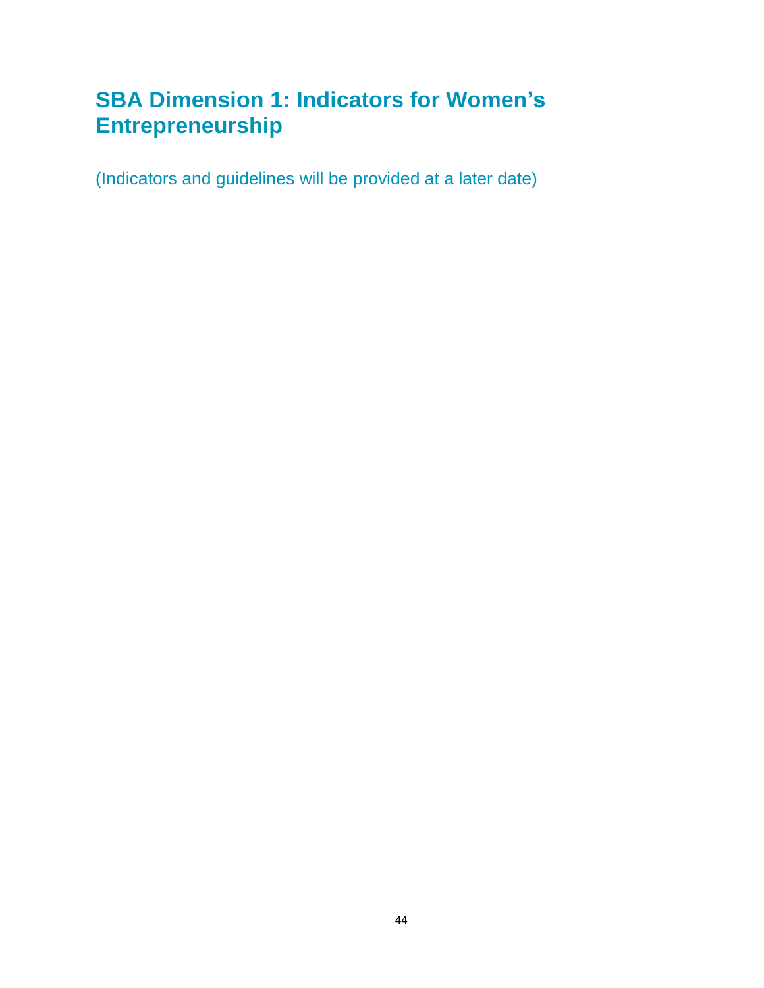# <span id="page-43-0"></span>**SBA Dimension 1: Indicators for Women's Entrepreneurship**

<span id="page-43-1"></span>(Indicators and guidelines will be provided at a later date)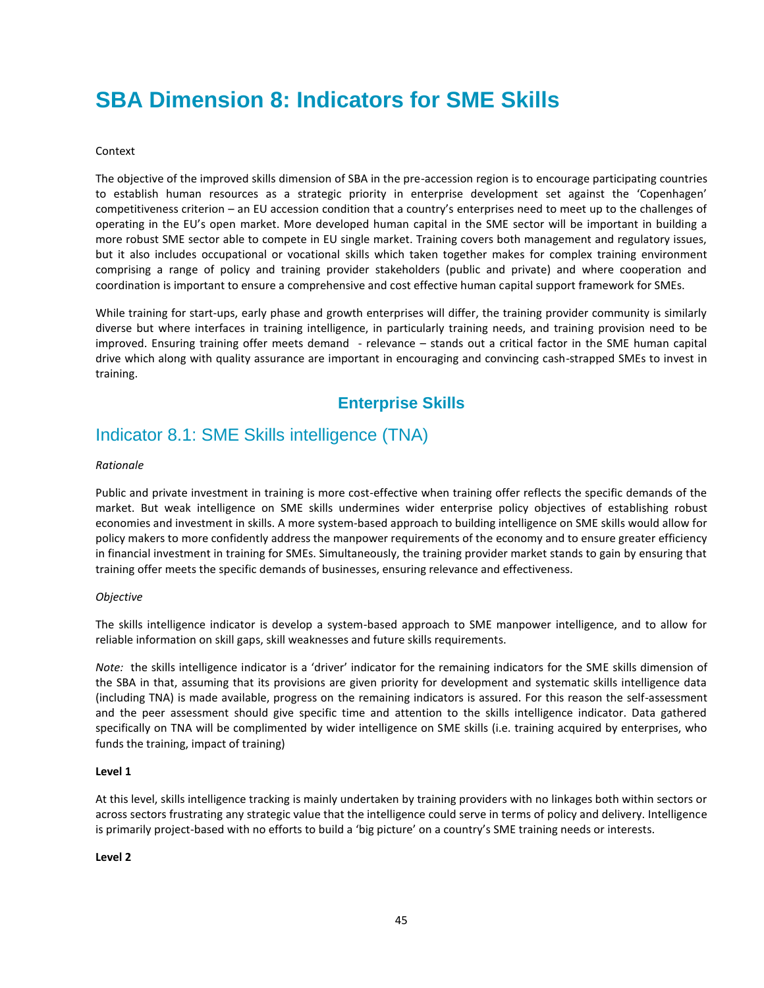# <span id="page-44-0"></span>**SBA Dimension 8: Indicators for SME Skills**

#### Context

The objective of the improved skills dimension of SBA in the pre-accession region is to encourage participating countries to establish human resources as a strategic priority in enterprise development set against the 'Copenhagen' competitiveness criterion – an EU accession condition that a country's enterprises need to meet up to the challenges of operating in the EU's open market. More developed human capital in the SME sector will be important in building a more robust SME sector able to compete in EU single market. Training covers both management and regulatory issues, but it also includes occupational or vocational skills which taken together makes for complex training environment comprising a range of policy and training provider stakeholders (public and private) and where cooperation and coordination is important to ensure a comprehensive and cost effective human capital support framework for SMEs.

While training for start-ups, early phase and growth enterprises will differ, the training provider community is similarly diverse but where interfaces in training intelligence, in particularly training needs, and training provision need to be improved. Ensuring training offer meets demand - relevance – stands out a critical factor in the SME human capital drive which along with quality assurance are important in encouraging and convincing cash-strapped SMEs to invest in training.

# **Enterprise Skills**

# <span id="page-44-2"></span><span id="page-44-1"></span>Indicator 8.1: SME Skills intelligence (TNA)

#### *Rationale*

Public and private investment in training is more cost-effective when training offer reflects the specific demands of the market. But weak intelligence on SME skills undermines wider enterprise policy objectives of establishing robust economies and investment in skills. A more system-based approach to building intelligence on SME skills would allow for policy makers to more confidently address the manpower requirements of the economy and to ensure greater efficiency in financial investment in training for SMEs. Simultaneously, the training provider market stands to gain by ensuring that training offer meets the specific demands of businesses, ensuring relevance and effectiveness.

#### *Objective*

The skills intelligence indicator is develop a system-based approach to SME manpower intelligence, and to allow for reliable information on skill gaps, skill weaknesses and future skills requirements.

*Note:* the skills intelligence indicator is a 'driver' indicator for the remaining indicators for the SME skills dimension of the SBA in that, assuming that its provisions are given priority for development and systematic skills intelligence data (including TNA) is made available, progress on the remaining indicators is assured. For this reason the self-assessment and the peer assessment should give specific time and attention to the skills intelligence indicator. Data gathered specifically on TNA will be complimented by wider intelligence on SME skills (i.e. training acquired by enterprises, who funds the training, impact of training)

#### **Level 1**

At this level, skills intelligence tracking is mainly undertaken by training providers with no linkages both within sectors or across sectors frustrating any strategic value that the intelligence could serve in terms of policy and delivery. Intelligence is primarily project-based with no efforts to build a 'big picture' on a country's SME training needs or interests.

#### **Level 2**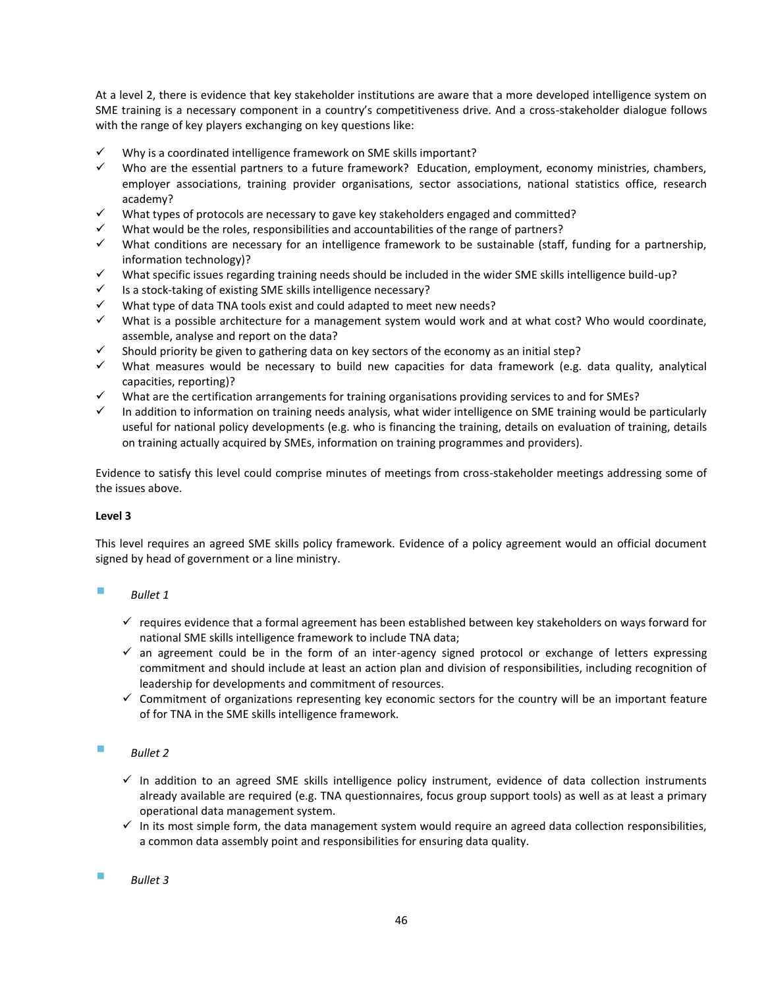At a level 2, there is evidence that key stakeholder institutions are aware that a more developed intelligence system on SME training is a necessary component in a country's competitiveness drive. And a cross-stakeholder dialogue follows with the range of key players exchanging on key questions like:

- Why is a coordinated intelligence framework on SME skills important?
- $\checkmark$  Who are the essential partners to a future framework? Education, employment, economy ministries, chambers, employer associations, training provider organisations, sector associations, national statistics office, research academy?
- What types of protocols are necessary to gave key stakeholders engaged and committed?
- What would be the roles, responsibilities and accountabilities of the range of partners?
- $\checkmark$  What conditions are necessary for an intelligence framework to be sustainable (staff, funding for a partnership, information technology)?
- What specific issues regarding training needs should be included in the wider SME skills intelligence build-up?
- Is a stock-taking of existing SME skills intelligence necessary?
- What type of data TNA tools exist and could adapted to meet new needs?
- $\checkmark$  What is a possible architecture for a management system would work and at what cost? Who would coordinate, assemble, analyse and report on the data?
- Should priority be given to gathering data on key sectors of the economy as an initial step?
- What measures would be necessary to build new capacities for data framework (e.g. data quality, analytical capacities, reporting)?
- What are the certification arrangements for training organisations providing services to and for SMEs?
- $\checkmark$  In addition to information on training needs analysis, what wider intelligence on SME training would be particularly useful for national policy developments (e.g. who is financing the training, details on evaluation of training, details on training actually acquired by SMEs, information on training programmes and providers).

Evidence to satisfy this level could comprise minutes of meetings from cross-stakeholder meetings addressing some of the issues above.

#### **Level 3**

This level requires an agreed SME skills policy framework. Evidence of a policy agreement would an official document signed by head of government or a line ministry.

# *Bullet 1*

- $\checkmark$  requires evidence that a formal agreement has been established between key stakeholders on ways forward for national SME skills intelligence framework to include TNA data;
- $\checkmark$  an agreement could be in the form of an inter-agency signed protocol or exchange of letters expressing commitment and should include at least an action plan and division of responsibilities, including recognition of leadership for developments and commitment of resources.
- $\checkmark$  Commitment of organizations representing key economic sectors for the country will be an important feature of for TNA in the SME skills intelligence framework.

#### *Bullet 2*

- $\checkmark$  In addition to an agreed SME skills intelligence policy instrument, evidence of data collection instruments already available are required (e.g. TNA questionnaires, focus group support tools) as well as at least a primary operational data management system.
- $\checkmark$  In its most simple form, the data management system would require an agreed data collection responsibilities, a common data assembly point and responsibilities for ensuring data quality.

#### *Bullet 3*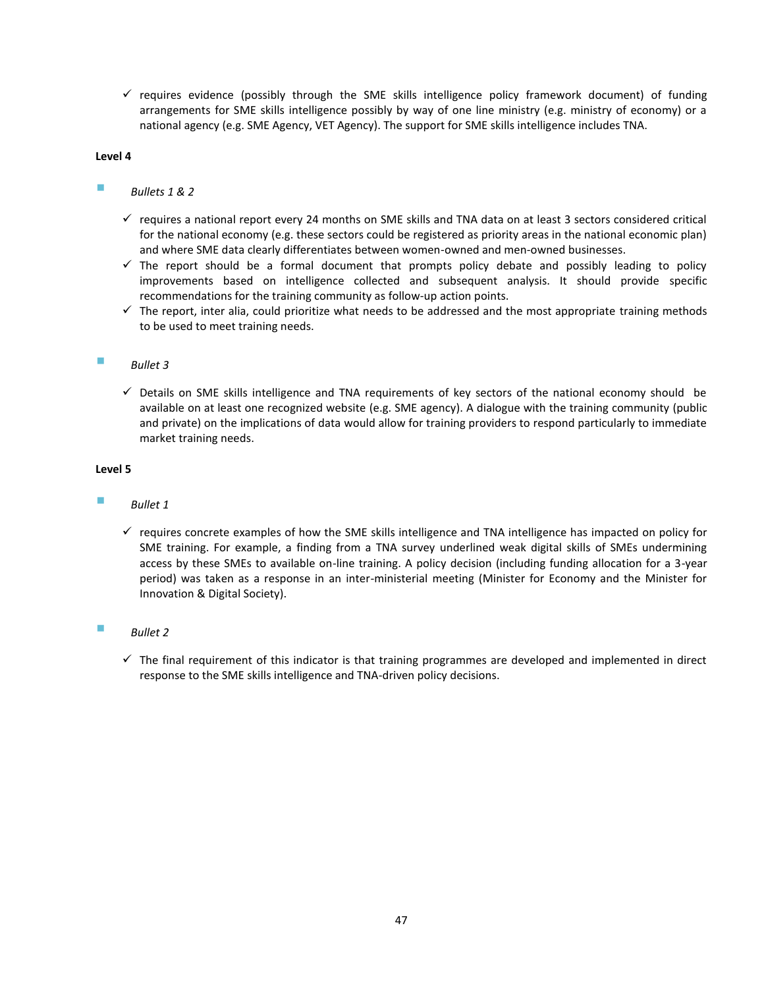$\checkmark$  requires evidence (possibly through the SME skills intelligence policy framework document) of funding arrangements for SME skills intelligence possibly by way of one line ministry (e.g. ministry of economy) or a national agency (e.g. SME Agency, VET Agency). The support for SME skills intelligence includes TNA.

#### **Level 4**

#### *Bullets 1 & 2*

- $\checkmark$  requires a national report every 24 months on SME skills and TNA data on at least 3 sectors considered critical for the national economy (e.g. these sectors could be registered as priority areas in the national economic plan) and where SME data clearly differentiates between women-owned and men-owned businesses.
- $\checkmark$  The report should be a formal document that prompts policy debate and possibly leading to policy improvements based on intelligence collected and subsequent analysis. It should provide specific recommendations for the training community as follow-up action points.
- $\checkmark$  The report, inter alia, could prioritize what needs to be addressed and the most appropriate training methods to be used to meet training needs.

#### *Bullet 3*

 $\checkmark$  Details on SME skills intelligence and TNA requirements of key sectors of the national economy should be available on at least one recognized website (e.g. SME agency). A dialogue with the training community (public and private) on the implications of data would allow for training providers to respond particularly to immediate market training needs.

#### **Level 5**

#### *Bullet 1*

 $\checkmark$  requires concrete examples of how the SME skills intelligence and TNA intelligence has impacted on policy for SME training. For example, a finding from a TNA survey underlined weak digital skills of SMEs undermining access by these SMEs to available on-line training. A policy decision (including funding allocation for a 3-year period) was taken as a response in an inter-ministerial meeting (Minister for Economy and the Minister for Innovation & Digital Society).

#### *Bullet 2*

 $\checkmark$  The final requirement of this indicator is that training programmes are developed and implemented in direct response to the SME skills intelligence and TNA-driven policy decisions.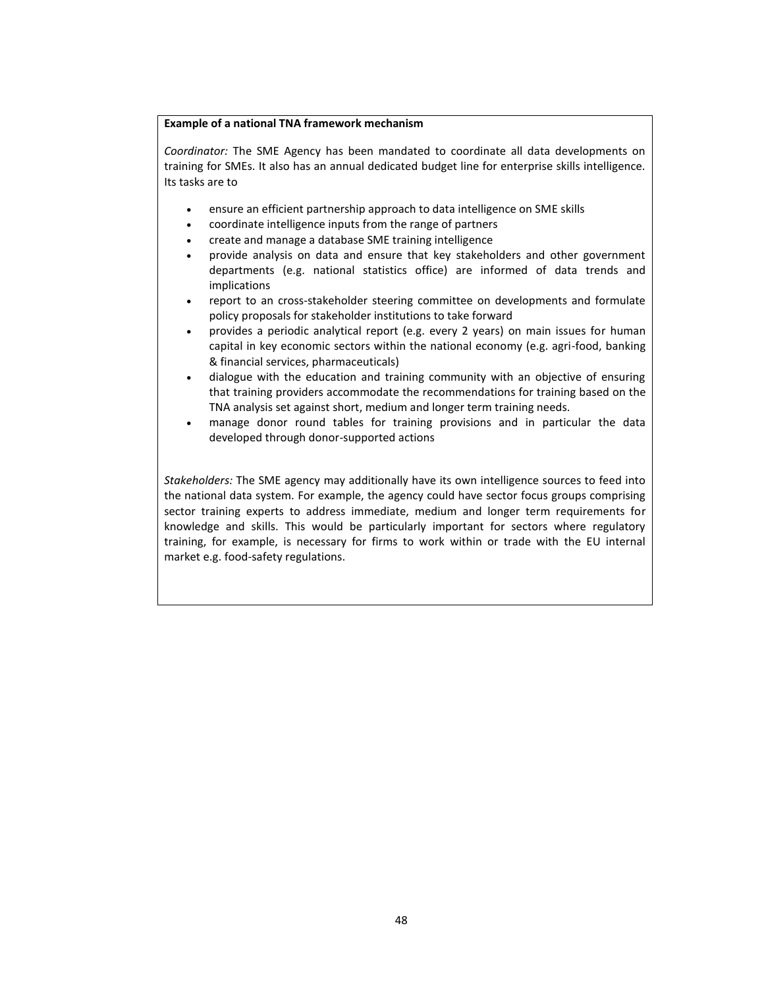#### **Example of a national TNA framework mechanism**

*Coordinator:* The SME Agency has been mandated to coordinate all data developments on training for SMEs. It also has an annual dedicated budget line for enterprise skills intelligence. Its tasks are to

- ensure an efficient partnership approach to data intelligence on SME skills
- coordinate intelligence inputs from the range of partners
- create and manage a database SME training intelligence
- provide analysis on data and ensure that key stakeholders and other government departments (e.g. national statistics office) are informed of data trends and implications
- report to an cross-stakeholder steering committee on developments and formulate policy proposals for stakeholder institutions to take forward
- provides a periodic analytical report (e.g. every 2 years) on main issues for human capital in key economic sectors within the national economy (e.g. agri-food, banking & financial services, pharmaceuticals)
- dialogue with the education and training community with an objective of ensuring that training providers accommodate the recommendations for training based on the TNA analysis set against short, medium and longer term training needs.
- manage donor round tables for training provisions and in particular the data developed through donor-supported actions

*Stakeholders:* The SME agency may additionally have its own intelligence sources to feed into the national data system. For example, the agency could have sector focus groups comprising sector training experts to address immediate, medium and longer term requirements for knowledge and skills. This would be particularly important for sectors where regulatory training, for example, is necessary for firms to work within or trade with the EU internal market e.g. food-safety regulations.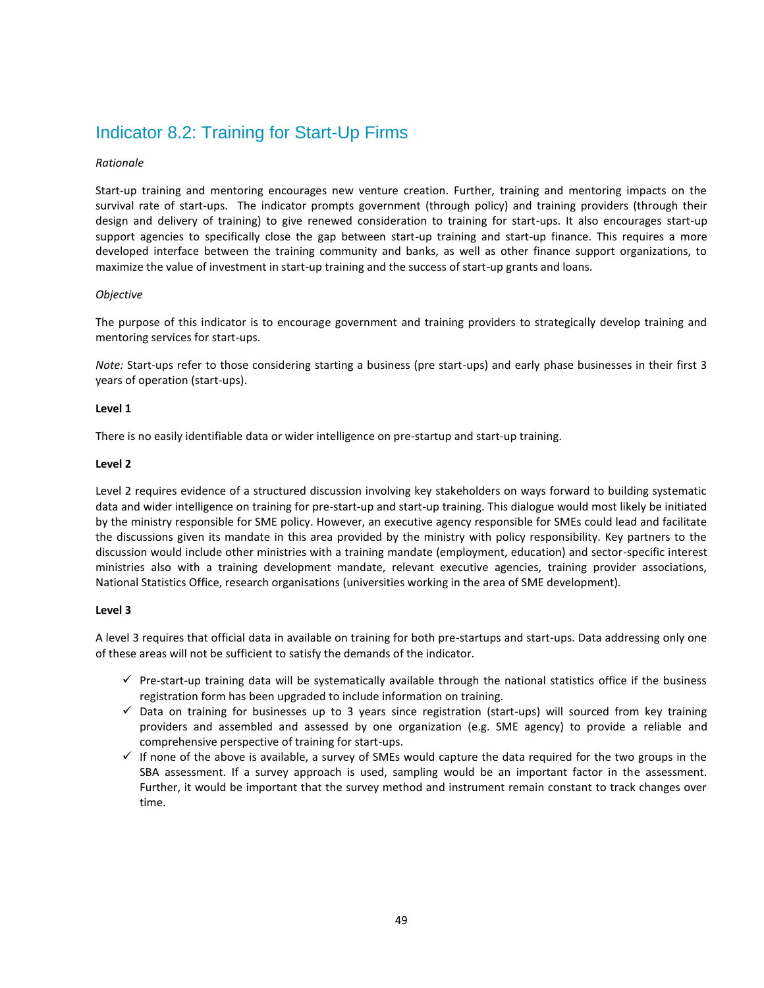# <span id="page-48-0"></span>Indicator 8.2: Training for Start-Up Firms

#### *Rationale*

Start-up training and mentoring encourages new venture creation. Further, training and mentoring impacts on the survival rate of start-ups. The indicator prompts government (through policy) and training providers (through their design and delivery of training) to give renewed consideration to training for start-ups. It also encourages start-up support agencies to specifically close the gap between start-up training and start-up finance. This requires a more developed interface between the training community and banks, as well as other finance support organizations, to maximize the value of investment in start-up training and the success of start-up grants and loans.

#### *Objective*

The purpose of this indicator is to encourage government and training providers to strategically develop training and mentoring services for start-ups.

*Note:* Start-ups refer to those considering starting a business (pre start-ups) and early phase businesses in their first 3 years of operation (start-ups).

#### **Level 1**

There is no easily identifiable data or wider intelligence on pre-startup and start-up training.

#### **Level 2**

Level 2 requires evidence of a structured discussion involving key stakeholders on ways forward to building systematic data and wider intelligence on training for pre-start-up and start-up training. This dialogue would most likely be initiated by the ministry responsible for SME policy. However, an executive agency responsible for SMEs could lead and facilitate the discussions given its mandate in this area provided by the ministry with policy responsibility. Key partners to the discussion would include other ministries with a training mandate (employment, education) and sector-specific interest ministries also with a training development mandate, relevant executive agencies, training provider associations, National Statistics Office, research organisations (universities working in the area of SME development).

#### **Level 3**

A level 3 requires that official data in available on training for both pre-startups and start-ups. Data addressing only one of these areas will not be sufficient to satisfy the demands of the indicator.

- $\checkmark$  Pre-start-up training data will be systematically available through the national statistics office if the business registration form has been upgraded to include information on training.
- $\checkmark$  Data on training for businesses up to 3 years since registration (start-ups) will sourced from key training providers and assembled and assessed by one organization (e.g. SME agency) to provide a reliable and comprehensive perspective of training for start-ups.
- $\checkmark$  If none of the above is available, a survey of SMEs would capture the data required for the two groups in the SBA assessment. If a survey approach is used, sampling would be an important factor in the assessment. Further, it would be important that the survey method and instrument remain constant to track changes over time.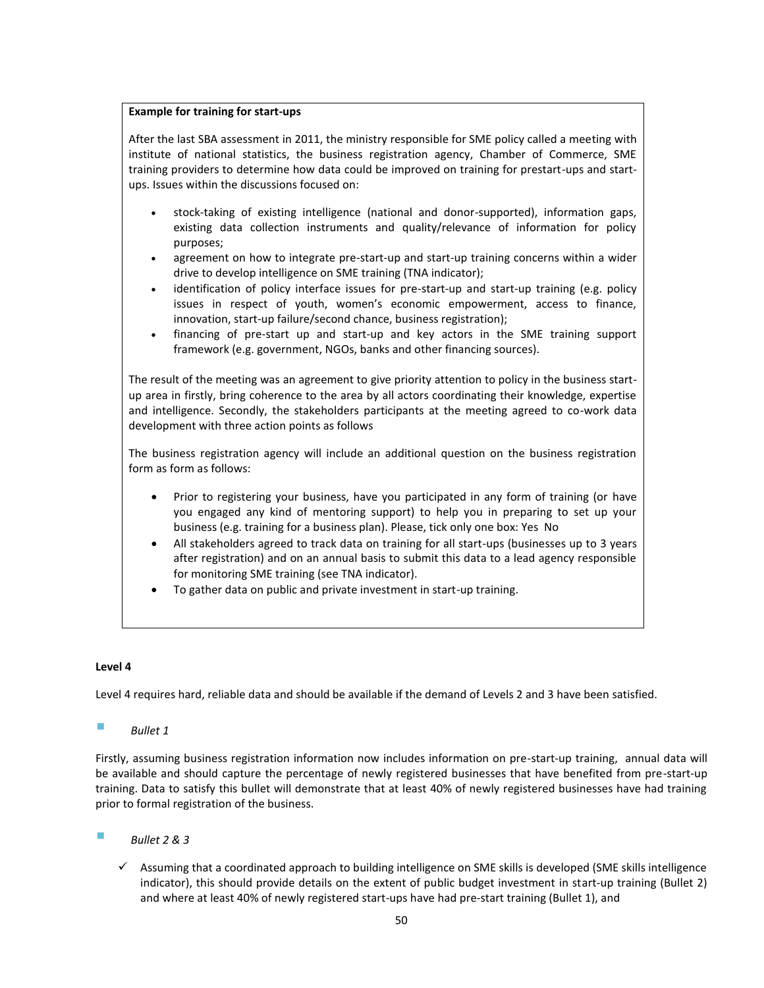#### **Example for training for start-ups**

After the last SBA assessment in 2011, the ministry responsible for SME policy called a meeting with institute of national statistics, the business registration agency, Chamber of Commerce, SME training providers to determine how data could be improved on training for prestart-ups and startups. Issues within the discussions focused on:

- stock-taking of existing intelligence (national and donor-supported), information gaps, existing data collection instruments and quality/relevance of information for policy purposes;
- agreement on how to integrate pre-start-up and start-up training concerns within a wider drive to develop intelligence on SME training (TNA indicator);
- identification of policy interface issues for pre-start-up and start-up training (e.g. policy issues in respect of youth, women's economic empowerment, access to finance, innovation, start-up failure/second chance, business registration);
- financing of pre-start up and start-up and key actors in the SME training support framework (e.g. government, NGOs, banks and other financing sources).

The result of the meeting was an agreement to give priority attention to policy in the business startup area in firstly, bring coherence to the area by all actors coordinating their knowledge, expertise and intelligence. Secondly, the stakeholders participants at the meeting agreed to co-work data development with three action points as follows

The business registration agency will include an additional question on the business registration form as form as follows:

- Prior to registering your business, have you participated in any form of training (or have you engaged any kind of mentoring support) to help you in preparing to set up your business (e.g. training for a business plan). Please, tick only one box: Yes No
- All stakeholders agreed to track data on training for all start-ups (businesses up to 3 years after registration) and on an annual basis to submit this data to a lead agency responsible for monitoring SME training (see TNA indicator).
- To gather data on public and private investment in start-up training.

#### **Level 4**

Level 4 requires hard, reliable data and should be available if the demand of Levels 2 and 3 have been satisfied.

#### *Bullet 1*

Firstly, assuming business registration information now includes information on pre-start-up training, annual data will be available and should capture the percentage of newly registered businesses that have benefited from pre-start-up training. Data to satisfy this bullet will demonstrate that at least 40% of newly registered businesses have had training prior to formal registration of the business.

- *Bullet 2 & 3* 
	- $\checkmark$  Assuming that a coordinated approach to building intelligence on SME skills is developed (SME skills intelligence indicator), this should provide details on the extent of public budget investment in start-up training (Bullet 2) and where at least 40% of newly registered start-ups have had pre-start training (Bullet 1), and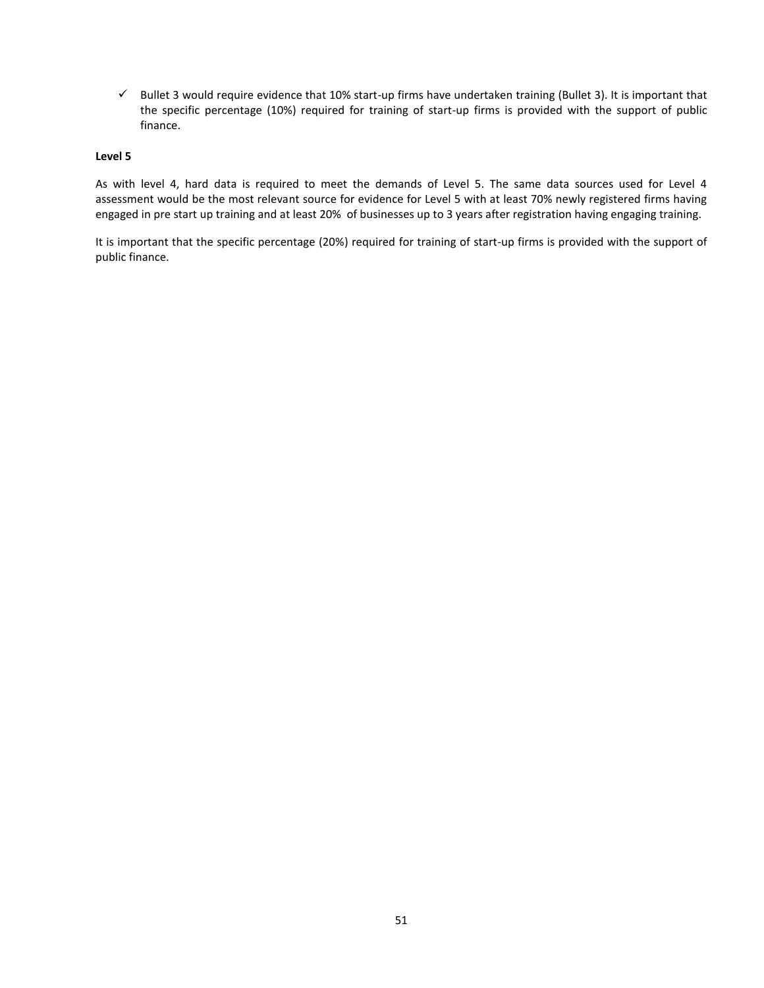$\checkmark$  Bullet 3 would require evidence that 10% start-up firms have undertaken training (Bullet 3). It is important that the specific percentage (10%) required for training of start-up firms is provided with the support of public finance.

#### **Level 5**

As with level 4, hard data is required to meet the demands of Level 5. The same data sources used for Level 4 assessment would be the most relevant source for evidence for Level 5 with at least 70% newly registered firms having engaged in pre start up training and at least 20% of businesses up to 3 years after registration having engaging training.

It is important that the specific percentage (20%) required for training of start-up firms is provided with the support of public finance.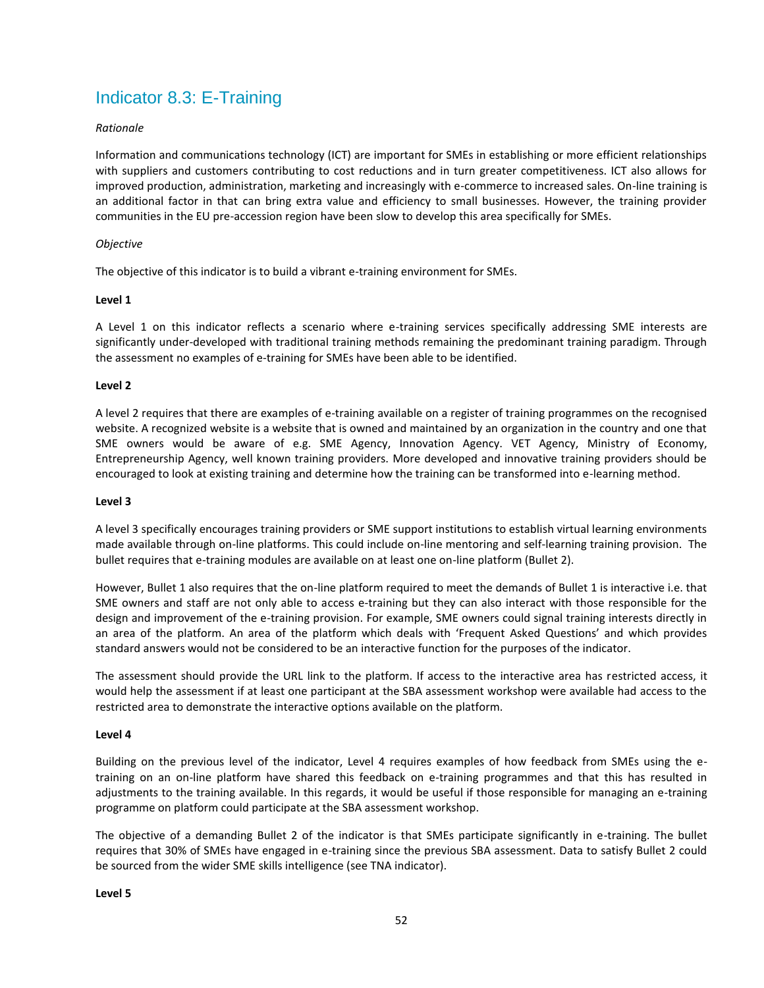# <span id="page-51-0"></span>Indicator 8.3: E-Training

#### *Rationale*

Information and communications technology (ICT) are important for SMEs in establishing or more efficient relationships with suppliers and customers contributing to cost reductions and in turn greater competitiveness. ICT also allows for improved production, administration, marketing and increasingly with e-commerce to increased sales. On-line training is an additional factor in that can bring extra value and efficiency to small businesses. However, the training provider communities in the EU pre-accession region have been slow to develop this area specifically for SMEs.

#### *Objective*

The objective of this indicator is to build a vibrant e-training environment for SMEs.

#### **Level 1**

A Level 1 on this indicator reflects a scenario where e-training services specifically addressing SME interests are significantly under-developed with traditional training methods remaining the predominant training paradigm. Through the assessment no examples of e-training for SMEs have been able to be identified.

#### **Level 2**

A level 2 requires that there are examples of e-training available on a register of training programmes on the recognised website. A recognized website is a website that is owned and maintained by an organization in the country and one that SME owners would be aware of e.g. SME Agency, Innovation Agency. VET Agency, Ministry of Economy, Entrepreneurship Agency, well known training providers. More developed and innovative training providers should be encouraged to look at existing training and determine how the training can be transformed into e-learning method.

#### **Level 3**

A level 3 specifically encourages training providers or SME support institutions to establish virtual learning environments made available through on-line platforms. This could include on-line mentoring and self-learning training provision. The bullet requires that e-training modules are available on at least one on-line platform (Bullet 2).

However, Bullet 1 also requires that the on-line platform required to meet the demands of Bullet 1 is interactive i.e. that SME owners and staff are not only able to access e-training but they can also interact with those responsible for the design and improvement of the e-training provision. For example, SME owners could signal training interests directly in an area of the platform. An area of the platform which deals with 'Frequent Asked Questions' and which provides standard answers would not be considered to be an interactive function for the purposes of the indicator.

The assessment should provide the URL link to the platform. If access to the interactive area has restricted access, it would help the assessment if at least one participant at the SBA assessment workshop were available had access to the restricted area to demonstrate the interactive options available on the platform.

#### **Level 4**

Building on the previous level of the indicator, Level 4 requires examples of how feedback from SMEs using the etraining on an on-line platform have shared this feedback on e-training programmes and that this has resulted in adjustments to the training available. In this regards, it would be useful if those responsible for managing an e-training programme on platform could participate at the SBA assessment workshop.

The objective of a demanding Bullet 2 of the indicator is that SMEs participate significantly in e-training. The bullet requires that 30% of SMEs have engaged in e-training since the previous SBA assessment. Data to satisfy Bullet 2 could be sourced from the wider SME skills intelligence (see TNA indicator).

#### **Level 5**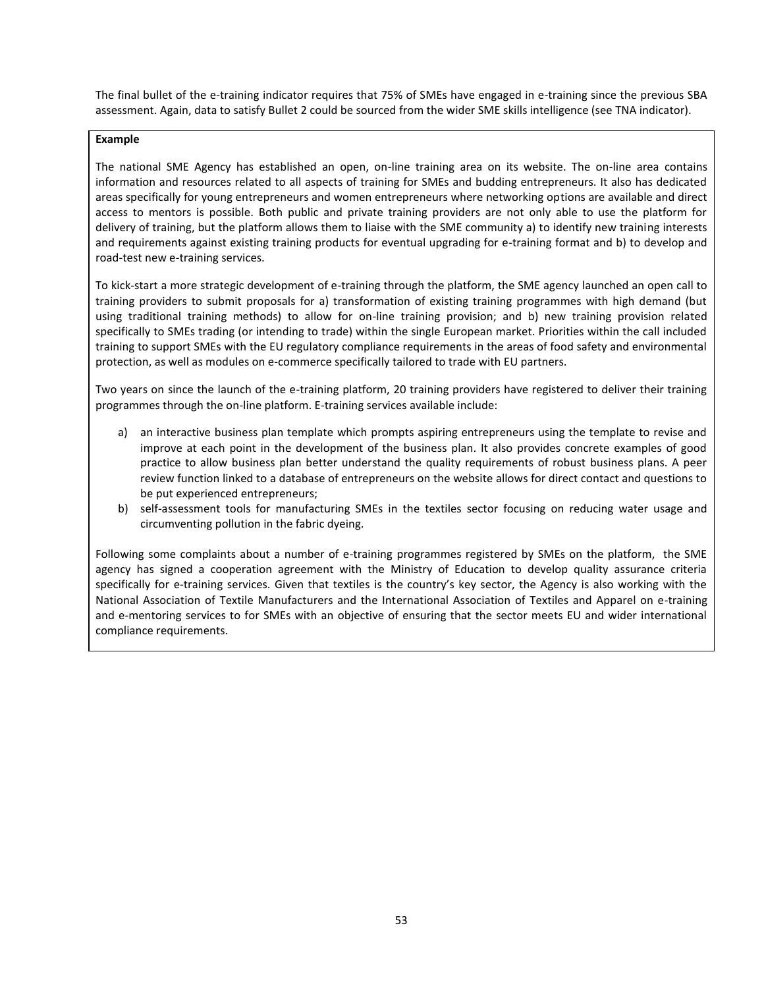The final bullet of the e-training indicator requires that 75% of SMEs have engaged in e-training since the previous SBA assessment. Again, data to satisfy Bullet 2 could be sourced from the wider SME skills intelligence (see TNA indicator).

#### **Example**

The national SME Agency has established an open, on-line training area on its website. The on-line area contains information and resources related to all aspects of training for SMEs and budding entrepreneurs. It also has dedicated areas specifically for young entrepreneurs and women entrepreneurs where networking options are available and direct access to mentors is possible. Both public and private training providers are not only able to use the platform for delivery of training, but the platform allows them to liaise with the SME community a) to identify new training interests and requirements against existing training products for eventual upgrading for e-training format and b) to develop and road-test new e-training services.

To kick-start a more strategic development of e-training through the platform, the SME agency launched an open call to training providers to submit proposals for a) transformation of existing training programmes with high demand (but using traditional training methods) to allow for on-line training provision; and b) new training provision related specifically to SMEs trading (or intending to trade) within the single European market. Priorities within the call included training to support SMEs with the EU regulatory compliance requirements in the areas of food safety and environmental protection, as well as modules on e-commerce specifically tailored to trade with EU partners.

Two years on since the launch of the e-training platform, 20 training providers have registered to deliver their training programmes through the on-line platform. E-training services available include:

- a) an interactive business plan template which prompts aspiring entrepreneurs using the template to revise and improve at each point in the development of the business plan. It also provides concrete examples of good practice to allow business plan better understand the quality requirements of robust business plans. A peer review function linked to a database of entrepreneurs on the website allows for direct contact and questions to be put experienced entrepreneurs;
- b) self-assessment tools for manufacturing SMEs in the textiles sector focusing on reducing water usage and circumventing pollution in the fabric dyeing.

Following some complaints about a number of e-training programmes registered by SMEs on the platform, the SME agency has signed a cooperation agreement with the Ministry of Education to develop quality assurance criteria specifically for e-training services. Given that textiles is the country's key sector, the Agency is also working with the National Association of Textile Manufacturers and the International Association of Textiles and Apparel on e-training and e-mentoring services to for SMEs with an objective of ensuring that the sector meets EU and wider international compliance requirements.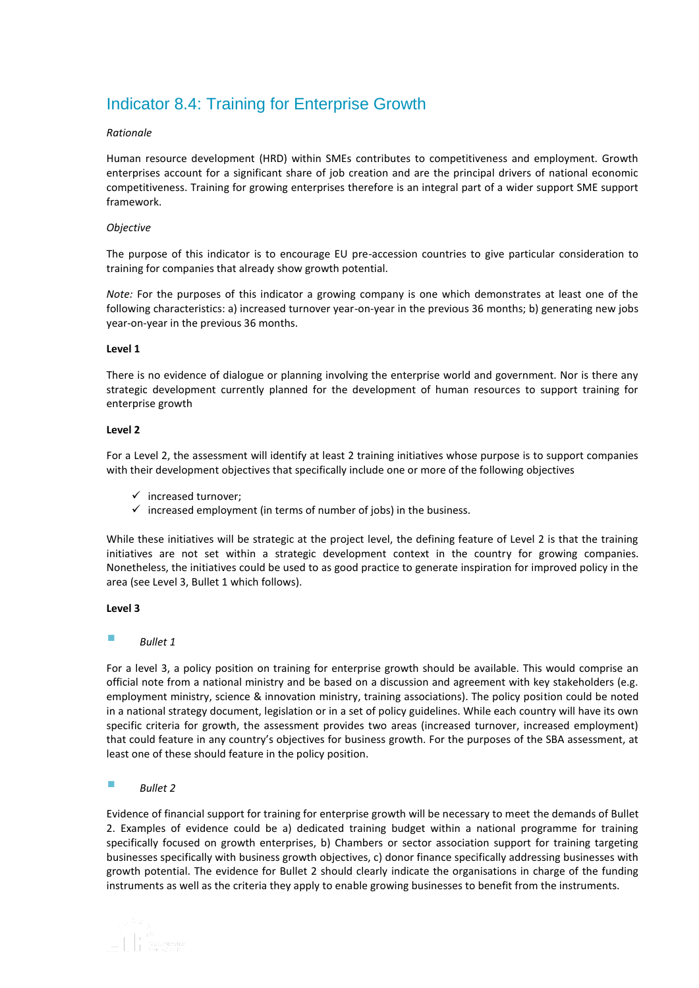# <span id="page-53-0"></span>Indicator 8.4: Training for Enterprise Growth

#### *Rationale*

Human resource development (HRD) within SMEs contributes to competitiveness and employment. Growth enterprises account for a significant share of job creation and are the principal drivers of national economic competitiveness. Training for growing enterprises therefore is an integral part of a wider support SME support framework.

#### *Objective*

The purpose of this indicator is to encourage EU pre-accession countries to give particular consideration to training for companies that already show growth potential.

*Note:* For the purposes of this indicator a growing company is one which demonstrates at least one of the following characteristics: a) increased turnover year-on-year in the previous 36 months; b) generating new jobs year-on-year in the previous 36 months.

#### **Level 1**

There is no evidence of dialogue or planning involving the enterprise world and government. Nor is there any strategic development currently planned for the development of human resources to support training for enterprise growth

#### **Level 2**

For a Level 2, the assessment will identify at least 2 training initiatives whose purpose is to support companies with their development objectives that specifically include one or more of the following objectives

- $\checkmark$  increased turnover:
- $\checkmark$  increased employment (in terms of number of jobs) in the business.

While these initiatives will be strategic at the project level, the defining feature of Level 2 is that the training initiatives are not set within a strategic development context in the country for growing companies. Nonetheless, the initiatives could be used to as good practice to generate inspiration for improved policy in the area (see Level 3, Bullet 1 which follows).

#### **Level 3**

## *Bullet 1*

For a level 3, a policy position on training for enterprise growth should be available. This would comprise an official note from a national ministry and be based on a discussion and agreement with key stakeholders (e.g. employment ministry, science & innovation ministry, training associations). The policy position could be noted in a national strategy document, legislation or in a set of policy guidelines. While each country will have its own specific criteria for growth, the assessment provides two areas (increased turnover, increased employment) that could feature in any country's objectives for business growth. For the purposes of the SBA assessment, at least one of these should feature in the policy position.

#### *Bullet 2*

Evidence of financial support for training for enterprise growth will be necessary to meet the demands of Bullet 2. Examples of evidence could be a) dedicated training budget within a national programme for training specifically focused on growth enterprises, b) Chambers or sector association support for training targeting businesses specifically with business growth objectives, c) donor finance specifically addressing businesses with growth potential. The evidence for Bullet 2 should clearly indicate the organisations in charge of the funding instruments as well as the criteria they apply to enable growing businesses to benefit from the instruments.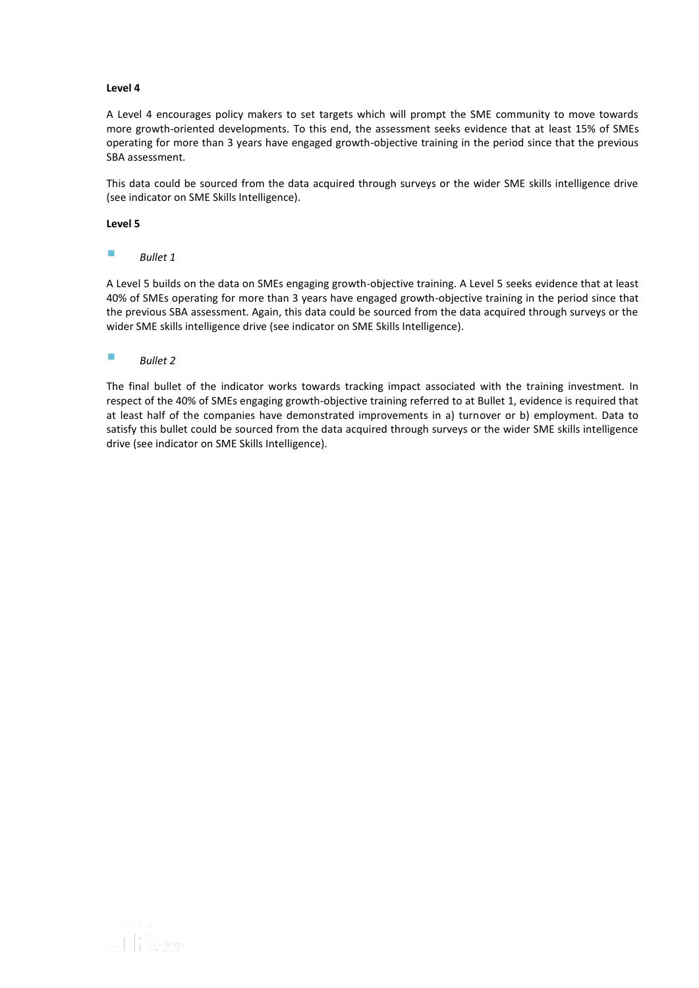A Level 4 encourages policy makers to set targets which will prompt the SME community to move towards more growth-oriented developments. To this end, the assessment seeks evidence that at least 15% of SMEs operating for more than 3 years have engaged growth-objective training in the period since that the previous SBA assessment.

This data could be sourced from the data acquired through surveys or the wider SME skills intelligence drive (see indicator on SME Skills Intelligence).

#### **Level 5**

#### *Bullet 1*

A Level 5 builds on the data on SMEs engaging growth-objective training. A Level 5 seeks evidence that at least 40% of SMEs operating for more than 3 years have engaged growth-objective training in the period since that the previous SBA assessment. Again, this data could be sourced from the data acquired through surveys or the wider SME skills intelligence drive (see indicator on SME Skills Intelligence).

## *Bullet 2*

The final bullet of the indicator works towards tracking impact associated with the training investment. In respect of the 40% of SMEs engaging growth-objective training referred to at Bullet 1, evidence is required that at least half of the companies have demonstrated improvements in a) turnover or b) employment. Data to satisfy this bullet could be sourced from the data acquired through surveys or the wider SME skills intelligence drive (see indicator on SME Skills Intelligence).

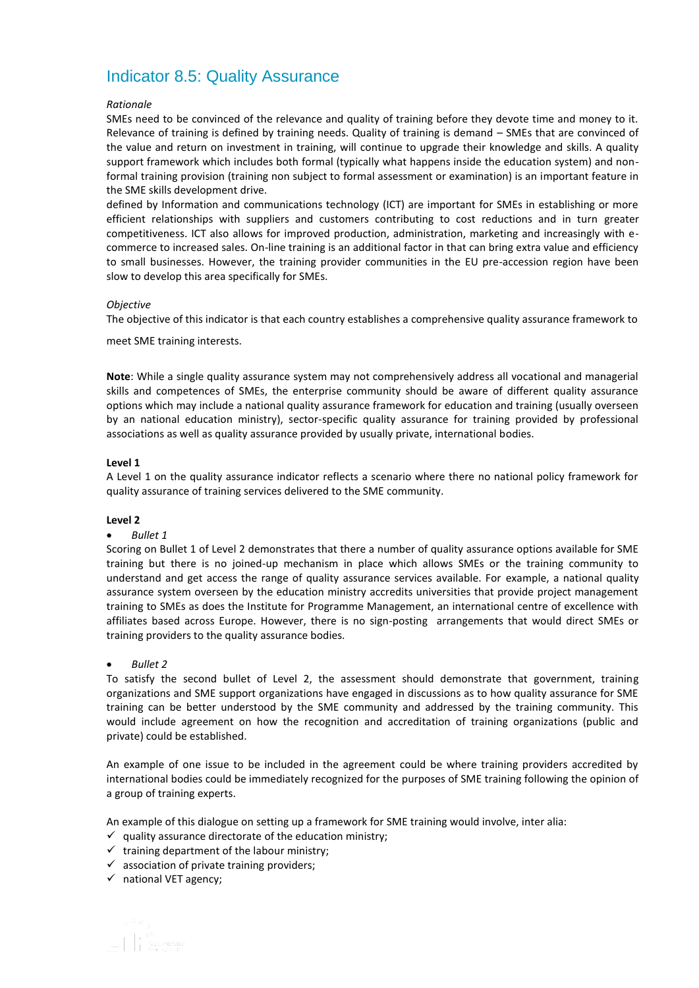# <span id="page-55-0"></span>Indicator 8.5: Quality Assurance

#### *Rationale*

SMEs need to be convinced of the relevance and quality of training before they devote time and money to it. Relevance of training is defined by training needs. Quality of training is demand – SMEs that are convinced of the value and return on investment in training, will continue to upgrade their knowledge and skills. A quality support framework which includes both formal (typically what happens inside the education system) and nonformal training provision (training non subject to formal assessment or examination) is an important feature in the SME skills development drive.

defined by Information and communications technology (ICT) are important for SMEs in establishing or more efficient relationships with suppliers and customers contributing to cost reductions and in turn greater competitiveness. ICT also allows for improved production, administration, marketing and increasingly with ecommerce to increased sales. On-line training is an additional factor in that can bring extra value and efficiency to small businesses. However, the training provider communities in the EU pre-accession region have been slow to develop this area specifically for SMEs.

#### *Objective*

The objective of this indicator is that each country establishes a comprehensive quality assurance framework to

meet SME training interests.

**Note**: While a single quality assurance system may not comprehensively address all vocational and managerial skills and competences of SMEs, the enterprise community should be aware of different quality assurance options which may include a national quality assurance framework for education and training (usually overseen by an national education ministry), sector-specific quality assurance for training provided by professional associations as well as quality assurance provided by usually private, international bodies.

#### **Level 1**

A Level 1 on the quality assurance indicator reflects a scenario where there no national policy framework for quality assurance of training services delivered to the SME community.

#### **Level 2**

#### *Bullet 1*

Scoring on Bullet 1 of Level 2 demonstrates that there a number of quality assurance options available for SME training but there is no joined-up mechanism in place which allows SMEs or the training community to understand and get access the range of quality assurance services available. For example, a national quality assurance system overseen by the education ministry accredits universities that provide project management training to SMEs as does the Institute for Programme Management, an international centre of excellence with affiliates based across Europe. However, there is no sign-posting arrangements that would direct SMEs or training providers to the quality assurance bodies.

#### *Bullet 2*

To satisfy the second bullet of Level 2, the assessment should demonstrate that government, training organizations and SME support organizations have engaged in discussions as to how quality assurance for SME training can be better understood by the SME community and addressed by the training community. This would include agreement on how the recognition and accreditation of training organizations (public and private) could be established.

An example of one issue to be included in the agreement could be where training providers accredited by international bodies could be immediately recognized for the purposes of SME training following the opinion of a group of training experts.

An example of this dialogue on setting up a framework for SME training would involve, inter alia:

- $\checkmark$  quality assurance directorate of the education ministry;
- $\checkmark$  training department of the labour ministry;
- $\checkmark$  association of private training providers;
- $\checkmark$  national VET agency;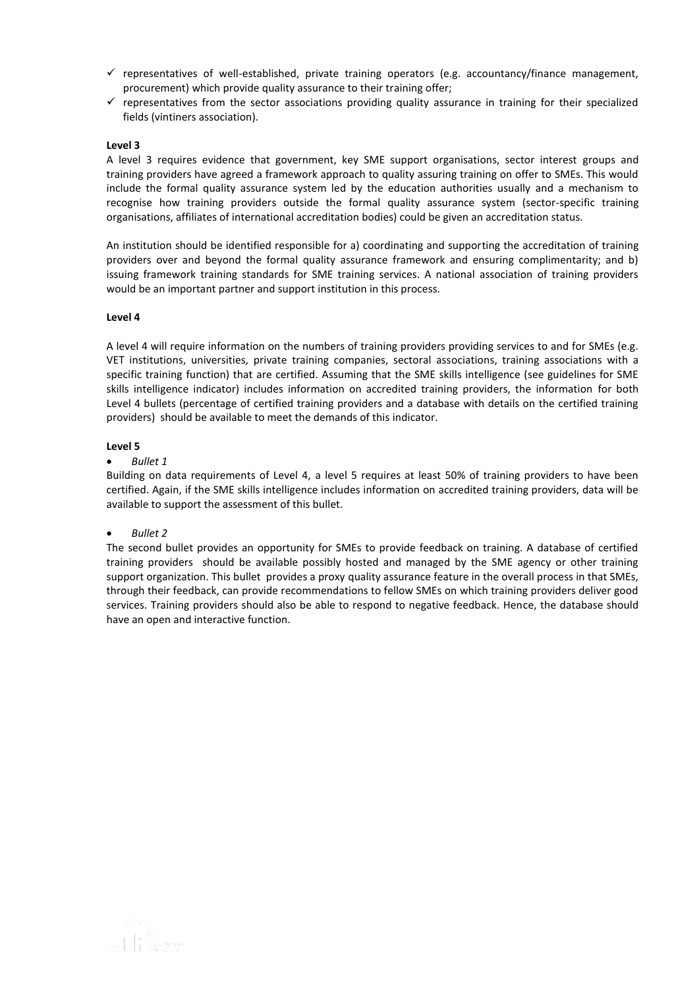- $\checkmark$  representatives of well-established, private training operators (e.g. accountancy/finance management, procurement) which provide quality assurance to their training offer;
- $\checkmark$  representatives from the sector associations providing quality assurance in training for their specialized fields (vintiners association).

A level 3 requires evidence that government, key SME support organisations, sector interest groups and training providers have agreed a framework approach to quality assuring training on offer to SMEs. This would include the formal quality assurance system led by the education authorities usually and a mechanism to recognise how training providers outside the formal quality assurance system (sector-specific training organisations, affiliates of international accreditation bodies) could be given an accreditation status.

An institution should be identified responsible for a) coordinating and supporting the accreditation of training providers over and beyond the formal quality assurance framework and ensuring complimentarity; and b) issuing framework training standards for SME training services. A national association of training providers would be an important partner and support institution in this process.

#### **Level 4**

A level 4 will require information on the numbers of training providers providing services to and for SMEs (e.g. VET institutions, universities, private training companies, sectoral associations, training associations with a specific training function) that are certified. Assuming that the SME skills intelligence (see guidelines for SME skills intelligence indicator) includes information on accredited training providers, the information for both Level 4 bullets (percentage of certified training providers and a database with details on the certified training providers) should be available to meet the demands of this indicator.

#### **Level 5**

*Bullet 1*

Building on data requirements of Level 4, a level 5 requires at least 50% of training providers to have been certified. Again, if the SME skills intelligence includes information on accredited training providers, data will be available to support the assessment of this bullet.

#### *Bullet 2*

The second bullet provides an opportunity for SMEs to provide feedback on training. A database of certified training providers should be available possibly hosted and managed by the SME agency or other training support organization. This bullet provides a proxy quality assurance feature in the overall process in that SMEs, through their feedback, can provide recommendations to fellow SMEs on which training providers deliver good services. Training providers should also be able to respond to negative feedback. Hence, the database should have an open and interactive function.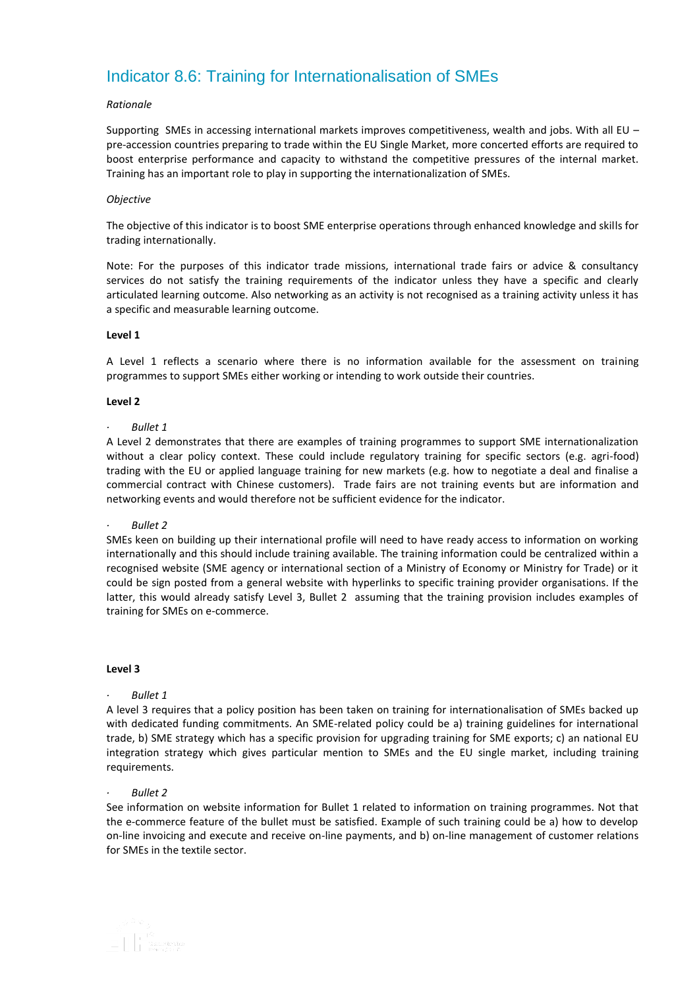# <span id="page-57-0"></span>Indicator 8.6: Training for Internationalisation of SMEs

#### *Rationale*

Supporting SMEs in accessing international markets improves competitiveness, wealth and jobs. With all EU – pre-accession countries preparing to trade within the EU Single Market, more concerted efforts are required to boost enterprise performance and capacity to withstand the competitive pressures of the internal market. Training has an important role to play in supporting the internationalization of SMEs.

#### *Objective*

The objective of this indicator is to boost SME enterprise operations through enhanced knowledge and skills for trading internationally.

Note: For the purposes of this indicator trade missions, international trade fairs or advice & consultancy services do not satisfy the training requirements of the indicator unless they have a specific and clearly articulated learning outcome. Also networking as an activity is not recognised as a training activity unless it has a specific and measurable learning outcome.

#### **Level 1**

A Level 1 reflects a scenario where there is no information available for the assessment on training programmes to support SMEs either working or intending to work outside their countries.

#### **Level 2**

#### *· Bullet 1*

A Level 2 demonstrates that there are examples of training programmes to support SME internationalization without a clear policy context. These could include regulatory training for specific sectors (e.g. agri-food) trading with the EU or applied language training for new markets (e.g. how to negotiate a deal and finalise a commercial contract with Chinese customers). Trade fairs are not training events but are information and networking events and would therefore not be sufficient evidence for the indicator.

#### *· Bullet 2*

SMEs keen on building up their international profile will need to have ready access to information on working internationally and this should include training available. The training information could be centralized within a recognised website (SME agency or international section of a Ministry of Economy or Ministry for Trade) or it could be sign posted from a general website with hyperlinks to specific training provider organisations. If the latter, this would already satisfy Level 3, Bullet 2 assuming that the training provision includes examples of training for SMEs on e-commerce.

#### **Level 3**

#### *· Bullet 1*

A level 3 requires that a policy position has been taken on training for internationalisation of SMEs backed up with dedicated funding commitments. An SME-related policy could be a) training guidelines for international trade, b) SME strategy which has a specific provision for upgrading training for SME exports; c) an national EU integration strategy which gives particular mention to SMEs and the EU single market, including training requirements.

#### *· Bullet 2*

See information on website information for Bullet 1 related to information on training programmes. Not that the e-commerce feature of the bullet must be satisfied. Example of such training could be a) how to develop on-line invoicing and execute and receive on-line payments, and b) on-line management of customer relations for SMEs in the textile sector.